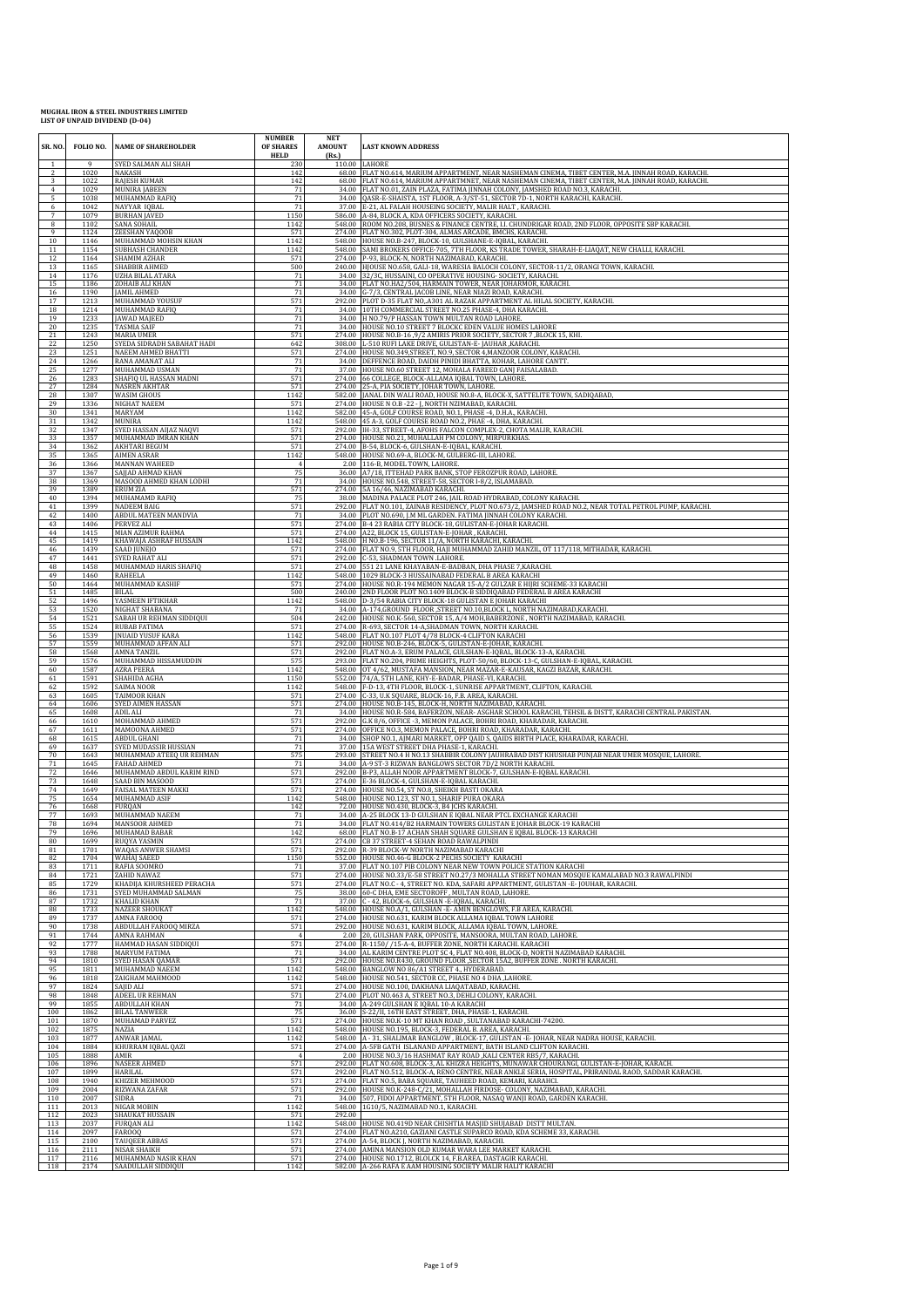| SR. NO.<br>-1        | FOLIO NO.<br>9 | <b>NAME OF SHAREHOLDER</b>                        | <b>NUMBER</b><br><b>OF SHARES</b><br><b>HELD</b> | <b>NET</b><br><b>AMOUNT</b><br>(Rs.) | <b>LAST KNOWN ADDRESS</b>                                                                                                                                                              |
|----------------------|----------------|---------------------------------------------------|--------------------------------------------------|--------------------------------------|----------------------------------------------------------------------------------------------------------------------------------------------------------------------------------------|
| $\overline{2}$       | 1020           | SYED SALMAN ALI SHAH<br>NAKASH                    | 230<br>142                                       |                                      | 110.00 LAHORE<br>68.00 FLAT NO.614, MARIUM APPARTMENT, NEAR NASHEMAN CINEMA, TIBET CENTER, M.A. JINNAH ROAD, KARACHI.                                                                  |
| 3<br>$\overline{4}$  | 1022<br>1029   | <b>RAJESH KUMAR</b><br>MUNIRA JABEEN              | 142<br>71                                        |                                      | 68.00 FLAT NO.614, MARIUM APPARTMNET, NEAR NASHEMAN CINEMA, TIBET CENTER, M.A. JINNAH ROAD, KARACHI.<br>34.00 FLAT NO.01, ZAIN PLAZA, FATIMA JINNAH COLONY, JAMSHED ROAD NO.3, KARACHI |
| 5                    | 1038           | MUHAMMAD RAFIQ                                    | 71                                               |                                      | 34.00 QASR-E-SHAISTA, 1ST FLOOR, A-3/ST-51, SECTOR 7D-1, NORTH KARACHI, KARACHI.                                                                                                       |
| 6<br>$7\phantom{.0}$ | 1042<br>1079   | NAYYAR IQBAL<br><b>BURHAN JAVED</b>               | 71<br>1150                                       |                                      | 37.00 E-21, AL FALAH HOUSEING SOCIETY, MALIR HALT, KARACHI.<br>586.00 A-84, BLOCK A, KDA OFFICERS SOCIETY, KARACHI.                                                                    |
| $\bf 8$              | 1102           | <b>SANA SOHAIL</b><br>ZEESHAN YAQOOB              | 1142                                             | 274.00                               | 548.00 ROOM NO.208, BUSNES & FINANCE CENTRE, LL CHUNDRIGAR ROAD, 2ND FLOOR, OPPOSITE SBP KARACHI.<br>FLAT NO.302, PLOT-304, ALMAS ARCADE, BMCHS, KARACHI.                              |
| 9<br>$10\,$          | 1124<br>1146   | MUHAMMAD MOHSIN KHAN                              | 571<br>1142                                      | 548.00                               | HOUSE NO.B-247, BLOCK-10, GULSHANE-E-IQBAL, KARACHI.                                                                                                                                   |
| 11<br>12             | 1154<br>1164   | <b>SUBHASH CHANDER</b><br><b>SHAMIM AZHAR</b>     | 1142<br>571                                      | 548.00<br>274.00                     | SAMI BROKERS OFFICE-705, 7TH FLOOR, KS TRADE TOWER, SHARAH-E-LIAQAT, NEW CHALLI, KARACHI.<br>P-93, BLOCK-N, NORTH NAZIMABAD, KARACHI.                                                  |
| 13                   | 1165           | SHABBIR AHMED                                     | 500                                              |                                      | 240.00 HJOUSE NO.658, GALI-18, WARESIA BALOCH COLONY, SECTOR-11/2, ORANGI TOWN, KARACHI.                                                                                               |
| 14<br>15             | 1176<br>1186   | <b>UZHA BILAL ATARA</b><br>ZOHAIB ALI KHAN        | 71<br>71                                         |                                      | 34.00 32/3C, HUSSAINI, CO OPERATIVE HOUSING- SOCIETY, KARACHI.<br>34.00 FLAT NO.HA2/504, HARMAIN TOWER, NEAR JOHARMOR, KARACHI.                                                        |
| 16                   | 1190           | JAMIL AHMED                                       | 71                                               |                                      | 34.00 G-7/3, CENTRAL JACOB LINE, NEAR NIAZI ROAD, KARACHI.                                                                                                                             |
| 17<br>18             | 1213<br>1214   | MUHAMMAD YOUSUF<br>MUHAMMAD RAFIQ                 | 571<br>71                                        | 292.00                               | PLOT D-35 FLAT NO, A301 AL RAZAK APPARTMENT AL HILAL SOCIETY, KARACHI<br>34.00 10TH COMMERCIAL STREET NO.25 PHASE-4, DHA KARACHI.                                                      |
| 19                   | 1233           | JAWAD MAJEED                                      | 71                                               |                                      | 34.00 H NO.79/P HASSAN TOWN MULTAN ROAD LAHORE.                                                                                                                                        |
| 20<br>21             | 1235<br>1243   | <b>TASMIA SAIF</b><br><b>MARIA UMER</b>           | 71<br>571                                        |                                      | 34.00 HOUSE NO.10 STREET 7 BLOCKC EDEN VALUE HOMES LAHORE<br>274.00 HOUSE NO.B-16 ,9/2 AMIRIS PRIOR SOCIETY, SECTOR 7 ,BLOCK 15, KHI.                                                  |
| 22                   | 1250           | SYEDA SIDRADH SABAHAT HADI                        | 642                                              | 308.00                               | L-510 RUFI LAKE DRIVE, GULISTAN-E-JAUHAR, KARACHI.                                                                                                                                     |
| 23<br>24             | 1251<br>1266   | NAEEM AHMED BHATTI<br>RANA AMANAT ALI             | 571<br>71                                        | 274.00<br>34.00                      | HOUSE NO.349, STREET, NO.9, SECTOR 4, MANZOOR COLONY, KARACHI<br>DEFFENCE ROAD, DAIDH PINIDI BHATTA, KOHAR, LAHORE CANTT.                                                              |
| 25                   | 1277           | MUHAMMAD USMAN                                    | 71                                               |                                      | 37.00 HOUSE NO.60 STREET 12, MOHALA FAREED GANJ FAISALABAD.                                                                                                                            |
| 26<br>27             | 1283<br>1284   | SHAFIQ UL HASSAN MADNI<br><b>NASREN AKHTAR</b>    | 571<br>571                                       |                                      | 274.00 66 COLLEGE, BLOCK-ALLAMA IQBAL TOWN, LAHORE.<br>274.00 25-A, PIA SOCIETY, JOHAR TOWN, LAHORE                                                                                    |
| 28<br>29             | 1307           | <b>WASIM GHOUS</b>                                | 1142<br>571                                      |                                      | 582.00 JANAL DIN WALI ROAD, HOUSE NO.8-A, BLOCK-X, SATTELITE TOWN, SADIQABAD,                                                                                                          |
| 30                   | 1336<br>1341   | NIGHAT NAEEM<br>MARYAM                            | 1142                                             | 582.00                               | 274.00 HOUSE N O.B - 22 - J, NORTH NZIMABAD, KARACHI<br>45-A, GOLF COURSE ROAD, NO.1, PHASE -4, D.H.A., KARACHI.                                                                       |
| 31<br>32             | 1342<br>1347   | MUNIRA<br>SYED HASSAN AIJAZ NAQVI                 | 1142<br>571                                      |                                      | 548.00 45 A-3, GOLF COURSE ROAD NO.2, PHAE -4, DHA, KARACHI.<br>292.00 IH-33, STREET-4, AFOHS FALCON COMPLEX-2, CHOTA MALIR, KARACHI.                                                  |
| 33                   | 1357           | MUHAMMAD IMRAN KHAN                               | 571                                              |                                      | 274.00 HOUSE NO.21, MUHALLAH PM COLONY, MIRPURKHAS.                                                                                                                                    |
| 34<br>35             | 1362<br>1365   | <b>AKHTARI BEGUM</b><br><b>AIMEN ASRAR</b>        | 571<br>1142                                      | 274.00<br>548.00                     | B-54, BLOCK-6, GULSHAN-E-IQBAL, KARACHI.<br>HOUSE NO.69-A, BLOCK-M, GULBERG-III, LAHORE                                                                                                |
| 36                   | 1366           | MANNAN WAHEED                                     | $\overline{4}$                                   |                                      | 2.00 116-B, MODEL TOWN, LAHORE.                                                                                                                                                        |
| 37<br>38             | 1367<br>1369   | SAJJAD AHMAD KHAN<br>MASOOD AHMED KHAN LODHI      | 75<br>71                                         |                                      | 36.00 A7/18, ITTEHAD PARK BANK, STOP FEROZPUR ROAD, LAHORE.<br>34.00 HOUSE NO.548, STREET-58, SECTOR I-8/2, ISLAMABAD.                                                                 |
| 39                   | 1389           | <b>ERUM ZIA</b>                                   | 571                                              |                                      | 274.00 5A 16/46, NAZIMABAD KARACHI.                                                                                                                                                    |
| 40<br>41             | 1394<br>1399   | MUHAMAMD RAFIQ<br>NADEEM BAIG                     | 75<br>571                                        |                                      | 38.00 MADINA PALACE PLOT 246, JAIL ROAD HYDRABAD, COLONY KARACHI.<br>292.00 FLAT NO.101, ZAINAB RESIDENCY, PLOT NO.673/2, JAMSHED ROAD NO.2, NEAR TOTAL PETROL PUMP, KARACHI.          |
| 42                   | 1400           | ABDUL MATEEN MANDVIA<br>PERVEZ ALI                | 71<br>571                                        |                                      | 34.00 PLOT NO.690, J.M ML GARDEN. FATIMA JINNAH COLONY KARACHI<br>274.00 B-4 23 RABIA CITY BLOCK-18, GULISTAN-E-JOHAR KARACHI.                                                         |
| 43<br>44             | 1406<br>1415   | MIAN AZIMUR RAHMA                                 | 571                                              |                                      | 274.00 A22, BLOCK 15, GULISTAN-E-JOHAR, KARACHI.                                                                                                                                       |
| 45                   | 1419<br>1439   | KHAWAJA ASHRAF HUSSAIN                            | 1142<br>571                                      |                                      | 548.00 H NO.B-196, SECTOR 11/A, NORTH KARACHI, KARACHI.<br>274.00 FLAT NO.9, 5TH FLOOR, HAJI MUHAMMAD ZAHID MANZIL, OT 117/118, MITHADAR, KARACHI.                                     |
| 46<br>47             | 1441           | SAAD JUNEJO<br>SYED RAHAT ALI                     | 571                                              |                                      | 292.00 C-53. SHADMAN TOWN LAHORE                                                                                                                                                       |
| 48<br>49             | 1458<br>1460   | MUHAMMAD HARIS SHAFIQ<br><b>RAHEELA</b>           | 571<br>1142                                      | 274.00<br>548.00                     | 551 21 LANE KHAYABAN-E-BADBAN, DHA PHASE 7, KARACHI.<br>1029 BLOCK-3 HUSSAINABAD FEDERAL B AREA KARACHI                                                                                |
| 50                   | 1464           | MUHAMMAD KASHIF                                   | 571                                              |                                      | 274.00 HOUSE NO.R-194 MEMON NAGAR 15-A/2 GULZAR E HIJRI SCHEME-33 KARACHI                                                                                                              |
| 51<br>52             | 1485<br>1496   | <b>BILAL</b><br>YASMEEN IFTIKHAR                  | 500<br>1142                                      |                                      | 240.00 2ND FLOOR PLOT NO.1409 BLOCK-B SIDDIQABAD FEDERAL B AREA KARACHI<br>548.00 D-3/54 RABIA CITY BLOCK-18 GULISTAN E JOHAR KARACHI                                                  |
| 53                   | 1520           | NIGHAT SHABANA                                    | 71                                               |                                      | 34.00 A-174, GROUND FLOOR, STREET NO.10, BLOCK L, NORTH NAZIMABAD, KARACHI.                                                                                                            |
| 54<br>55             | 1521<br>1524   | SABAH UR REHMAN SIDDIQUI<br><b>RUBAB FATIMA</b>   | 504<br>571                                       |                                      | 242.00 HOUSE NO.K-560, SECTOR 15, A/4 MOH, BABERZONE, NORTH NAZIMABAD, KARACHI.<br>274.00 R-693, SECTOR 14-A, SHADMAN TOWN, NORTH KARACH                                               |
| 56                   | 1539           | <b>INUAID YUSUF KARA</b>                          | 1142                                             |                                      | 548.00 FLAT NO.107 PLOT 4/78 BLOCK-4 CLIFTON KARACHI                                                                                                                                   |
| 57<br>58             | 1559<br>1568   | MUHAMMAD AFFAN ALI<br>AMNA TANZIL                 | 571<br>571                                       |                                      | 292.00 HOUSE NO.B-246, BLOCK-5, GULISTAN-E-JOHAR, KARACHI.<br>292.00 FLAT NO.A-3, ERUM PALACE, GULSHAN-E-IQBAL, BLOCK-13-A, KARACHI.                                                   |
| 59                   | 1576           | MUHAMMAD HISSAMUDDIN                              | 575                                              | 293.00                               | FLAT NO.204, PRIME HEIGHTS, PLOT-50/60, BLOCK-13-C, GULSHAN-E-IQBAL, KARACHI.                                                                                                          |
| 60<br>61             | 1587<br>1591   | <b>AZRA PEERA</b><br>SHAHIDA AGHA                 | 1142<br>1150                                     | 552.00                               | 548.00 OT 4/62, MUSTAFA MANSION, NEAR MAZAR-E-KAUSAR, KAGZI BAZAR, KARACHI.<br>74/A, 5TH LANE, KHY-E-BADAR, PHASE-VI, KARACHI.                                                         |
| 62                   | 1592<br>1605   | <b>SAIMA NOOR</b><br>TAIMOOR KHAN                 | 1142<br>571                                      | 548.00                               | F-D-13, 4TH FLOOR, BLOCK-1, SUNRISE APPARTMENT, CLIFTON, KARACHI<br>274.00 C-33, U.K SQUARE, BLOCK-16, F.B. AREA, KARACHI.                                                             |
| 63<br>64             | 1606           | SYED AIMEN HASSAN                                 | 571                                              |                                      | 274.00 HOUSE NO.B-145, BLOCK-H, NORTH NAZIMABAD, KARACHI.                                                                                                                              |
| 65                   | 1608<br>1610   | ADIL ALI<br>MOHAMMAD AHMED                        | 71                                               |                                      | 34.00 HOUSE NO.R-584, BAFERZON, NEAR-ASGHAR SCHOOL KARACHI, TEHSIL & DISTT, KARACHI CENTRAL PAKISTAN.                                                                                  |
| 66<br>67             | 1611           | MAMOONA AHMED                                     | $\frac{571}{571}$                                | 274.00                               | 292.00 G.K 8/6, OFFICE -3, MEMON PALACE, BOHRI ROAD, KHARADAR, KARACHI<br>OFFICE NO.3, MEMON PALACE, BOHRI ROAD, KHARADAR, KARACHI.                                                    |
| 68<br>69             | 1615<br>1637   | <b>ABDUL GHANI</b><br>SYED MUDASSIR HUSSIAN       | 71<br>71                                         | 34.00                                | SHOP NO.1, AJMARI MARKET, OPP QAID S, QAIDS BIRTH PLACE, KHARADAR, KARACHI.<br>37.00 15A WEST STREET DHA PHASE-1, KARACHI.                                                             |
| 70                   | 1643           | MUHAMMAD ATEEQ UR REHMAN                          | 575                                              |                                      | 293.00 STREET NO.4 H NO.13 SHABBIR COLONY JAUHRABAD DIST KHUSHAB PUNJAB NEAR UMER MOSQUE, LAHORE.                                                                                      |
| 71<br>72             | 1645<br>1646   | <b>FAHAD AHMED</b><br>MUHAMMAD ABDUL KARIM RIND   | 71<br>571                                        | 292.00                               | 34.00 A-9 ST-3 RIZWAN BANGLOWS SECTOR 7D/2 NORTH KARACHI.<br>B-P3, ALLAH NOOR APPARTMENT BLOCK-7, GULSHAN-E-IQBAL KARACHI.                                                             |
| 73                   | 1648           | SAAD BIN MASOOD                                   | 571                                              | 274.00                               | E-36 BLOCK-4, GULSHAN-E-IQBAL KARACHI.                                                                                                                                                 |
| 74<br>75             | 1649<br>1654   | FAISAL MATEEN MAKKI<br>MUHAMMAD ASIF              | 571<br>1142                                      |                                      | 274.00 HOUSE NO.54, ST NO.8, SHEIKH BASTI OKARA<br>548.00 HOUSE NO.123, ST NO.1, SHARIF PURA OKARA                                                                                     |
| 76                   | 1668           | <b>FURQAN</b>                                     | 142                                              |                                      | 72.00 HOUSE NO.430, BLOCK-3, B4 JCHS KARACHI.                                                                                                                                          |
| 77<br>78             | 1693<br>1694   | MUHAMMAD NAEEM<br>MANSOOR AHMED                   | 71<br>71                                         |                                      | 34.00 A-25 BLOCK 13-D GULSHAN E IQBAL NEAR PTCL EXCHANGE KARACHI<br>34.00 FLAT NO.414/B2 HARMAIN TOWERS GULISTAN E JOHAR BLOCK-19 KARACHI                                              |
| 79                   | 1696           | MUHAMAD BABAR                                     | 142                                              |                                      | 68.00 FLAT NO.B-17 ACHAN SHAH SQUARE GULSHAN E IQBAL BLOCK-13 KARACHI                                                                                                                  |
| 80<br>81             | 1699<br>1701   | RUQYA YASMIN<br>WAQAS ANWER SHAMSI                | 571<br>571                                       | 274.00                               | CB 37 STREET-4 SEHAN ROAD RAWALPINDI<br>292.00 R-39 BLOCK-W NORTH NAZIMABAD KARACHI                                                                                                    |
| 82                   | 1704<br>1711   | WAHAJ SAEED                                       | 1150<br>71                                       |                                      | 552.00 HOUSE NO.46-G BLOCK-2 PECHS SOCIETY KARACHI<br>37.00 FLAT NO.107 PIB COLONY NEAR NEW TOWN POLICE STATION KARACHI                                                                |
| 83<br>84             | 1721           | RAFIA SOOMRO<br>ZAHID NAWAZ                       | 571                                              |                                      | 274.00 HOUSE NO.33/E-58 STREET NO.27/3 MOHALLA STREET NOMAN MOSQUE KAMALABAD NO.3 RAWALPINDI                                                                                           |
| 85<br>86             | 1729<br>1731   | KHADIJA KHURSHEED PERACHA<br>SYED MUHAMMAD SALMAN | 571<br>75                                        | 274.00<br>38.00                      | FLAT NO.C - 4, STREET NO. KDA, SAFARI APPARTMENT, GULISTAN - E-JOUHAR, KARACHI.<br>60-C DHA, EME SECTOROFF, MULTAN ROAD, LAHORE.                                                       |
| 87                   | 1732           | <b>KHALID KHAN</b>                                | 71                                               | 37.00                                | C - 42, BLOCK-6, GULSHAN - E-IQBAL, KARACHI.                                                                                                                                           |
| 88<br>89             | 1733<br>1737   | <b>NAZEER SHOUKAT</b><br>AMNA FAROOQ              | 1142<br>571                                      | 548.00                               | HOUSE NO.A/1, GULSHAN - E- AMIN BENGLOWS, F.B AREA, KARACHI.<br>274.00 HOUSE NO.631, KARIM BLOCK ALLAMA IQBAL TOWN LAHORE                                                              |
| 90                   | 1738           | ABDULLAH FAROOQ MIRZA                             | 571                                              | 292.00                               | HOUSE NO.631, KARIM BLOCK, ALLAMA IQBAL TOWN, LAHORE                                                                                                                                   |
| 91<br>92             | 1744<br>1777   | AMNA RAHMAN<br>HAMMAD HASAN SIDDIQUI              | 571                                              | 2.00                                 | 20. GULSHAN PARK, OPPOSITE, MANSOORA, MULTAN ROAD, LAHORE,<br>274.00 R-1150/ /15-A-4, BUFFER ZONE, NORTH KARACHI. KARACHI                                                              |
| 93                   | 1788           | <b>MARYUM FATIMA</b>                              | 71                                               |                                      | 34.00 AL KARIM CENTRE PLOT SC 4, FLAT NO.408, BLOCK-D, NORTH NAZIMABAD KARACHI.                                                                                                        |
| 94<br>95             | 1810<br>1811   | SYED HASAN QAMAR<br>MUHAMMAD NAEEM                | 571<br>1142                                      | 292.00                               | HOUSE NO.R430, GROUND FLOOR , SECTOR 15A2, BUFFER ZONE . NORTH KARACHI.<br>548.00 BANGLOW NO 86/A1 STREET 4., HYDERABAD.                                                               |
| 96<br>97             | 1818<br>1824   | ZAIGHAM MAHMOOD<br>SAJID ALI                      | 1142<br>571                                      | 274.00                               | 548.00 HOUSE NO.541, SECTOR CC, PHASE NO 4 DHA , LAHORE.<br>HOUSE NO.100, DAKHANA LIAQATABAD, KARACHI.                                                                                 |
| 98                   | 1848           | ADEEL UR REHMAN                                   | 571                                              | 274.00                               | PLOT NO.463 A, STREET NO.3, DEHLI COLONY, KARACHI.                                                                                                                                     |
| 99<br>100            | 1855<br>1862   | ABDULLAH KHAN<br><b>BILAL TANWEER</b>             | 71<br>75                                         | 34.00<br>36.00                       | A-249 GULSHAN E IQBAL 10-A KARACHI<br>S-22/II. 16TH EAST STREET. DHA. PHASE-1. KARACHI                                                                                                 |
| 101                  | 1870           | MUHAMAD PARVEZ                                    | 571                                              |                                      | 274.00 HOUSE NO.K-10 MT KHAN ROAD, SULTANABAD KARACHI-74200.                                                                                                                           |
| 102<br>103           | 1875<br>1877   | NAZIA<br>ANWAR JAMAL                              | 1142<br>1142                                     |                                      | 548.00 HOUSE NO.195, BLOCK-3, FEDERAL B. AREA, KARACHI.<br>548.00 A - 31, SHALIMAR BANGLOW, BLOCK-17, GULISTAN -E-JOHAR, NEAR NADRA HOUSE, KARACHI.                                    |
| 104                  | 1884           | KHURRAM IQBAL QAZI                                | 571                                              |                                      | 274.00 A-5FB GATH ISLANAND APPARTMENT, BATH ISLAND CLIFTON KARACHI.                                                                                                                    |
| 105<br>106           | 1888<br>1896   | AMIR<br><b>NASEER AHMED</b>                       | $\overline{4}$<br>571                            | 2.00                                 | HOUSE NO.3/16 HASHMAT RAY ROAD ,KALI CENTER RB5/7, KARACHI.<br>292.00 FLAT NO.608, BLOCK-3, AL KHIZRA HEIGHTS, MUNAWAR CHOURANGI, GULISTAN-E-JOHAR, KARACH                             |
| 107                  | 1899           | <b>HARILAL</b>                                    | 571                                              |                                      | 292.00 FLAT NO.512, BLOCK-A, RENO CENTRE, NEAR ANKLE SERIA, HOSPITAL, PRIRANDAL RAOD, SADDAR KARACHI.                                                                                  |
| 108<br>109           | 1940<br>2004   | KHIZER MEHMOOD<br>RIZWANA ZAFAR                   | 571<br>571                                       | 292.00                               | 274.00 FLAT NO.5, BABA SQUARE, TAUHEED ROAD, KEMARI, KARAHCI.<br>HOUSE NO.K-248-C/21, MOHALLAH FIRDOSE- COLONY, NAZIMABAD, KARACHI.                                                    |
| 110                  | 2007           | <b>SIDRA</b>                                      | 71                                               | 34.00                                | 507, FIDOI APPARTMENT, 5TH FLOOR, NASAQ WANJI ROAD, GARDEN KARACHI                                                                                                                     |
| 111<br>112           | 2013<br>2023   | NIGAR MOBIN<br><b>SHAUKAT HUSSAIN</b>             | 1142<br>571                                      | 548.00<br>292.00                     | 1G10/5, NAZIMABAD NO.1, KARACHI.                                                                                                                                                       |
| 113                  | 2037           | <b>FURQAN ALI</b>                                 | 1142                                             |                                      | 548.00 HOUSE NO.419D NEAR CHISHTIA MASJID SHUJABAD DISTT MULTAN.                                                                                                                       |
| 114<br>115           | 2097<br>2100   | <b>FAROOQ</b><br><b>TAUQEER ABBAS</b>             | 571<br>571                                       |                                      | 274.00 FLAT NO.A210, GAZIANI CASTLE SUPARCO ROAD, KDA SCHEME 33, KARACHI.<br>274.00 A-54, BLOCK J, NORTH NAZIMABAD, KARACHI.                                                           |
| 116                  | 2111           | NISAR SHAIKH                                      | 571                                              |                                      | 274.00 AMINA MANSION OLD KUMAR WARA LEE MARKET KARACHI.                                                                                                                                |
| 117<br>118           | 2116<br>2174   | MUHAMMAD NASIR KHAN<br>SAADULLAH SIDDIQUI         | 571<br>1142                                      |                                      | 274.00 HOUSE NO.1712, BLOLCK 14, F.B.AREA, DASTAGIR KARACHI.<br>582.00 A-266 RAFA E AAM HOUSING SOCIETY MALIR HALIT KARACHI                                                            |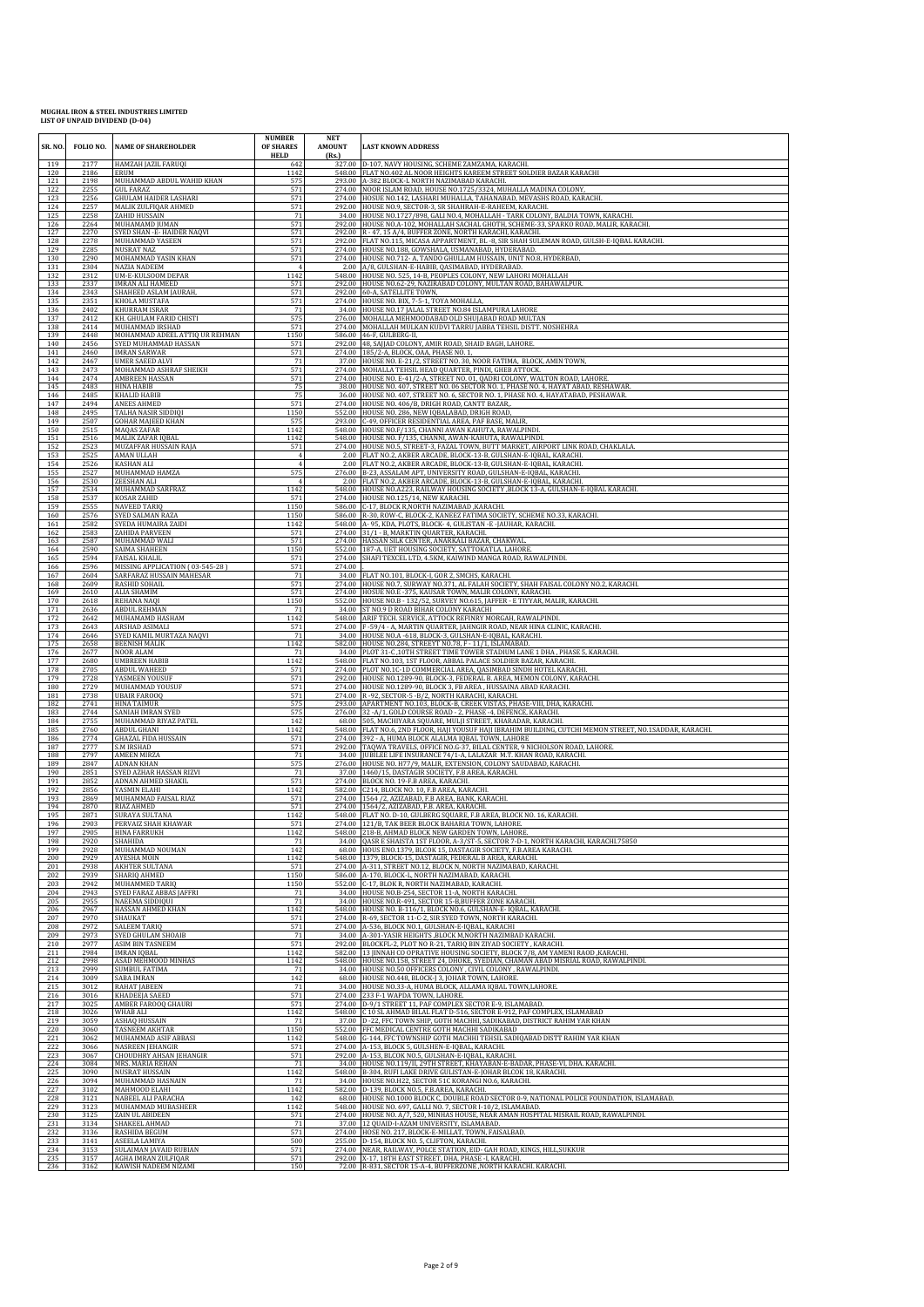| SR. NO.<br>119 | 2177                 | FOLIO NO. NAME OF SHAREHOLDER<br>HAMZAH JAZIL FARUQI        | <b>NUMBER</b><br>OF SHARES<br>HELD<br>642 | <b>NET</b><br><b>AMOUNT</b><br>(Rs.) | <b>LAST KNOWN ADDRESS</b><br>327.00 D-107, NAVY HOUSING, SCHEME ZAMZAMA, KARACHI.                                                                          |
|----------------|----------------------|-------------------------------------------------------------|-------------------------------------------|--------------------------------------|------------------------------------------------------------------------------------------------------------------------------------------------------------|
| 120            | 2186                 | ERUM                                                        | 1142                                      |                                      | 548.00 FLAT NO.402 AL NOOR HEIGHTS KAREEM STREET SOLDIER BAZAR KARACHI                                                                                     |
| 121            | 2198                 | MUHAMMAD ABDUL WAHID KHAN                                   | 575                                       |                                      | 293.00 A-382 BLOCK-L NORTH NAZIMABAD KARACHI.                                                                                                              |
| 122            | 2255                 | GUL FARAZ                                                   | 571                                       | 274.00                               | 274.00 NOOR ISLAM ROAD, HOUSE NO.1725/3324, MUHALLA MADINA COLONY                                                                                          |
| 123            | 2256                 | GHULAM HAIDER LASHARI                                       | 571                                       |                                      | HOSUE NO.142, LASHARI MUHALLA, TAHANABAD, MEVASHS ROAD, KARACHI                                                                                            |
| 124            | 2257                 | MALIK ZULFIQAR AHMED                                        | 571                                       | 292.00                               | HOUSE NO.9, SECTOR-3, SR SHAHRAH-E-RAHEEM, KARACHI.                                                                                                        |
| 125            | 2258                 | ZAHID HUSSAIN                                               | 71                                        | 34.00                                | HOUSE NO.1727/898, GALI NO.4, MOHALLAH - TARK COLONY, BALDIA TOWN, KARACHI                                                                                 |
| 126            | 2264                 | MUHAMAMD JUMAN                                              | 571                                       |                                      | 292.00 HOUSE NO.A-102, MOHALLAH SACHAL GHOTH, SCHEME-33, SPARKO ROAD, MALIR, KARACHI.                                                                      |
| 127            | 2270                 | SYED SHAN - E- HAIDER NAQVI                                 | 571                                       |                                      | 292.00 R - 47, 15 A/4, BUFFER ZONE, NORTH KARACHI, KARACHI.                                                                                                |
| 128            | 2278                 | MUHAMMAD YASEEN                                             | 571                                       |                                      | 292.00 FLAT NO.115, MICASA APPARTMENT, BL -8, SIR SHAH SULEMAN ROAD, GULSH-E-IQBAL KARACHI.                                                                |
| 129            | 2285                 | <b>NUSRAT NAZ</b>                                           | 571                                       |                                      | 274.00 HOUSE NO.188, GOWSHALA, USMANABAD, HYDERABAD                                                                                                        |
| 130<br>131     | 2290<br>2304         | MOHAMMAD YASIN KHAN<br><b>NAZIA NADEEM</b>                  | 571                                       | 2.00                                 | 274.00 HOUSE NO.712- A, TANDO GHULLAM HUSSAIN, UNIT NO.8, HYDERBAD,<br>A/8, GULSHAN-E-HABIB, QASIMABAD, HYDERABAD.                                         |
| 132            | 2312                 | UM-E-KULSOOM DEPAR                                          | 1142                                      |                                      | 548.00 HOUSE NO. 525, 14-B, PEOPLES COLONY, NEW LAHORI MOHALLAH                                                                                            |
| 133            | 2337                 | <b>IMRAN ALI HAMEED</b>                                     | 571                                       |                                      | 292.00 HOUSE NO.62-29, NAZIRABAD COLONY, MULTAN ROAD, BAHAWALPUR.                                                                                          |
| 134            | 2343                 | SHAHEED ASLAM JAURAH,                                       | 571                                       |                                      | 292.00 60-A, SATELLITE TOWN                                                                                                                                |
| 135            | 2351                 | KHOLA MUSTAFA                                               | 571                                       |                                      | 274.00 HOUSE NO. BIX, 7-5-1, TOYA MOHALLA                                                                                                                  |
| 136            | 2402                 | <b>KHURRAM ISRAR</b>                                        | 71                                        | 34.00                                | HOUSE NO.17 JALAL STREET NO.84 ISLAMPURA LAHORE                                                                                                            |
| 137            | 2412                 | KH. GHULAM FARID CHISTI                                     | 575                                       |                                      | 276.00 MOHALLA MEHMOODABAD OLD SHUJABAD ROAD MULTAN                                                                                                        |
| 138            | 2414                 | MUHAMMAD IRSHAD                                             | 571                                       |                                      | 274.00 MOHALLAH MULKAN KUDVI TARRU JABBA TEHSIL DISTT. NOSHEHRA                                                                                            |
| 139            | 2448                 | MOHAMMAD ADEEL ATTIQ UR REHMAN                              | 1150                                      |                                      | 586.00 46-F, GULBERG-II,                                                                                                                                   |
| 140            | 2456                 | SYED MUHAMMAD HASSAN                                        | 571                                       |                                      | 292.00 48, SAJJAD COLONY, AMIR ROAD, SHAID BAGH, LAHORE.                                                                                                   |
| 141            | 2460                 | <b>IMRAN SARWAR</b>                                         | 571                                       |                                      | 274.00 185/2-A, BLOCK, OAA, PHASE NO. 1                                                                                                                    |
| 142            | 2467                 | <b>UMER SAEED ALVI</b>                                      | 71                                        |                                      | 37.00 HOUSE NO. E-21/2, STREET NO. 30, NOOR FATIMA, BLOCK, AMIN TOWN                                                                                       |
| 143            | 2473                 | MOHAMMAD ASHRAF SHEIKH                                      | 571                                       |                                      | 274.00 MOHALLA TEHSIL HEAD QUARTER, PINDI, GHEB ATTOCK.                                                                                                    |
| 144            | 2474                 | <b>AMBREEN HASSAN</b>                                       | 571                                       |                                      | 274.00 HOUSE NO. E-41/2-A, STREET NO. 01, QADRI COLONY, WALTON ROAD, LAHORE                                                                                |
| 145            | 2483                 | HINA HABIB                                                  | 75                                        |                                      | 38.00 HOUSE NO. 407, STREET NO. 06 SECTOR NO. 1, PHASE NO. 4, HAYAT ABAD, RESHAWAR.                                                                        |
| 146            | 2485                 | <b>KHALID HABIB</b>                                         | 75                                        |                                      | 36.00 HOUSE NO. 407, STREET NO. 6, SECTOR NO. 1, PHASE NO. 4, HAYATABAD, PESHAWAR.                                                                         |
| 147            | 2494                 | <b>ANEES AHMED</b>                                          | 571                                       |                                      | 274.00 HOUSE NO. 406/B, DRIGH ROAD, CANTT BAZAR,                                                                                                           |
| 148            | 2495                 | TALHA NASIR SIDDIQI                                         | 1150                                      | 552.00                               | HOUSE NO. 286, NEW IQBALABAD, DRIGH ROAD                                                                                                                   |
| 149            | 2507                 | <b>GOHAR MAJEED KHAN</b>                                    | 575                                       |                                      | 293.00 C-49, OFFICER RESIDENTIAL AREA, PAF BASE, MALIR                                                                                                     |
| 150            | 2515                 | <b>MAQAS ZAFAR</b>                                          | 1142                                      |                                      | 548.00 HOUSE NO.F/135, CHANNI AWAN KAHUTA, RAWALPINDI                                                                                                      |
| 151            | 2516                 | MALIK ZAFAR IQBAL                                           | 1142                                      |                                      | 548.00 HOUSE NO. F/135, CHANNI, AWAN-KAHUTA, RAWALPINDI                                                                                                    |
| 152<br>153     | 2523<br>2525         | MUZAFFAR HUSSAIN RAJA<br>AMAN ULLAH                         | 571                                       | 2.00                                 | 274.00 HOUSE NO.5, STREET-3, FAZAL TOWN, BUTT MARKET, AIRPORT LINK ROAD, CHAKLALA.<br>FLAT NO.2, AKBER ARCADE, BLOCK-13-B, GULSHAN-E-IQBAL, KARACHI.       |
| 154<br>155     | 2526<br>2527         | KASHAN ALI<br>MUHAMMAD HAMZA                                | 575                                       |                                      | 2.00 FLAT NO.2, AKBER ARCADE, BLOCK-13-B, GULSHAN-E-IQBAL, KARACHI.<br>276.00 B-23, ASSALAM APT, UNIVERSITY ROAD, GULSHAN-E-IQBAL, KARACHI.                |
| 156<br>157     | 2530<br>2534         | <b>ZEESHAN ALI</b><br>MUHAMMAD SARFRAZ                      | 1142                                      |                                      | 2.00 FLAT NO.2, AKBER ARCADE, BLOCK-13-B, GULSHAN-E-IQBAL, KARACHI<br>548.00 HOUSE NO.A223, RAILWAY HOUSING SOCIETY , BLOCK 13-A, GULSHAN-E-IQBAL KARACHI. |
| 158            | 2537                 | KOSAR ZAHID                                                 | 571                                       |                                      | 274.00 HOUSE NO.125/14, NEW KARACHI.                                                                                                                       |
| 159            | 2555                 | <b>NAVEED TARIQ</b>                                         | 1150                                      |                                      | 586.00 C-17, BLOCK R, NORTH NAZIMABAD , KARACHI.                                                                                                           |
| 160            | 2576                 | SYED SALMAN RAZA                                            | 1150                                      |                                      | 586.00 R-30, ROW-C, BLOCK-2, KANEEZ FATIMA SOCIETY, SCHEME NO.33, KARACHI                                                                                  |
| 161            | 2582                 | SYEDA HUMAIRA ZAIDI                                         | 1142                                      |                                      | 548.00 A- 95, KDA, PLOTS, BLOCK- 4, GULISTAN - E -JAUHAR, KARACHI                                                                                          |
| 162            | 2583                 | <b>ZAHIDA PARVEEN</b>                                       | 571                                       |                                      | 274.00 31/1 - B, MARKTIN QUARTER, KARACHI.                                                                                                                 |
| 163            | 2587                 | MUHAMMAD WALI                                               | 571                                       |                                      | 274.00 HASSAN SILK CENTER, ANARKALI BAZAR, CHAKWAL                                                                                                         |
| 164            | 2590                 | SAIMA SHAHEEN                                               | 1150                                      |                                      | 552.00 187-A, UET HOUSING SOCIETY, SATTOKATLA, LAHORE                                                                                                      |
| 165            | 2594                 | <b>FAISAL KHALIL</b>                                        | 571                                       |                                      | 274.00 SHAFI TEXCEL LTD, 4.5KM, KAIWIND MANGA ROAD, RAWALPINDI.                                                                                            |
| 166<br>167     | 2596<br>2604         | MISSING APPLICATION (03-545-28)<br>SARFARAZ HUSSAIN MAHESAF | 571<br>71                                 | 274.00                               | 34.00 FLAT NO.101, BLOCK-I, GOR 2, SMCHS, KARACHI.                                                                                                         |
| 168            | 2609                 | <b>RASHID SOHAIL</b>                                        | 571                                       |                                      | 274.00 HOUSE NO.7, SURWAY NO.371, AL FALAH SOCIETY, SHAH FAISAL COLONY NO.2, KARACHI.                                                                      |
| 169            | 2610                 | <b>ALIA SHAMIM</b>                                          | 571                                       |                                      | 274.00 HOSUE NO.E -375, KAUSAR TOWN, MALIR COLONY, KARACHI                                                                                                 |
| 170            | 2618                 | REHANA NAQI                                                 | 1150                                      |                                      | 552.00 HOUSE NO.B - 132/52, SURVEY NO.615, JAFFER - E TIYYAR, MALIR, KARACHI.                                                                              |
| 171            | 2636                 | <b>ABDUL REHMAN</b>                                         | 71                                        |                                      | 34.00 ST NO.9 D ROAD BIHAR COLONY KARACHI                                                                                                                  |
| 172            | 2642                 | MUHAMAMD HASHAM                                             | 1142                                      |                                      | 548.00 ARIF TECH. SERVICE, ATTOCK REFINRY MORGAH, RAWALPINDI.                                                                                              |
| 173            | 2643                 | <b>ARSHAD ASIMALI</b>                                       | 571                                       |                                      | 274.00 F-59/4 - A, MARTIN QUARTER, JAHNGIR ROAD, NEAR HINA CLINIC, KARACHI.                                                                                |
| 174            | 2646                 | SYED KAMIL MURTAZA NAQVI                                    | 71                                        | 34.00                                | HOUSE NO.A -618, BLOCK-3, GULSHAN-E-IQBAL, KARACHI.                                                                                                        |
| 175            | 2658                 | <b>BEENISH MALIK</b>                                        | 1142                                      |                                      | 582.00 HOUSE NO.284, STREEYT NO.78, F - 11/1, ISLAMABAD.                                                                                                   |
| 176            | 2677                 | NOOR ALAM                                                   | 71                                        |                                      | 34.00 PLOT 31-C, 10TH STREET TIME TOWER STADIUM LANE 1 DHA, PHASE 5, KARACHI.                                                                              |
| 177            | 2680                 | <b>UMBREEN HABIB</b>                                        | 1142                                      |                                      | 548.00 FLAT NO.103, 1ST FLOOR, ABBAL PALACE SOLDIER BAZAR, KARACHI.                                                                                        |
| 178            | 2705                 | <b>ABDUL WAHEED</b>                                         | 571                                       | 274.00                               | PLOT NO.1C-1D COMMERCIAL AREA, QASIMBAD SINDH HOTEL KARACHI                                                                                                |
| 179            | 2728                 | YASMEEN YOUSUF                                              | 571                                       |                                      | 292.00 HOUSE NO.1289-90, BLOCK-3, FEDERAL B. AREA, MEMON COLONY, KARACHI.                                                                                  |
| 180            | 2729                 | MUHAMMAD YOUSUF                                             | 571                                       | 274.00                               | 274.00 HOUSE NO.1289-90, BLOCK 3, FB AREA, HUSSAINA ABAD KARACHI                                                                                           |
| 181            | 2738                 | <b>UBAIR FAROOQ</b>                                         | 571                                       |                                      | R-92, SECTOR-5-B/2, NORTH KARACHI, KARACHI                                                                                                                 |
| 182            | 2741                 | <b>HINA TAIMUR</b>                                          | 575                                       |                                      | 293.00 APARTMENT NO.103, BLOCK-B, CREEK VISTAS, PHASE-VIII, DHA, KARACHI.                                                                                  |
| 183            | 2744                 | SANIAH IMRAN SYED                                           | 575                                       |                                      | 276.00 32 -A/1, GOLD COURSE ROAD - 2, PHASE -4, DEFENCE, KARACHI.                                                                                          |
| 184            | 2755                 | MUHAMMAD RIYAZ PATEL                                        | 142                                       |                                      | 68.00 505, MACHIYARA SQUARE, MULJI STREET, KHARADAR, KARACHI                                                                                               |
| 185            | 2760                 | ABDUL GHANI                                                 | 1142                                      |                                      | 548.00 FLAT NO.6, 2ND FLOOR, HAJI YOUSUF HAJI IBRAHIM BUILDING, CUTCHI MEMON STREET, NO.1SADDAR, KARACHI.                                                  |
| 186            | 2774                 | <b>GHAZAL FIDA HUSSAIN</b>                                  | 571                                       |                                      | 274.00 392 - A, HUMA BLOCK ALALMA IQBAL TOWN, LAHORE                                                                                                       |
| 187            | 2777                 | <b>S.M IRSHAD</b>                                           | 571                                       |                                      | 292.00 TAQWA TRAVELS, OFFICE NO.G-37, BILAL CENTER, 9 NICHOLSON ROAD, LAHORE                                                                               |
| 188            | 2797                 | <b>AMEEN MIRZA</b>                                          | 71                                        |                                      | 34.00 JUBILEE LIFE INSURANCE 74/1-A, LALAZAR M.T. KHAN ROAD, KARACHI.                                                                                      |
| 189<br>190     | 2847                 | <b>ADNAN KHAN</b><br>SYED AZHAR HASSAN RIZVI                | 575<br>71                                 |                                      | 276.00 HOUSE NO. H77/9, MALIR, EXTENSION, COLONY SAUDABAD, KARACHI.<br>37.00 1460/15, DASTAGIR SOCIETY, F.B AREA, KARACHI.                                 |
| 191<br>192     | 2851<br>2852<br>2856 | ADNAN AHMED SHAKIL<br>YASMIN ELAHI                          | 571<br>1142                               |                                      | 274.00 BLOCK NO. 19-F.B AREA, KARACHI<br>582.00 C214, BLOCK NO. 10, F.B AREA, KARACHI                                                                      |
| 193            | 2869                 | MUHAMMAD FAISAL RIAZ                                        | 571                                       |                                      | 274.00 1564 / 2. AZIZABAD, F.B AREA, BANK, KARACHI,                                                                                                        |
| 194            | 2870                 | RIAZ AHMED                                                  | 571                                       |                                      | 274.00 1564/2, AZIZABAD, F.B. AREA, KARACHI.                                                                                                               |
| 195            | 2871                 | SURAYA SULTANA                                              | 1142                                      |                                      | 548.00 FLAT NO. D-10, GULBERG SQUARE, F.B AREA, BLOCK NO. 16, KARACHL                                                                                      |
| 196            | 2903                 | PERVAIZ SHAH KHAWAR                                         | 571                                       |                                      | 274.00 121/B, TAK BEER BLOCK BAHARIA TOWN, LAHORE.                                                                                                         |
| 197<br>198     | 2905                 | <b>HINA FARRUKH</b><br>SHAHIDA                              | 1142<br>71                                | 34.00                                | 548.00 218-B, AHMAD BLOCK NEW GARDEN TOWN, LAHORE.<br>QASR E SHAISTA 1ST FLOOR, A-3/ST-5, SECTOR 7-D-1, NORTH KARACHI, KARACHI.75850                       |
| 199            | 2920<br>2928         | MUHAMMAD NOUMAN                                             | 142                                       |                                      | 68.00 HOUS ENO.1379, BLCOK 15, DASTAGIR SOCIETY, F.B.AREA KARACHI.                                                                                         |
| 200            | 2929                 | AYESHA MOIN                                                 | 1142                                      |                                      | 548.00 1379. BLOCK-15. DASTAGIR, FEDERAL B AREA, KARACHI                                                                                                   |
| 201            | 2938                 | <b>AKHTER SULTANA</b>                                       | 571                                       |                                      | 274.00 A-311, STREET NO.12, BLOCK N, NORTH NAZIMABAD, KARACHI.                                                                                             |
| 202            | 2939                 | SHARIQ AHMED                                                | 1150                                      |                                      | 586.00 A-170, BLOCK-L, NORTH NAZIMABAD, KARACHI.                                                                                                           |
| 203            | 2942                 | MUHAMMED TARIQ                                              | 1150                                      | 552.00                               | C-17, BLOK R, NORTH NAZIMABAD, KARACHI.                                                                                                                    |
| 204            | 2943                 | SYED FARAZ ABBAS JAFFRI                                     | 71                                        | 34.00                                | HOUSE NO.B-254, SECTOR 11-A, NORTH KARACHI.                                                                                                                |
| 205            | 2955                 | NAEEMA SIDDIQUI                                             | 71                                        | 548.00                               | 34.00 HOUSE NO.R-491, SECTOR 15-B, BUFFER ZONE KARACHI.                                                                                                    |
| 206            | 2967                 | HASSAN AHMED KHAN                                           | 1142                                      |                                      | HOUSE NO. B-116/1, BLOCK NO.6, GULSHAN-E-IQBAL, KARACHI                                                                                                    |
| 207            | 2970                 | SHAUKAT                                                     | 571                                       |                                      | 274.00 R-69, SECTOR 11-C-2, SIR SYED TOWN, NORTH KARACHI.                                                                                                  |
| 208            | 2972                 | SALEEM TARIQ                                                | 571                                       |                                      | 274.00 A-536, BLOCK NO.1, GULSHAN-E-IQBAL, KARACHI                                                                                                         |
| 209            | 2973                 | SYED GHULAM SHOAIB                                          | 71                                        |                                      | 34.00 A-301-YASIR HEIGHTS ,BLOCK M,NORTH NAZIMBAD KARACHI.                                                                                                 |
| 210            | 2977                 | ASIM BIN TASNEEM                                            | 571                                       |                                      | 292.00 BLOCKFL-2, PLOT NO R-21, TARIQ BIN ZIYAD SOCIETY, KARACHI                                                                                           |
| 211            | 2984                 | <b>IMRAN IQBAL</b>                                          | 1142                                      | 548.00                               | 582.00 13 JINNAH CO OPRATIVE HOUSING SOCIETY, BLOCK 7/8, AM YAMENI RAOD , KARACHI.                                                                         |
| 212            | 2998                 | ASAD MEHMOOD MINHAS                                         | 1142                                      |                                      | HOUSE NO.158, STREET 24, DHOKE, SYEDIAN, CHAMAN ABAD MISRIAL ROAD, RAWALPINDI                                                                              |
| 213            | 2999                 | <b>SUMBUL FATIMA</b>                                        | 71                                        | 34.00                                | HOUSE NO.50 OFFICERS COLONY, CIVIL COLONY, RAWALPINDI.                                                                                                     |
| 214            | 3009                 | SABA IMRAN                                                  | 142                                       |                                      | 68.00 HOUSE NO.448, BLOCK-J 3, JOHAR TOWN, LAHORE.                                                                                                         |
| 215            | 3012                 | RAHAT JABEEN                                                | 71                                        | 274.00                               | 34.00 HOUSE NO.33-A, HUMA BLOCK, ALLAMA IQBAL TOWN, LAHORE.                                                                                                |
| 216            | 3016                 | KHADEEJA SAEED                                              | 571                                       |                                      | 233 F-1 WAPDA TOWN, LAHORE.                                                                                                                                |
| 217            | 3025                 | <b>AMBER FAROOQ GHAURI</b>                                  | 571                                       |                                      | 274.00 D-9/1 STREET 11, PAF COMPLEX SECTOR E-9, ISLAMABAD.                                                                                                 |
| 218            | 3026                 | WHAB ALI                                                    | 1142                                      |                                      | 548.00 C 10 SL AHMAD BILAL FLAT D-516, SECTOR E-912, PAF COMPLEX, ISLAMABAD                                                                                |
| 219            | 3059                 | <b>ASHAQ HUSSAIN</b>                                        | 71                                        |                                      | 37.00 D-22, FFC TOWN SHIP, GOTH MACHHI, SADIKABAD, DISTRICT RAHIM YAR KHAN                                                                                 |
| 220            | 3060                 | <b>TASNEEM AKHTAR</b>                                       | 1150                                      |                                      | 552.00 FFC MEDICAL CENTRE GOTH MACHHI SADIKABAD                                                                                                            |
| 221            | 3062                 | MUHAMMAD ASIF ABBASI                                        | 1142                                      |                                      | 548.00 G-144, FFC TOWNSHIP GOTH MACHHI TEHSIL SADIQABAD DISTT RAHIM YAR KHAN                                                                               |
| 222            | 3066                 | <b>NASREEN JEHANGIR</b>                                     | 571                                       |                                      | 274.00 A-153, BLOCK 5, GULSHEN-E-IQBAL, KARACHI.                                                                                                           |
| 223            | 3067                 | CHOUDHRY AHSAN JEHANGIR                                     | 571                                       |                                      | 292.00 A-153, BLCOK NO.5, GULSHAN-E-IQBAL, KARACHI.                                                                                                        |
| 224            | 3084                 | MRS. MARIA REHAN                                            | 71                                        | 34.00                                | HOUSE NO.119/II, 29TH STREET, KHAYABAN-E-BADAR, PHASE-VI, DHA. KARACHI.                                                                                    |
| 225            | 3090                 | NUSRAT HUSSAIN                                              | 1142                                      |                                      | 548.00 B-304, RUFI LAKE DRIVE GULISTAN-E-JOHAR BLCOK 18, KARACHI.                                                                                          |
| 226            | 3094                 | MUHAMMAD HASNAIN                                            | 71                                        |                                      | 34.00 HOUSE NO.H22, SECTOR 51C KORANGI NO.6, KARACHI.                                                                                                      |
| 227            | 3102                 | MAHMOOD ELAHI                                               | 1142                                      |                                      | 582.00 D-139, BLOCK NO.5, F.B.AREA, KARACHI.                                                                                                               |
| 228            | 3121                 | NABEEL ALI PARACHA                                          | 142                                       | 68.00                                | HOUSE NO.1000 BLOCK C, DOUBLE ROAD SECTOR 0-9, NATIONAL POLICE FOUNDATION, ISLAMABAD.                                                                      |
| 229            | 3123                 | MUHAMMAD MUBASHEER                                          | 1142                                      |                                      | 548.00 HOUSE NO. 697, GALLI NO. 7, SECTOR I-10/2, ISLAMABAD.                                                                                               |
| 230            | 3125                 | ZAIN UL ABIDEEN                                             | 571                                       |                                      | 274.00 HOUSE NO. A/7, 520, MINHAS HOUSE, NEAR AMAN HOSPITAL MISRAIL ROAD, RAWALPINDI.                                                                      |
| 231            | 3134                 | SHAKEEL AHMAD                                               | 71                                        |                                      | 37.00 12 QUAID-I-AZAM UNIVERSITY, ISLAMABAD.                                                                                                               |
| 232            | 3136                 | RASHIDA BEGUM                                               | 571                                       |                                      | 274.00 HOSE NO. 217, BLOCK-E-MILLAT, TOWN, FAISALBAD.                                                                                                      |
| 233            | 3141                 | ASEELA LAMIYA                                               | 500                                       |                                      | 255.00 D-154, BLOCK NO. 5, CLIFTON, KARACHI.                                                                                                               |
| 234            | 3153                 | SULAIMAN JAVAID RUBIAN                                      | 571                                       |                                      | 274.00 NEAR, RAILWAY, POLCE STATION, EID- GAH ROAD, KINGS, HILL, SUKKUR                                                                                    |
| 235            | 3157                 | AGHA IMRAN ZULFIQAR                                         | 571                                       |                                      | 292.00 X-17, 18TH EAST STREET, DHA, PHASE -I, KARACHI                                                                                                      |
| 236            | 3162                 | KAWISH NADEEM NIZAMI                                        | 150                                       |                                      | 72.00 R-831, SECTOR 15-A-4, BUFFERZONE , NORTH KARACHI. KARACHI.                                                                                           |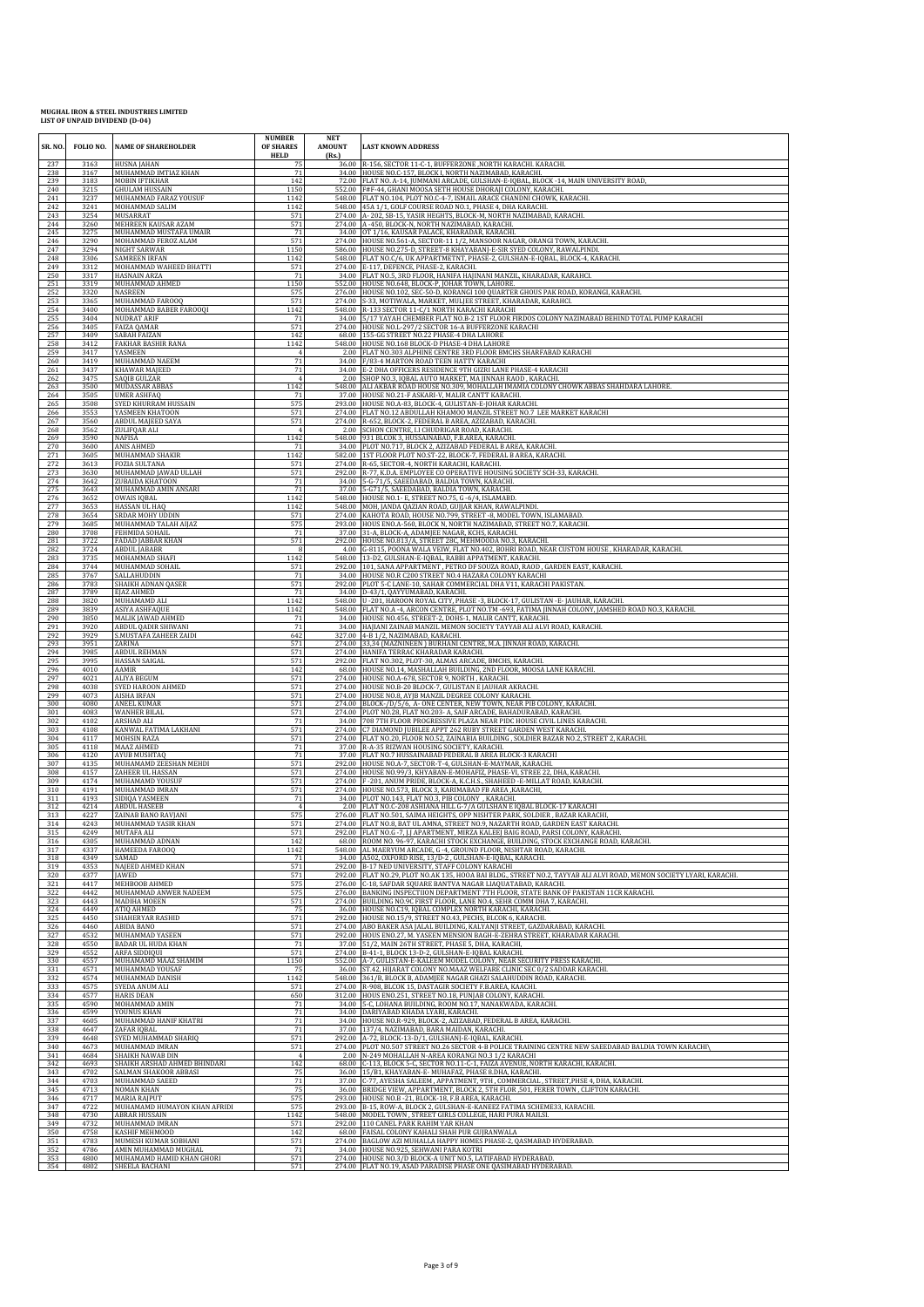| SR. NO.    | FOLIO NO.    | <b>NAME OF SHAREHOLDER</b>            | <b>NUMBER</b><br>OF SHARES<br><b>HELD</b> | <b>NET</b><br><b>AMOUNT</b><br>(Rs.) | <b>LAST KNOWN ADDRESS</b><br>36.00 R-156, SECTOR 11-C-1, BUFFERZONE , NORTH KARACHI. KARACHI.                                                                      |
|------------|--------------|---------------------------------------|-------------------------------------------|--------------------------------------|--------------------------------------------------------------------------------------------------------------------------------------------------------------------|
| 237<br>238 | 3163<br>3167 | HUSNA JAHAN<br>MUHAMMAD IMTIAZ KHAN   | 75<br>71                                  |                                      | 34.00 HOUSE NO.C-157, BLOCK I, NORTH NAZIMABAD, KARACHI.                                                                                                           |
| 239        | 3183         | MOBIN IFTIKHAR                        | 142                                       |                                      | 72.00 FLAT NO. A-14, JUMMANI ARCADE, GULSHAN-E-IQBAL, BLOCK -14, MAIN UNIVERSITY ROAD,                                                                             |
| 240        | 3215         | <b>GHULAM HUSSAIN</b>                 | 1150                                      |                                      | 552.00 F#F-44, GHANI MOOSA SETH HOUSE DHORAJI COLONY, KARACHI.                                                                                                     |
| 241        | 3237         | MUHAMMAD FARAZ YOUSUF                 | 1142                                      | 548.00                               | 548.00 FLAT NO.104, PLOT NO.C-4-7, ISMAIL ARACE CHANDNI CHOWK, KARACHI.                                                                                            |
| 242        | 3241         | MOHAMMAD SALIM                        | 1142                                      |                                      | 45A 1/1, GOLF COURSE ROAD NO.1, PHASE 4, DHA KARACHI.                                                                                                              |
| 243        | 3254         | MUSARRAT                              | 571                                       |                                      | 274.00 A-202, SB-15, YASIR HEGHTS, BLOCK-M, NORTH NAZIMABAD, KARACHI.                                                                                              |
| 244        | 3260         | MEHREEN KAUSAR AZAM                   | 571                                       |                                      | 274.00 A-450, BLOCK-N, NORTH NAZIMABAD, KARACHI                                                                                                                    |
| 245        | 3275         | MUHAMMAD MUSTAFA UMAIR                | 71                                        |                                      | 34.00 OT 1/16, KAUSAR PALACE, KHARADAR, KARACHI.                                                                                                                   |
| 246        | 3290         | MOHAMMAD FEROZ ALAM                   | 571                                       |                                      | 274.00 HOUSE NO.561-A, SECTOR-11 1/2, MANSOOR NAGAR, ORANGI TOWN, KARACHI.                                                                                         |
| 247        | 3294         | NIGHT SARWAR                          | 1150                                      |                                      | 586.00 HOUSE NO.275-D, STREET-8 KHAYABANJ-E-SIR SYED COLONY, RAWALPINDI.                                                                                           |
| 248        | 3306         | SAMREEN IRFAN                         | 1142                                      |                                      | 548.00 FLAT NO.C/6, UK APPARTMETNT, PHASE-2, GULSHAN-E-IQBAL, BLOCK-4, KARACHI.                                                                                    |
| 249        | 3312         | MOHAMMAD WAHEED BHATTI                | 571                                       | 274.00                               | E-117, DEFENCE, PHASE-2, KARACHI.                                                                                                                                  |
| 250        | 3317         | <b>HASNAIN ARZA</b>                   | 71                                        |                                      | 34.00 FLAT NO.5, 3RD FLOOR, HANIFA HAJINANI MANZIL, KHARADAR, KARAHCI.                                                                                             |
| 251        | 3319         | MUHAMMAD AHMED                        | 1150                                      |                                      | 552.00 HOUSE NO.648, BLOCK-P, JOHAR TOWN, LAHORE.                                                                                                                  |
| 252        | 3320         | NASREEN                               | 575                                       |                                      | 276.00 HOUSE NO.102, SEC-50-D, KORANGI 100 QUARTER GHOUS PAK ROAD, KORANGI, KARACHI.                                                                               |
| 253        | 3365         | MUHAMMAD FAROOQ                       | 571                                       | 548.00                               | 274.00 S-33, MOTIWALA, MARKET, MULJEE STREET, KHARADAR, KARAHCI.                                                                                                   |
| 254        | 3400         | MOHAMMAD BABER FAROOQI                | 1142                                      |                                      | R-133 SECTOR 11-C/1 NORTH KARACHI KARACHI                                                                                                                          |
| 255        | 3404         | NUDRAT ARIF                           | 71                                        | 34.00                                | 5/17 YAYAH CHEMBER FLAT NO.B-2 1ST FLOOR FIRDOS COLONY NAZIMABAD BEHIND TOTAL PUMP KARACHI                                                                         |
| 256        | 3405         | <b>FAIZA QAMAR</b>                    | 571                                       |                                      | 274.00 HOUSE NO.L-297/2 SECTOR 16-A BUFFERZONE KARACHI                                                                                                             |
| 257        | 3409         | <b>SABAH FAIZAN</b>                   | 142                                       |                                      | 68.00 155-GG STREET NO.22 PHASE-4 DHA LAHORE                                                                                                                       |
| 258        | 3412         | FAKHAR BASHIR RANA                    | 1142                                      |                                      | 548.00 HOUSE NO.168 BLOCK-D PHASE-4 DHA LAHORE                                                                                                                     |
| 259        | 3417         | YASMEEN                               | $\overline{4}$                            |                                      | 2.00 FLAT NO.303 ALPHINE CENTRE 3RD FLOOR BMCHS SHARFABAD KARACHI                                                                                                  |
| 260        | 3419         | MUHAMMAD NAEEM                        | 71                                        |                                      | 34.00 F/83-4 MARTON ROAD TEEN HATTY KARACHI                                                                                                                        |
| 261        | 3437         | KHAWAR MAJEED                         | 71                                        | 34.00                                | E-2 DHA OFFICERS RESIDENCE 9TH GIZRI LANE PHASE-4 KARACHI                                                                                                          |
| 262        | 3475         | SAQIB GULZAR                          | $\overline{4}$                            |                                      | 2.00 SHOP NO.3, IQBAL AUTO MARKET, MA JINNAH RAOD, KARACHI.                                                                                                        |
| 263        | 3500         | MUDASSAR ABBAS                        | 1142                                      |                                      | 548.00 ALI AKBAR ROAD HOUSE NO.309, MOHALLAH IMAMIA COLONY CHOWK ABBAS SHAHDARA LAHORE.                                                                            |
| 264        | 3505         | <b>UMER ASHFAQ</b>                    | 71                                        |                                      | 37.00 HOUSE NO.21-F ASKARI-V, MALIR CANTT KARACHI.                                                                                                                 |
| 265        | 3508         | SYED KHURRAM HUSSAIN                  | 575                                       |                                      | 293.00 HOUSE NO.A-83, BLOCK-4, GULISTAN-E-JOHAR KARACHI.                                                                                                           |
| 266        | 3553         | YASMEEN KHATOON                       | 571                                       |                                      | 274.00 FLAT NO.12 ABDULLAH KHAMOO MANZIL STREET NO.7 LEE MARKET KARACHI                                                                                            |
| 267        | 3560         | ABDUL MAJEED SAYA                     | 571                                       |                                      | 274.00 R-652, BLOCK-2, FEDERAL B AREA, AZIZABAD, KARACHI.                                                                                                          |
| 268<br>269 | 3562<br>3590 | ZULIFQAR ALI<br><b>NAFISA</b>         | 1142                                      | 2.00                                 | SCHON CENTRE, I.I CHUDRIGAR ROAD, KARACHI.<br>548.00 931 BLCOK 3, HUSSAINABAD, F.B.AREA, KARACHI.<br>34.00 PLOT NO.717, BLOCK 2, AZIZABAD FEDERAL B AREA, KARACHI. |
| 270<br>271 | 3600<br>3605 | <b>ANIS AHMED</b><br>MUHAMMAD SHAKIR  | 71<br>1142                                |                                      | 582.00 1ST FLOOR PLOT NO.ST-22, BLOCK-7, FEDERAL B AREA, KARACHI.                                                                                                  |
| 272        | 3613         | <b>FOZIA SULTANA</b>                  | 571                                       | 292.00                               | 274.00 R-65, SECTOR-4, NORTH KARACHI, KARACHI.                                                                                                                     |
| 273        | 3630         | MUHAMMAD JAWAD ULLAH                  | 571                                       |                                      | R-77, K.D.A. EMPLOYEE CO OPERATIVE HOUSING SOCIETY SCH-33, KARACHI.                                                                                                |
| 274        | 3642         | <b>ZUBAIDA KHATOON</b>                | 71                                        | 34.00                                | 5-G-71/5, SAEEDABAD, BALDIA TOWN, KARACHI.                                                                                                                         |
| 275        | 3643         | MUHAMMAD AMIN ANSARI                  | 71                                        |                                      | 37.00 5-G71/5, SAEEDABAD, BALDIA TOWN, KARACHI.                                                                                                                    |
| 276        | 3652         | <b>OWAIS IQBAL</b>                    | 1142                                      |                                      | 548.00 HOUSE NO.1- E, STREET NO.75, G-6/4, ISLAMABD.                                                                                                               |
| 277        | 3653         | HASSAN UL HAQ                         | 1142                                      |                                      | 548.00 MOH, JANDA QAZIAN ROAD, GUJJAR KHAN, RAWALPINDI.                                                                                                            |
| 278        | 3654         | SRDAR MOHY UDDIN                      | 571                                       |                                      | 274.00 KAHOTA ROAD, HOUSE NO.799, STREET -8, MODEL TOWN, ISLAMABAD.                                                                                                |
| 279        | 3685         | MUHAMMAD TALAH AIJAZ                  | 575                                       |                                      | 293.00 HOUS ENO.A-560, BLOCK N, NORTH NAZIMABAD, STREET NO.7, KARACHI.                                                                                             |
| 280        | 3708         | FEHMIDA SOHAIL                        | 71                                        | 37.00                                | 31-A, BLOCK-A, ADAMJEE NAGAR, KCHS, KARACHI.                                                                                                                       |
| 281        | 3722         | <b>FADAD JABBAR KHAN</b>              | 571                                       | 292.00                               | HOUSE NO.813/A, STREET 28C, MEHMOODA NO.3, KARACHI.                                                                                                                |
| 282<br>283 | 3724<br>3735 | <b>ABDUL JABABR</b><br>MOHAMMAD SHAFI | 1142                                      |                                      | 4.00 G-8115, POONA WALA VEIW, FLAT NO.402, BOHRI ROAD, NEAR CUSTOM HOUSE, KHARADAR, KARACHI<br>548.00 13-D2, GULSHAN-E-IQBAL, RABBI APPATMENT, KARACHI.            |
| 284        | 3744         | MUHAMMAD SOHAIL                       | 571                                       | 34.00                                | 292.00 101, SANA APPARTMENT, PETRO DF SOUZA ROAD, RAOD, GARDEN EAST, KARACHI.                                                                                      |
| 285        | 3767         | SALLAHUDDIN                           | 71                                        |                                      | HOUSE NO.R C200 STREET NO.4 HAZARA COLONY KARACHI                                                                                                                  |
| 286        | 3783         | SHAIKH ADNAN QASER                    | 571                                       | 292.00                               | PLOT 5-C LANE-10, SAHAR COMMERCIAL DHA V11, KARACHI PAKISTAN.                                                                                                      |
| 287        | 3789         | EJAZ AHMED                            | 7 <sup>1</sup>                            |                                      | 34.00 D-43/1, QAYYUMABAD, KARACHI.                                                                                                                                 |
| 288        | 3820         | MUHAMAMD ALI                          | 1142                                      |                                      | 548.00 U-201, HAROON ROYAL CITY, PHASE -3, BLOCK-17, GULISTAN -E-JAUHAR, KARACHI                                                                                   |
| 289        | 3839         | ASIYA ASHFAQUE                        | 1142                                      |                                      | 548.00 FLAT NO.A -4, ARCON CENTRE, PLOT NO.TM -693, FATIMA JINNAH COLONY, JAMSHED ROAD NO.3, KARACHI.                                                              |
| 290        | 3850         | MALIK JAWAD AHMED                     | 71                                        |                                      | 34.00 HOUSE NO.456, STREET-2, DOHS-1, MALIR CANTT, KARACHI.                                                                                                        |
| 291        | 3920         | ABDUL QADIR SHIWANI                   | 71                                        |                                      | 34.00 HAJIANI ZAINAB MANZIL MEMON SOCIETY TAYYAB ALI ALVI ROAD, KARACHI.                                                                                           |
| 292        | 3929         | S.MUSTAFA ZAHEER ZAIDI                | 642                                       | 274.00                               | 327.00 4-B 1/2, NAZIMABAD, KARACHI.                                                                                                                                |
| 293        | 3951         | ZARINA                                | 571                                       |                                      | 33,34 (MAZNINEEN) BURHANI CENTRE, M.A. JINNAH ROAD, KARACHI.                                                                                                       |
| 294        | 3985         | <b>ABDUL REHMAN</b>                   | 571                                       |                                      | 274.00 HANIFA TERRAC KHARADAR KARACHI.                                                                                                                             |
| 295        | 3995         | HASSAN SAIGAL                         | 571                                       |                                      | 292.00 FLAT NO.302, PLOT-30, ALMAS ARCADE, BMCHS, KARACHI.                                                                                                         |
| 296        | 4010         | AAMIR                                 | 142                                       |                                      | 68.00 HOUSE NO.14, MASHALLAH BUILDING, 2ND FLOOR, MOOSA LANE KARACHI.                                                                                              |
| 297        | 4021         | ALIYA BEGUM                           | 571                                       |                                      | 274.00 HOUSE NO.A-678, SECTOR 9, NORTH, KARACHI.                                                                                                                   |
| 298        | 4038         | SYED HAROON AHMED                     | 571                                       | 274.00                               | HOUSE NO.B-20 BLOCK-7, GULISTAN E JAUHAR AKRACHI.                                                                                                                  |
| 299        | 4073         | <b>AISHA IRFAN</b>                    | 571                                       | 274.00                               | HOUSE NO.8, AYJB MANZIL DEGREE COLONY KARACHI.                                                                                                                     |
| 300        | 4080         | <b>ANEEL KUMAR</b>                    | 571                                       |                                      | 274.00 BLOCK-/D/5/6, A-ONE CENTER, NEW TOWN, NEAR PIB COLONY, KARACHI                                                                                              |
| 301        | 4083         | <b>WANHER BILAL</b>                   | 571                                       |                                      | 274.00 PLOT NO.28, FLAT NO.203- A, SAIF ARCADE, BAHADURABAD, KARACHI.                                                                                              |
| 302        | 4102         | ARSHAD ALI<br>KANWAL FATIMA LAKHANI   | 71                                        |                                      | 34.00 708 7TH FLOOR PROGRESSIVE PLAZA NEAR PIDC HOUSE CIVIL LINES KARACHI.                                                                                         |
| 303<br>304 | 4108<br>4117 | <b>MOHSIN RAZA</b>                    | 571<br>571                                |                                      | 274.00 C7 DIAMOND JUBILEE APPT 262 RUBY STREET GARDEN WEST KARACHI.<br>274.00 FLAT NO.20, FLOOR NO.52, ZAINABIA BUILDING, SOLDIER BAZAR NO.2, STREET 2, KARACHI.   |
| 305        | 4118         | MAAZ AHMED                            | 71                                        |                                      | 37.00 R-A-35 RIZWAN HOUSING SOCIETY, KARACHI.                                                                                                                      |
| 306        | 4120         | <b>AYUB MUSHTAQ</b>                   | 71                                        |                                      | 37.00 FLAT NO.7 HUSSAINABAD FEDERAL B AREA BLOCK-3 KARACHI                                                                                                         |
| 307        | 4135         | MUHAMAMD ZEESHAN MEHDI                | 571                                       |                                      | 292.00 HOUSE NO.A-7, SECTOR-T-4, GULSHAN-E-MAYMAR, KARACHI.                                                                                                        |
| 308        | 4157         | ZAHEER UL HASSAN                      | 571                                       |                                      | 274.00 HOUSE NO.99/3, KHYABAN-E-MOHAFIZ, PHASE-VI, STREE 22, DHA, KARACHI.                                                                                         |
| 309        | 4174         | MUHAMAMD YOUSUF                       | 571                                       | 274.00                               | 274.00 F-201, ANUM PRIDE, BLOCK-A, K.C.H.S., SHAHEED -E-MILLAT ROAD, KARACHI.                                                                                      |
| 310        | 4191         | MUHAMMAD IMRAN                        | 571                                       |                                      | HOUSE NO.573, BLOCK 3, KARIMABAD FB AREA , KARACHI,                                                                                                                |
| 311        | 4193         | SIDIQA YASMEEN                        | 71                                        | 34.00                                | PLOT NO.143, FLAT NO.3, PIB COLONY , KARACHI.                                                                                                                      |
| 312        | 4214         | <b>ABDUL HASEEB</b>                   | $\mathbf{A}$                              |                                      | 2.00 FLAT NO.C-208 ASHIANA HILL G-7/A GULSHAN E IQBAL BLOCK-17 KARACHI                                                                                             |
| 313        | 4227         | ZAINAB BANO RAVJANI                   | 575                                       |                                      | 276.00 FLAT NO.501, SAIMA HEIGHTS, OPP NISHTER PARK, SOLDIER, BAZAR KARACHI                                                                                        |
| 314        | 4243         | MUHAMMAD YASIR KHAN                   | 571                                       |                                      | 274.00 FLAT NO.8, BAT UL AMNA, STREET NO.9, NAZARTH ROAD, GARDEN EAST KARACHI.                                                                                     |
| 315        | 4249         | MUTAFA ALI                            | 571                                       |                                      | 292.00 FLAT NO.G - 7, J.J APARTMENT, MIRZA KALEEJ BAIG ROAD, PARSI COLONY, KARACHI.                                                                                |
| 316        | 4305         | MUHAMMAD ADNAN                        | 142                                       |                                      | 68.00 ROOM NO. 96-97, KARACHI STOCK EXCHANGE, BUILDING, STOCK EXCHANGE ROAD, KARACHI.                                                                              |
| 317        | 4337         | HAMEEDA FAROOQ                        | 1142                                      | 548.00                               | AL MAERYUM ARCADE, G -4, GROUND FLOOR, NISHTAR ROAD, KARACHI.                                                                                                      |
| 318        | 4349         | SAMAD                                 | 7 <sup>1</sup>                            |                                      | 34.00 A502, OXFORD RISE, 13/D-2, GULSHAN-E-IQBAL, KARACHI.                                                                                                         |
| 319        | 4353         | NAJEED AHMED KHAN                     | 571                                       |                                      | 292.00 B-17 NED UNIVERSITY, STAFF COLONY KARACHI                                                                                                                   |
| 320        | 4377         | <b>JAWED</b>                          | 571                                       |                                      | 292.00 FLAT NO.29, PLOT NO.AK 135, HOOA BAI BLDG., STREET NO.2, TAYYAB ALI ALVI ROAD, MEMON SOCIETY LYARI, KARACHI.                                                |
| 321        | 4417         | MEHBOOB AHMED                         | 575                                       |                                      | 276.00 C-18, SAFDAR SQUARE BANTVA NAGAR LIAQUATABAD, KARACHI.                                                                                                      |
| 322        | 4442         | MUHAMMAD ANWER NADEEM                 | 575                                       |                                      | 276.00 BANKING INSPECTIION DEPARTMENT 7TH FLOOR, STATE BANK OF PAKISTAN 11CR KARACHI.                                                                              |
| 323        | 4443         | MADIHA MOEEN                          | 571                                       | 274.00                               | BUILDING NO.9C FIRST FLOOR, LANE NO.4, SEHR COMM DHA 7, KARACHI.                                                                                                   |
| 324        | 4449         | ATIQ AHMED                            | 75                                        | 36.00                                | HOUSE NO.C19, IQBAL COMPLEX NORTH KARACHI, KARACHI.                                                                                                                |
| 325        | 4450         | SHAHERYAR RASHID                      | 571                                       | 292.00                               | HOUSE NO.15/9, STREET NO.43, PECHS, BLCOK 6, KARACHI.                                                                                                              |
| 326        | 4460         | ABIDA BANO                            | 571                                       |                                      | 274.00 ABO BAKER ASA JALAL BUILDING, KALYANJI STREET, GAZDARABAD, KARACHI                                                                                          |
| 327        | 4532         | MUHAMMAD YASEEN                       | 571                                       |                                      | 292.00 HOUS ENO.27, M. YASEEN MENSION BAGH-E-ZEHRA STREET, KHARADAR KARACHI.                                                                                       |
| 328        | 4550         | <b>BADAR UL HUDA KHAN</b>             | 71                                        |                                      | 37.00 51/2, MAIN 26TH STREET, PHASE 5, DHA, KARACHI,                                                                                                               |
| 329        | 4552         | ARFA SIDDIQUI                         | 571                                       | 552.00                               | 274.00 B-41-1, BLOCK 13-D-2, GULSHAN-E-IQBAL KARACHI                                                                                                               |
| 330        | 4557         | MUHAMAMD MAAZ SHAMIM                  | 1150                                      |                                      | A-7, GULISTAN-E-KALEEM MODEL COLONY, NEAR SECURITY PRESS KARACHI                                                                                                   |
| 331        | 4571         | MUHAMMAD YOUSAF                       | 75                                        |                                      | 36.00 ST.42, HIJARAT COLONY NO.MAAZ WELFARE CLINIC SEC 0/2 SADDAR KARACHI.                                                                                         |
| 332        | 4574         | MUHAMMAD DANISH                       | 1142                                      |                                      | 548.00 361/B, BLOCK B, ADAMIEE NAGAR GHAZI SALAHUDDIN ROAD, KARACHI,                                                                                               |
| 333        | 4575         | SYEDA ANUM ALI                        | 571                                       |                                      | 274.00 R-908, BLCOK 15, DASTAGIR SOCIETY F.B.AREA, KAACHI.                                                                                                         |
| 334        | 4577         | HARIS DEAN                            | 650                                       |                                      | 312.00 HOUS ENO.251, STREET NO.18, PUNJAB COLONY, KARACHI.                                                                                                         |
| 335        | 4590         | MOHAMMAD AMIN                         | 71                                        | 34.00                                | 5-C, LOHANA BUILDING, ROOM NO.17, NANAKWADA, KARACHI.                                                                                                              |
| 336        | 4599         | YOUNUS KHAN                           | 71                                        | 34.00                                | DARIYABAD KHADA LYARI, KARACHI.                                                                                                                                    |
| 337        | 4605         | MUHAMMAD HANIF KHATRI                 | 71                                        | 34.00                                | HOUSE NO.R-929, BLOCK-2, AZIZABAD, FEDERAL B AREA, KARACHI.                                                                                                        |
| 338        | 4647         | ZAFAR IQBAL                           | 71                                        | 37.00                                | 137/4, NAZIMABAD, BARA MAIDAN, KARACHI.                                                                                                                            |
| 339        | 4648         | SYED MUHAMMAD SHARIQ                  | 571                                       |                                      | 292.00 A-72, BLOCK-13-D/1, GULSHANJ-E-IQBAL, KARACHI.                                                                                                              |
| 340        | 4673         | MUHAMMAD IMRAN                        | 571                                       |                                      | 274.00 PLOT NO.507 STREET NO.26 SECTOR 4-B POLICE TRAINING CENTRE NEW SAEEDABAD BALDIA TOWN KARACHI\                                                               |
| 341        | 4684         | SHAIKH NAWAB DIN                      | $\overline{4}$                            | 68.00                                | 2.00 N-249 MOHALLAH N-AREA KORANGI NO.3 1/2 KARACHI                                                                                                                |
| 342        | 4693         | SHAIKH ARSHAD AHMED BHINDARI          | 142                                       |                                      | C-113, BLOCK 5-C, SECTOR NO.11-C-1, FAIZA AVENUE, NORTH KARACHI, KARACHI.                                                                                          |
| 343        | 4702         | SALMAN SHAKOOR ABBASI                 | 75                                        | 36.00                                | 15/B1, KHAYABAN-E- MUHAFAZ, PHASE 8.DHA, KARACHI.                                                                                                                  |
| 344        | 4703         | MUHAMMAD SAEED                        | 71                                        |                                      | 37.00 C-77, AYESHA SALEEM, APPATMENT, 9TH, COMMERCIAL, STREET, PHSE 4, DHA, KARACHI                                                                                |
| 345        | 4713         | <b>NOMAN KHAN</b>                     | 75                                        |                                      | 36.00 BRIDGE VIEW, APPARTMENT, BLOCK 2, 5TH FLOR, 501, FERER TOWN, CLIFTON KARACHI.                                                                                |
| 346        | 4717         | <b>MARIA RAJPUT</b>                   | 575                                       |                                      | 293.00 HOUSE NO.B - 21, BLOCK-18, F.B AREA, KARACHI.                                                                                                               |
| 347        | 4722         | MUHAMAMD HUMAYON KHAN AFRIDI          | 575                                       | 293.00                               | B-15, ROW-A, BLOCK 2, GULSHAN-E-KANEEZ FATIMA SCHEME33, KARACHI.                                                                                                   |
| 348        | 4730         | <b>ABRAR HUSSAIN</b>                  | 1142                                      | 548.00                               | MODEL TOWN, STREET GIRLS COLLEGE, HARI PURA MAILSI.                                                                                                                |
| 349        | 4732         | MUHAMMAD IMRAN                        | 571                                       | 292.00                               | 110 CANEL PARK RAHIM YAR KHAN                                                                                                                                      |
| 350        | 4758         | KASHIF MEHMOOD                        | 142                                       |                                      | 68.00 FAISAL COLONY KAHALI SHAH PUR GUJRANWALA                                                                                                                     |
| 351        | 4783         | MUMESH KUMAR SOBHANI                  | 571                                       | 274.00                               | BAGLOW AZI MUHALLA HAPPY HOMES PHASE-2, QASMABAD HYDERABAD.                                                                                                        |
| 352        | 4786         | AMIN MUHAMMAD MUGHAL                  | 71                                        |                                      | 34.00 HOUSE NO.925, SEHWANI PARA KOTRI                                                                                                                             |
| 353        | 4800         | MUHAMAMD HAMID KHAN GHORI             | 571                                       |                                      | 274.00 HOUSE NO.3/D BLOCK-A UNIT NO.5, LATIFABAD HYDERABAD.                                                                                                        |
| 354        | 4802         | SHEELA BACHANI                        | 571                                       |                                      | 274.00 FLAT NO.19, ASAD PARADISE PHASE ONE QASIMABAD HYDERABAD.                                                                                                    |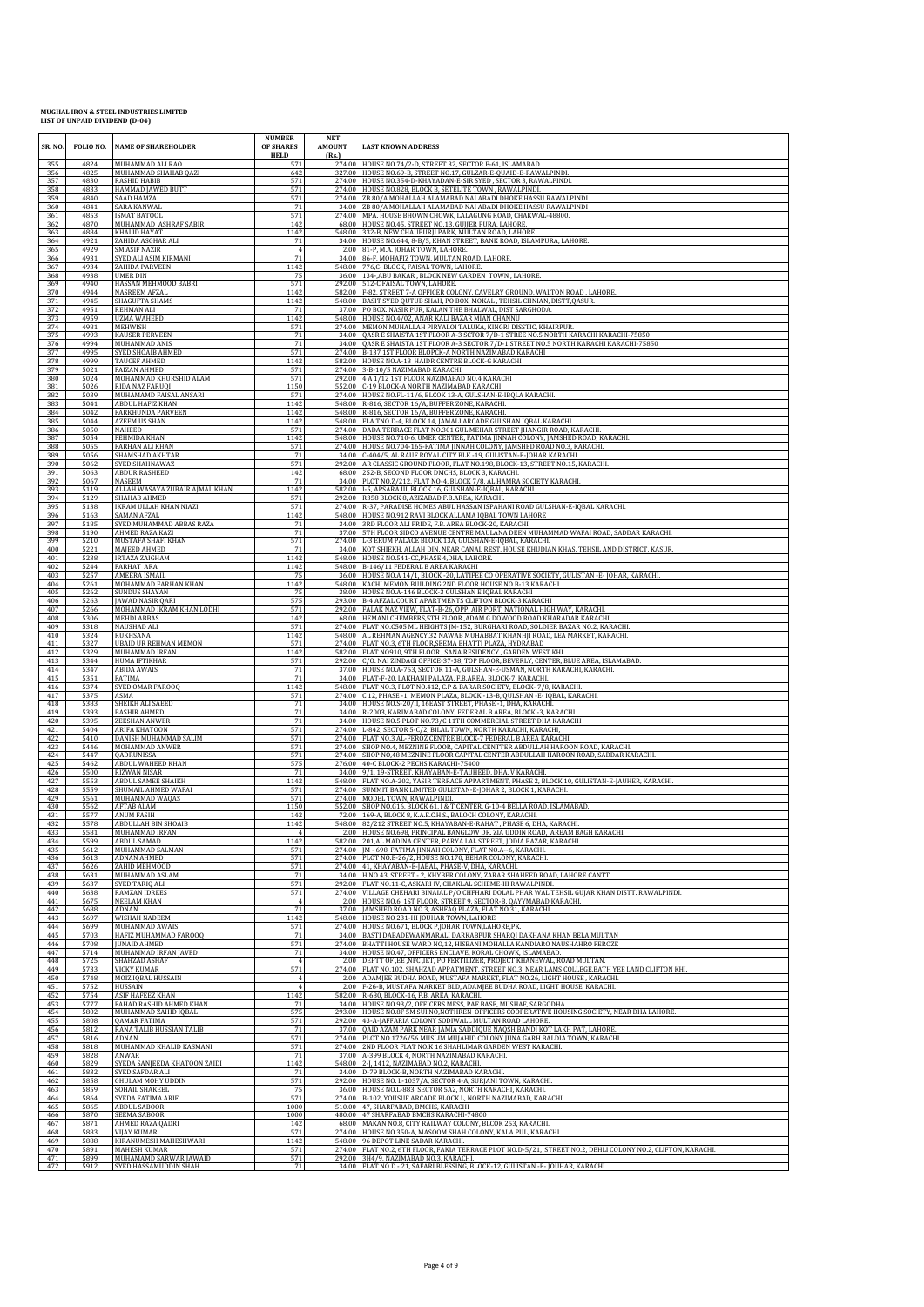| SR.NO      | FOLIO NO.    | <b>NAME OF SHAREHOLDER</b>                      | <b>NUMBER</b><br>OF SHARES<br><b>HELD</b> | <b>NET</b><br><b>AMOUNT</b><br>(Rs.) | <b>LAST KNOWN ADDRESS</b>                                                                                                                                  |
|------------|--------------|-------------------------------------------------|-------------------------------------------|--------------------------------------|------------------------------------------------------------------------------------------------------------------------------------------------------------|
| 355        | 4824         | MUHAMMAD ALI RAO                                | 571                                       |                                      | 274.00 HOUSE NO.74/2-D, STREET 32, SECTOR F-61, ISLAMABAD.                                                                                                 |
| 356        | 4825         | MUHAMMAD SHAHAB QAZI                            | 642                                       |                                      | 327.00 HOUSE NO.69-B, STREET NO.17, GULZAR-E-QUAID-E-RAWALPINDI                                                                                            |
| 357        | 4830         | <b>RASHID HABIB</b>                             | 571                                       |                                      | 274.00 HOUSE NO.354-D-KHAYADAN-E-SIR SYED, SECTOR 3, RAWALPINDI.                                                                                           |
| 358        | 4833         | HAMMAD JAWED BUTT                               | 571                                       |                                      | 274.00 HOUSE NO.828, BLOCK B, SETELITE TOWN, RAWALPINDI.                                                                                                   |
| 359        | 4840         | SAAD HAMZA                                      | 571                                       |                                      | 274.00 ZB 80/A MOHALLAH ALAMABAD NAI ABADI DHOKE HASSU RAWALPINDI                                                                                          |
| 360        | 4841         | SARA KANWAL                                     | 71                                        |                                      | 34.00 ZB 80/A MOHALLAH ALAMABAD NAI ABADI DHOKE HASSU RAWALPINDI                                                                                           |
| 361        | 4853         | <b>ISMAT BATOOL</b>                             | 571                                       |                                      | 274.00 MPA. HOUSE BHOWN CHOWK, LALAGUNG ROAD, CHAKWAL-48800                                                                                                |
| 362        | 4870         | MUHAMMAD ASHRAF SABIR                           | 142                                       |                                      | 68.00 HOUSE NO.45, STREET NO.13, GUJJER PURA, LAHORE.                                                                                                      |
| 363        | 4884         | KHALID HAYAT                                    | 1142                                      |                                      | 548.00 332-B, NEW CHAUBURJI PARK, MULTAN ROAD, LAHORE                                                                                                      |
| 364        | 4921         | ZAHIDA ASGHAR ALI                               | 71                                        |                                      | 34.00 HOUSE NO.644, 8-B/5, KHAN STREET, BANK ROAD, ISLAMPURA, LAHORE.                                                                                      |
| 365        | 4929         | <b>SM ASIF NAZIR</b>                            | $\overline{4}$                            |                                      | 2.00 81-P, M.A. JOHAR TOWN, LAHORE.                                                                                                                        |
| 366        | 4931         | SYED ALI ASIM KIRMANI                           | 71                                        |                                      | 34.00 86-F, MOHAFIZ TOWN, MULTAN ROAD, LAHORE.                                                                                                             |
| 367        | 4934         | ZAHIDA PARVEEN                                  | 1142                                      |                                      | 548.00 776,C- BLOCK, FAISAL TOWN, LAHORE.                                                                                                                  |
| 368        | 4938         | <b>UMER DIN</b>                                 | 75                                        |                                      | 36.00 134-, ABU BAKAR, BLOCK NEW GARDEN TOWN, LAHORE.                                                                                                      |
| 369        | 4940         | HASSAN MEHMOOD BABRI                            | 571                                       |                                      | 292.00 512-C FAISAL TOWN, LAHORE.                                                                                                                          |
| 370        | 4944         | NASREEM AFZAL                                   | 1142                                      |                                      | 582.00 F-82, STREET 7-A OFFICER COLONY, CAVELRY GROUND, WALTON ROAD, LAHORE.                                                                               |
| 371        | 4945         | <b>SHAGUFTA SHAMS</b>                           | 1142                                      |                                      | 548.00 BASIT SYED QUTUB SHAH, PO BOX, MOKAL, TEHSIL CHNIAN, DISTT, QASUR.                                                                                  |
| 372        | 4951         | REHMAN ALI                                      | 71                                        |                                      | 37.00 PO BOX. NASIR PUR, KALAN THE BHALWAL, DIST SARGHODA.                                                                                                 |
| 373        | 4959         | <b>UZMA WAHEED</b>                              | 1142                                      |                                      | 548.00 HOUSE NO.4/02, ANAR KALI BAZAR MIAN CHANNU                                                                                                          |
| 374        | 4981         | MEHWISH                                         | 571                                       |                                      | 274.00 MEMON MUHALLAH PIRYALOI TALUKA, KINGRI DISSTIC, KHAIRPUR.                                                                                           |
| 375        | 4993         | <b>KAUSER PERVEEN</b>                           | 71                                        |                                      | 34.00 QASR E SHAISTA 1ST FLOOR A-3 SCTOR 7/D-1 STREE NO.5 NORTH KARACHI KARACHI-75850                                                                      |
| 376        | 4994         | MUHAMMAD ANIS                                   | 71                                        |                                      | 34.00 QASR E SHAISTA 1ST FLOOR A-3 SECTOR 7/D-1 STREET NO.5 NORTH KARACHI KARACHI-75850                                                                    |
| 377        | 4995         | SYED SHOAIB AHMED                               | 571                                       |                                      | 274.00 B-137 1ST FLOOR BLOPCK-A NORTH NAZIMABAD KARACHI                                                                                                    |
| 378        | 4999         | <b>TAUCEF AHMED</b>                             | 1142                                      |                                      | 582.00 HOUSE NO.A-13 HAIDR CENTRE BLOCK-G KARACHI                                                                                                          |
| 379        | 5021         | <b>FAIZAN AHMED</b>                             | 571                                       |                                      | 274.00 3-B-10/5 NAZIMABAD KARACHI                                                                                                                          |
| 380        | 5024         | MOHAMMAD KHURSHID ALAM                          | 571                                       |                                      | 292.00 4 A 1/12 1ST FLOOR NAZIMABAD NO.4 KARACHI                                                                                                           |
| 381        | 5026         | RIDA NAZ FARUQI                                 | 1150                                      |                                      | 552.00 C-19 BLOCK-A NORTH NAZIMABAD KARACHI                                                                                                                |
| 382        | 5039         | MUHAMAMD FAISAL ANSARI                          | 571                                       |                                      | 274.00 HOUSE NO.FL-11/6, BLCOK 13-A, GULSHAN-E-IBOLA KARACHI.                                                                                              |
| 383        | 5041         | <b>ABDUL HAFIZ KHAN</b>                         | 1142                                      |                                      | 548.00 R-816, SECTOR 16/A, BUFFER ZONE, KARACHI.                                                                                                           |
| 384        | 5042         | <b>FARKHUNDA PARVEEN</b>                        | 1142                                      |                                      | 548.00 R-816, SECTOR 16/A, BUFFER ZONE, KARACHI.                                                                                                           |
| 385        | 5044         | <b>AZEEM US SHAN</b>                            | 1142                                      |                                      | 548.00 FLA TNO.D-4, BLOCK 14, JAMALI ARCADE GULSHAN IQBAL KARACHI.                                                                                         |
| 386        | 5050         | NAHEED                                          | 571                                       |                                      | 274.00 DADA TERRACE FLAT NO.301 GUL MEHAR STREET JHANGIR ROAD, KARACHI                                                                                     |
| 387        | 5054         | FEHMIDA KHAN                                    | 1142                                      |                                      | 548.00 HOUSE NO.710-6, UMER CENTER, FATIMA JINNAH COLONY, JAMSHED ROAD, KARACHI.                                                                           |
| 388        | 5055         | FARHAN ALI KHAN                                 | 571                                       |                                      | 274.00 HOUSE NO.704-165-FATIMA JINNAH COLONY, JAMSHED ROAD NO.3, KARACHI.                                                                                  |
| 389        | 5056         | SHAMSHAD AKHTAR                                 | 71                                        |                                      | 34.00 C-404/5, AL RAUF ROYAL CITY BLK -19, GULISTAN-E-JOHAR KARACHI.                                                                                       |
| 390        | 5062         | SYED SHAHNAWAZ                                  | 571                                       |                                      | 292.00 AR CLASSIC GROUND FLOOR, FLAT NO.198, BLOCK-13, STREET NO.15, KARACHI.                                                                              |
| 391        | 5063         | <b>ABDUR RASHEED</b>                            | 142                                       |                                      | 68.00 252-B, SECOND FLOOR DMCHS, BLOCK 3, KARACHI.                                                                                                         |
| 392        | 5067         | <b>NASEEM</b>                                   | 71                                        |                                      | 34.00 PLOT NO.Z/212, FLAT NO-4, BLOCK 7/8, AL HAMRA SOCIETY KARACHI.                                                                                       |
| 393        | 5119         | ALLAH WASAYA ZUBAIR AJMAL KHAN                  | 1142                                      |                                      | 582.00 I-5, APSARA III, BLOCK 16, GULSHAN-E-IQBAL, KARACHI                                                                                                 |
| 394        | 5129         | SHAHAB AHMED                                    | 571                                       |                                      | 292.00 R358 BLOCK 8, AZIZABAD F.B.AREA, KARACHI.                                                                                                           |
| 395        | 5138         | IKRAM ULLAH KHAN NIAZI                          | 571                                       |                                      | 274.00 R-37, PARADISE HOMES ABUL HASSAN ISPAHANI ROAD GULSHAN-E-IQBAL KARACHI.                                                                             |
| 396        | 5163         | SAMAN AFZAL                                     | 1142                                      |                                      | 548.00 HOUSE NO.912 RAVI BLOCK ALLAMA IQBAL TOWN LAHORE                                                                                                    |
| 397        | 5185         | SYED MUHAMMAD ABBAS RAZA                        | 71                                        |                                      | 34.00 3RD FLOOR ALI PRIDE, F.B. AREA BLOCK-20, KARACHI.                                                                                                    |
| 398        | 5190         | AHMED RAZA KAZI                                 | 71                                        |                                      | 37.00 5TH FLOOR SIDCO AVENUE CENTRE MAULANA DEEN MUHAMMAD WAFAI ROAD, SADDAR KARACHI                                                                       |
| 399        | 5210         | MUSTAFA SHAFI KHAN                              | 571                                       |                                      | 274.00 L-3 ERUM PALACE BLOCK 13A, GULSHAN-E-IQBAL, KARACHI.                                                                                                |
| 400        | 5221         | MAJEED AHMED                                    | 71                                        |                                      | 34.00 KOT SHIEKH, ALLAH DIN, NEAR CANAL REST, HOUSE KHUDIAN KHAS, TEHSIL AND DISTRICT, KASUR                                                               |
| 401        | 5238         | <b>IRTAZA ZAIGHAM</b>                           | 1142                                      |                                      | 548.00 HOUSE NO.541-CC, PHASE 4, DHA, LAHORE.                                                                                                              |
| 402        | 5244         | FARHAT ARA                                      | 1142                                      |                                      | 548.00 B-146/11 FEDERAL B AREA KARACHI                                                                                                                     |
| 403        | 5257         | AMEERA ISMAIL                                   | 75                                        |                                      | 36.00 HOUSE NO.A 14/1, BLOCK -20, LATIFEE CO OPERATIVE SOCIETY, GULISTAN -E-JOHAR, KARACHI.                                                                |
| 404        | 5261         | MOHAMMAD FARHAN KHAN                            | 1142                                      |                                      | 548.00 KACHI MEMON BUILDING 2ND FLOOR HOUSE NO.B-13 KARACHI                                                                                                |
| 405        | 5262         | <b>SUNDUS SHAYAN</b>                            | 75                                        |                                      | 38.00 HOUSE NO.A-146 BLOCK-3 GULSHAN E IQBAL KARACHI                                                                                                       |
| 406        | 5263         | JAWAD NASIR QARI                                | 575                                       |                                      | 293.00 B-4 AFZAL COURT APARTMENTS CLIFTON BLOCK-3 KARACHI                                                                                                  |
| 407        | 5266         | MOHAMMAD IKRAM KHAN LODHI                       | 571                                       |                                      | 292.00 FALAK NAZ VIEW, FLAT-B-26, OPP. AIR PORT, NATIONAL HIGH WAY, KARACHI                                                                                |
| 408        | 5306         | MEHDI ABBAS                                     | 142                                       |                                      | 68.00 HEMANI CHEMBERS, 5TH FLOOR , ADAM G DOWOOD ROAD KHARADAR KARACHI                                                                                     |
| 409        | 5318         | NAUSHAD ALI                                     | 571                                       |                                      | 274.00 FLAT NO.C505 ML HEIGHTS [M-152, BURGHARI ROAD, SOLDIER BAZAR NO.2, KARACHI.                                                                         |
| 410        | 5324         | <b>RUKHSANA</b>                                 | 1142                                      |                                      | 548.00 AL REHMAN AGENCY, 32 NAWAB MUHABBAT KHANHJI ROAD, LEA MARKET, KARACHI.                                                                              |
| 411        | 5327         | <b>UBAID UR REHMAN MEMON</b>                    | 571                                       |                                      | 274.00 FLAT NO.3, 6TH FLOOR, SEEMA BHATTI PLAZA, HYDRABAD                                                                                                  |
| 412        | 5329         | MUHAMMAD IRFAN                                  | 1142                                      |                                      | 582.00 FLAT NO910, 9TH FLOOR, SANA RESIDENCY, GARDEN WEST KHI                                                                                              |
| 413        | 5344         | HUMA IFTIKHAR                                   | 571                                       |                                      | 292.00 C/O. NAI ZINDAGI OFFICE-37-38, TOP FLOOR, BEVERLY, CENTER, BLUE AREA, ISLAMABAD.                                                                    |
| 414        | 5347         | <b>ABIDA AWAIS</b>                              | 71                                        |                                      | 37.00 HOUSE NO.A-753, SECTOR 11-A, GULSHAN-E-USMAN, NORTH KARACHI, KARACHI.                                                                                |
| 415        | 5351         | FATIMA                                          | 71                                        |                                      | 34.00 FLAT-F-20, LAKHANI PALAZA, F.B.AREA, BLOCK-7, KARACHI.                                                                                               |
| 416        | 5374         | SYED OMAR FAROOQ                                | 1142                                      |                                      | 548.00 FLAT NO.3, PLOT NO.412, C.P & BARAR SOCIETY, BLOCK- 7/8, KARACHI.                                                                                   |
| 417        | 5375         | ASMA                                            | 571                                       |                                      | 274.00 C 12, PHASE - 1, MEMON PLAZA, BLOCK - 13-B, QULSHAN - E-IQBAL, KARACHI.                                                                             |
| 418        | 5383         | SHEIKH ALI SAEED                                | $71\,$                                    |                                      | 34.00 HOUSE NO.S-20/II, 16EAST STREET, PHASE -1, DHA, KARACHI.                                                                                             |
| 419        | 5393         | <b>BASHIR AHMED</b>                             | 71                                        |                                      | 34.00 R-2003, KARIMABAD COLONY, FEDERAL B AREA, BLOCK -3, KARACHI                                                                                          |
| 420        | 5395         | <b>ZEESHAN ANWER</b>                            | 71                                        |                                      | 34.00 HOUSE NO.5 PLOT NO.73/C 11TH COMMERCIAL STREET DHA KARACHI                                                                                           |
| 421        | 5404         | ARIFA KHATOON                                   | 571                                       |                                      | 274.00 L-842, SECTOR 5-C/2, BILAL TOWN, NORTH KARACHI, KARACHI,                                                                                            |
| 422        | 5410         | DANISH MUHAMMAD SALIM                           | 571                                       |                                      | 274.00 FLAT NO.3 AL-FEROZ CENTRE BLOCK-7 FEDERAL B AREA KARACHI                                                                                            |
| 423        | 5446         | MOHAMMAD ANWER                                  | 571                                       |                                      | 274.00 SHOP NO.4, MEZNINE FLOOR, CAPITAL CENTTER ABDULLAH HAROON ROAD, KARACHI.                                                                            |
| 424        | 5447         | QADRUNISSA                                      | 571                                       |                                      | 274.00 SHOP NO,48 MEZNINE FLOOR CAPITAL CENTER ABDULLAH HAROON ROAD, SADDAR KARACHI.                                                                       |
| 425        | 5462         | <b>ABDUL WAHEED KHAN</b>                        | 575                                       |                                      | 276.00 40-C BLOCK-2 PECHS KARACHI-75400                                                                                                                    |
| 426        | 5500         | RIZWAN NISAR                                    | 71                                        |                                      | 34.00 9/1, 19-STREET, KHAYABAN-E-TAUHEED, DHA, V KARACHI.                                                                                                  |
| 427        | 5553         | ABDUL SAMEE SHAIKH                              | 1142                                      |                                      | 548.00 FLAT NO.A-202, YASIR TERRACE APPARTMENT, PHASE 2, BLOCK 10, GULISTAN-E-JAUHER, KARACHI.                                                             |
| 428        | 5559         | SHUMAIL AHMED WAFAI                             | 571                                       |                                      | 274.00 SUMMIT BANK LIMITED GULISTAN-E-JOHAR 2, BLOCK 1, KARACHI.                                                                                           |
| 429        | 5561         | MUHAMMAD WAQAS                                  | 571                                       |                                      | 274.00 MODEL TOWN, RAWALPINDI.                                                                                                                             |
| 430        | 5562         | AFTAB ALAM                                      | 1150                                      |                                      | 552.00 SHOP NO.G16, BLOCK 61, I & T CENTER, G-10-4 BELLA ROAD, ISLAMABAD.                                                                                  |
| 431        | 5577         | <b>ANUM FASIH</b><br><b>ABDULLAH BIN SHOAIB</b> | 142                                       |                                      | 72.00 169-A, BLOCK 8, K.A.E.C.H.S., BALOCH COLONY, KARACHI.<br>548.00 82/212 STREET NO 5 KHAYARAN-E-RAHAT PHASE 6 DHA                                      |
| 433<br>434 | 5581<br>5599 | MUHAMMAD IRFAN<br>ABDUL SAMAD                   | 1142                                      |                                      | 2.00 HOUSE NO.698, PRINCIPAL BANGLOW DR. ZIA UDDIN ROAD, AREAM BAGH KARACHI.<br>582.00 201, AL MADINA CENTER, PARYA LAL STREET, JODIA BAZAR, KARACHI.      |
| 435        | 5612         | MUHAMMAD SALMAN                                 | 571                                       |                                      | 274.00 IM - 698. FATIMA IINNAH COLONY, FLAT NO.A -- 6. KARACHI.                                                                                            |
| 436        | 5613         | ADNAN AHMED                                     | 571                                       |                                      | 274.00 PLOT NO.E-26/2, HOUSE NO.170, BEHAR COLONY, KARACHI.                                                                                                |
| 437        | 5626         | ZAHID MEHMOOD                                   | 571                                       |                                      | 274.00 41, KHAYABAN-E-JABAL, PHASE-V, DHA, KARACHI.                                                                                                        |
| 438        | 5631         | MUHAMMAD ASLAM                                  | 71                                        |                                      | 34.00 H NO.43, STREET - 2, KHYBER COLONY, ZARAR SHAHEED ROAD, LAHORE CANTT                                                                                 |
| 439        | 5637         | SYED TARIQ ALI                                  | 571                                       |                                      | 292.00 FLAT NO.11-C, ASKARI IV, CHAKLAL SCHEME-III RAWALPINDI.                                                                                             |
| 440        | 5638         | <b>RAMZAN IDREES</b>                            | 571                                       |                                      | 274.00 VILLAGE CHEHARI BINAIAL P/O CHFHARI DOLAL PHAR WAL TEHSIL GUJAR KHAN DISTT. RAWALPINDI.                                                             |
| 441        | 5675         | NEELAM KHAN                                     | $\overline{4}$                            |                                      | 2.00 HOUSE NO.6, 1ST FLOOR, STREET 9, SECTOR-B, QAYYMABAD KARACHI.                                                                                         |
| 442        | 5688         | ADNAN                                           | 71                                        |                                      | 37.00 JAMSHED ROAD NO.3, ASHFAQ PLAZA, FLAT NO.31, KARACHI.                                                                                                |
| 443        | 5697         | WISHAH NADEEM                                   | 1142                                      |                                      | 548.00 HOUSE NO 231-HI JOUHAR TOWN, LAHORE                                                                                                                 |
| 444        | 5699         | MUHAMMAD AWAIS                                  | 571                                       |                                      | 274.00 HOUSE NO.671, BLOCK P, JOHAR TOWN, LAHORE, PK.                                                                                                      |
| 445        | 5703         | HAFIZ MUHAMMAD FAROOO                           | 71                                        |                                      | 34.00 BASTI DABADEWANMARALI DARKABPUR SHARQI DAKHANA KHAN BELA MULTAN                                                                                      |
| 446        | 5708         | <b>JUNAID AHMED</b>                             | 571                                       |                                      | 274.00 BHATTI HOUSE WARD NO,12, HISBANI MOHALLA KANDIARO NAUSHAHRO FEROZE                                                                                  |
| 447        | 5714         | MUHAMMAD IRFAN JAVED                            | 71                                        |                                      | 34.00 HOUSE NO.47, OFFICERS ENCLAVE, KORAL CHOWK, ISLAMABAD.                                                                                               |
| 448        | 5725         | SHAHZAD ASHAF                                   | $\overline{4}$                            |                                      | 2.00 DEPTT OF ,EE ,NFC ,IET, PO FERTILIZER, PROJECT KHANEWAL, ROAD MULTAN.                                                                                 |
| 449        | 5733         | <b>VICKY KUMAR</b>                              | 571                                       |                                      | 274.00 FLAT NO.102, SHAHZAD APPATMENT, STREET NO.3, NEAR LAMS COLLEGE, BATH YEE LAND CLIFTON KHI.                                                          |
| 450        | 5748         | MOIZ IQBAL HUSSAIN                              | $\overline{4}$                            |                                      | 2.00 ADAMJEE BUDHA ROAD, MUSTAFA MARKET, FLAT NO.26, LIGHT HOUSE, KARACHI.                                                                                 |
| 451        | 5752         | HUSSAIN                                         | 4                                         |                                      | 2.00 F-26-B, MUSTAFA MARKET BLD, ADAMJEE BUDHA ROAD, LIGHT HOUSE, KARACHL                                                                                  |
| 452        | 5754         | ASIF HAFEEZ KHAN                                | 1142                                      |                                      | 582.00 R-680, BLOCK-16, F.B. AREA, KARACHI.                                                                                                                |
| 453        | 5777         | FAHAD RASHID AHMED KHAN                         | 71                                        |                                      | 34.00 HOUSE NO.93/2, OFFICERS MESS, PAF BASE, MUSHAF, SARGODHA                                                                                             |
| 454        | 5802         | MUHAMMAD ZAHID IOBAL                            | 575                                       |                                      | 293.00 HOUSE NO.8F 5M SUI NO.NOTHREN OFFICERS COOPERATIVE HOUSING SOCIETY, NEAR DHA LAHORE.                                                                |
| 455        | 5808         | QAMAR FATIMA                                    | 571<br>71                                 |                                      | 292.00 43-A-JAFFARIA COLONY SODIWALL MULTAN ROAD LAHORE.                                                                                                   |
| 456<br>457 | 5812<br>5816 | RANA TALIB HUSSIAN TALIB<br><b>ADNAN</b>        | 571                                       |                                      | 37.00 QAID AZAM PARK NEAR JAMIA SADDIQUE NAQSH BANDI KOT LAKH PAT, LAHORE.<br>274.00 PLOT NO.1726/56 MUSLIM MUJAHID COLONY JUNA GARH BALDIA TOWN, KARACHI. |
| 458        | 5818         | MUHAMMAD KHALID KASMANI                         | 571                                       |                                      | 274.00 2ND FLOOR FLAT NO.K 16 SHAHLIMAR GARDEN WEST KARACHI.                                                                                               |
| 459        | 5828         | ANWAR                                           | 71                                        |                                      | 37.00 A-399 BLOCK 4, NORTH NAZIMABAD KARACHI.                                                                                                              |
| 460        | 5829         | SYEDA SANJEEDA KHATOON ZAIDI                    | 1142                                      |                                      | 548.00 2-J, 1412, NAZIMABAD NO.2, KARACHI.                                                                                                                 |
| 461        | 5832         | SYED SAFDAR ALI                                 | 71                                        |                                      | 34.00 D-79 BLOCK-B, NORTH NAZIMABAD KARACHI.                                                                                                               |
| 462        | 5858         | GHULAM MOHY UDDIN                               | 571                                       |                                      | 292.00 HOUSE NO. L-1037/A, SECTOR 4-A, SURJANI TOWN, KARACHI.                                                                                              |
| 463        | 5859         | SOHAIL SHAKEEL                                  | 75                                        |                                      | 36.00 HOUSE NO.L-883, SECTOR 5A2, NORTH KARACHI, KARACHI.                                                                                                  |
| 464        | 5864         | SYEDA FATIMA ARIF                               | 571                                       |                                      | 274.00 B-102, YOUSUF ARCADE BLOCK L, NORTH NAZIMABAD, KARACHI                                                                                              |
| 465        | 5865         | ABDUL SABOOR                                    | 1000                                      |                                      | 510.00 47, SHARFABAD, BMCHS, KARACHI                                                                                                                       |
| 466        | 5870         | SEEMA SABOOR                                    | 1000                                      |                                      | 480.00 47 SHARFABAD BMCHS KARACHI-74800                                                                                                                    |
| 467        | 5871         | AHMED RAZA QADRI                                | 142                                       |                                      | 68.00 MAKAN NO.8, CITY RAILWAY COLONY, BLCOK 253, KARACHI.                                                                                                 |
| 468        | 5883         | VIJAY KUMAR                                     | 571                                       |                                      | 274.00 HOUSE NO.350-A, MASOOM SHAH COLONY, KALA PUL, KARACHI                                                                                               |
| 469        | 5888         | KIRANUMESH MAHESHWARI                           | 1142                                      |                                      | 548.00 96 DEPOT LINE SADAR KARACHI.                                                                                                                        |
| 470        | 5891         | <b>MAHESH KUMAR</b>                             | 571                                       |                                      | 274.00 FLAT NO.2, 6TH FLOOR, FAKIA TERRACE PLOT NO.D-5/21, STREET NO.2, DEHLI COLONY NO.2, CLIFTON, KARACHI.                                               |
| 471        | 5899         | MUHAMAMD SARWAR JAWAID                          | 571                                       |                                      | 292.00 3H4/9, NAZIMABAD NO.3, KARACHI.                                                                                                                     |
| 472        | 5912         | SYED HASSAMUDDIN SHAH                           | 71                                        |                                      | 34.00 FLAT NO.D - 21, SAFARI BLESSING, BLOCK-12, GULISTAN -E-JOUHAR, KARACHI.                                                                              |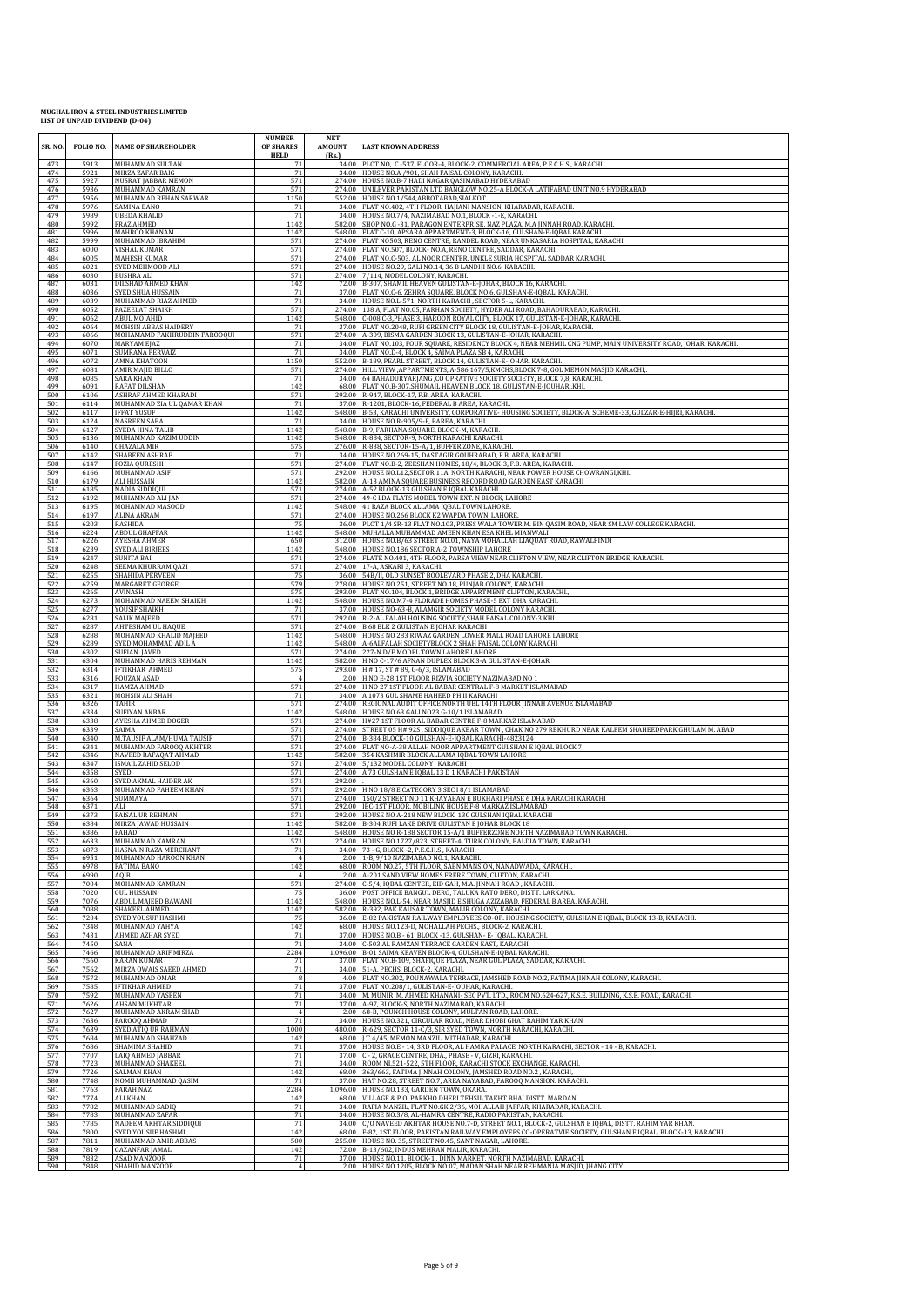| SR. NO.    | FOLIO NO.    | <b>NAME OF SHAREHOLDER</b>                  | <b>NUMBER</b><br>OF SHARES<br><b>HELD</b> | <b>NET</b><br><b>AMOUNT</b><br>(Rs.) | <b>LAST KNOWN ADDRESS</b>                                                                                                                           |
|------------|--------------|---------------------------------------------|-------------------------------------------|--------------------------------------|-----------------------------------------------------------------------------------------------------------------------------------------------------|
| 473        | 5913         | MUHAMMAD SULTAN                             | 71                                        |                                      | 34.00 PLOT NO. C-537, FLOOR-4, BLOCK-2, COMMERCIAL AREA, P.E.C.H.S., KARACHI.                                                                       |
| 474        | 5921         | MIRZA ZAFAR BAIG                            | 71                                        |                                      | 34.00 HOUSE NO.A /901, SHAH FAISAL COLONY, KARACHI.                                                                                                 |
| 475        | 5927         | NUSRAT JABBAR MEMON                         | 571                                       |                                      | 274.00 HOUSE NO.B-7 HADI NAGAR QASIMABAD HYDERABAD                                                                                                  |
| 476        | 5936         | MUHAMMAD KAMRAN                             | 571                                       |                                      | 274.00 UNILEVER PAKISTAN LTD BANGLOW NO.25-A BLOCK-A LATIFABAD UNIT NO.9 HYDERABAD                                                                  |
| 477        | 5956         | MUHAMMAD REHAN SARWAR                       | 1150                                      |                                      | 552.00 HOUSE NO.1/544, ABBOTABAD, SIALKOT.                                                                                                          |
| 478        | 5976         | SAMINA BANO                                 | 71                                        |                                      | 34.00 FLAT NO.402, 4TH FLOOR, HAJIANI MANSION, KHARADAR, KARACHI.                                                                                   |
| 479        | 5989         | <b>UBEDA KHALID</b>                         | 71                                        |                                      | 34.00 HOUSE NO.7/4, NAZIMABAD NO.1, BLOCK -1-E, KARACHI.                                                                                            |
| 480        | 5992         | <b>FRAZ AHMED</b>                           | 1142                                      |                                      | 582.00 SHOP NO.G -31, PARAGON ENTERPRISE, NAZ PLAZA, M.A JINNAH ROAD, KARACHI.                                                                      |
| 481        | 5996         | MAHROO KHANAM                               | 1142                                      |                                      | 548.00 FLAT C-10, APSARA APPARTMENT-3, BLOCK-16, GULSHAN-E-IQBAL KARACHI.                                                                           |
| 482        | 5999         | MUHAMMAD IBRAHIM                            | 571                                       |                                      | 274.00 FLAT NO503, RENO CENTRE, RANDEL ROAD, NEAR UNKASARIA HOSPITAL, KARACHI.                                                                      |
| 483        | 6000         | <b>VISHAL KUMAR</b>                         | 571                                       |                                      | 274.00 FLAT NO.507, BLOCK- NO.A, RENO CENTRE, SADDAR, KARACHI                                                                                       |
| 484        | 6005         | <b>MAHESH KUMAF</b>                         | 571                                       |                                      | 274.00 FLAT NO.C-503, AL NOOR CENTER, UNKLE SURIA HOSPITAL SADDAR KARACHI.                                                                          |
| 485        | 6021         | SYED MEHMOOD ALI                            | 571                                       |                                      | 274.00 HOUSE NO.29, GALI NO.14, 36 B LANDHI NO.6, KARACHI                                                                                           |
| 486        | 6030         | <b>BUSHRA ALI</b>                           | 571                                       |                                      | 274.00 7/114, MODEL COLONY, KARACHI.                                                                                                                |
| 487        | 6031         | DILSHAD AHMED KHAN                          | 142                                       |                                      | 72.00 B-307, SHAMIL HEAVEN GULISTAN-E-JOHAR, BLOCK 16, KARACHI.                                                                                     |
| 488        | 6036         | SYED SHUA HUSSAIN                           | 71                                        |                                      | 37.00 FLAT NO.C-6, ZEHRA SQUARE, BLOCK NO.6, GULSHAN-E-IQBAL, KARACHI.                                                                              |
| 489        | 6039         | MUHAMMAD RIAZ AHMED                         | 71                                        |                                      | 34.00 HOUSE NO.L-571, NORTH KARACHI, SECTOR 5-L, KARACHI.                                                                                           |
| 490        | 6052         | <b>FAZEELAT SHAIKH</b>                      | 571                                       |                                      | 274.00 138 A, FLAT NO.05, FARHAN SOCIETY, HYDER ALI ROAD, BAHADURABAD, KARACHI                                                                      |
| 491        | 6062         | ABUL MOJAHID                                | 1142                                      |                                      | 548.00 C-008,C-3, PHASE 3, HAROON ROYAL CITY, BLOCK 17, GULISTAN-E-JOHAR, KARACHI                                                                   |
| 492        | 6064         | MOHSIN ABBAS HAIDERY                        | 71                                        |                                      | 37.00 FLAT NO.2048, RUFI GREEN CITY BLOCK 18, GULISTAN-E-JOHAR, KARACHI                                                                             |
| 493        | 6066         | MOHAMAMD FAKHRUDDIN FAROOQUI                | 571                                       |                                      | 274.00 A-309, BISMA GARDEN BLOCK 13, GULISTAN-E-JOHAR, KARACHI.                                                                                     |
| 494        | 6070         | <b>MARYAM EIAZ</b>                          | 71                                        |                                      | 34.00 FLAT NO.103, FOUR SQUARE, RESIDENCY BLOCK 4, NEAR MEHMIL CNG PUMP, MAIN UNIVERSITY ROAD, JOHAR, KARACHI.                                      |
| 495        | 6071         | <b>SUMRANA PERVAIZ</b>                      | 71                                        |                                      | 34.00 FLAT NO.D-4, BLOCK 4, SAIMA PLAZA SB 4, KARACHI,                                                                                              |
| 496        | 6072         | AMNA KHATOON                                | 1150                                      |                                      | 552.00 B-189, PEARL STREET, BLOCK 14, GULISTAN-E-JOHAR, KARACHI.                                                                                    |
| 497        | 6081         | AMIR MAJID BILLO                            | 571                                       |                                      | 274.00 HILL VIEW , APPARTMENTS, A-586,167/5, KMCHS, BLOCK 7-8, GOL MEMON MASJID KARACHI,                                                            |
| 498        | 6085         | <b>SARA KHAN</b>                            | 71                                        |                                      | 34.00 64 BAHADURYARJANG ,CO OPRATIVE SOCIETY SOCIETY, BLOCK 7,8, KARACHI                                                                            |
| 499        | 6091         | RAFAT DILSHAN                               | 142                                       |                                      | 68.00 FLAT NO.B-307, SHUMAIL HEAVEN, BLOCK 18, GULISTAN-E-JOUHAR, KHI.                                                                              |
| 500        | 6106         | ASHRAF AHMED KHARADI                        | 571                                       |                                      | 292.00 R-947, BLOCK-17, F.B. AREA, KARACHI.                                                                                                         |
| 501        | 6114         | MUHAMMAD ZIA UL QAMAR KHAN                  | 71                                        |                                      | 37.00 R-1201, BLOCK-16, FEDERAL B AREA, KARACHL.                                                                                                    |
| 502        | 6117         | <b>IFFAT YUSUF</b>                          | 1142                                      |                                      | 548.00 B-53, KARACHI UNIVERSITY, CORPORATIVE- HOUSING SOCIETY, BLOCK-A, SCHEME-33, GULZAR-E-HIJRI, KARACHI.                                         |
| 503        | 6124         | <b>NASREEN SABA</b>                         | 71                                        |                                      | 34.00 HOUSE NO.R-905/9-F, BAREA, KARACHI                                                                                                            |
| 504        | 6127         | SYEDA HINA TALIB                            | 1142                                      |                                      | 548.00 B-9, FARHANA SQUARE, BLOCK-M, KARACHI                                                                                                        |
| 505        | 6136         | MUHAMMAD KAZIM UDDIN                        | 1142                                      |                                      | 548.00 R-884, SECTOR-9, NORTH KARACHI KARACHI                                                                                                       |
| 506        | 6140         | <b>GHAZALA MIR</b>                          | 575                                       |                                      | 276.00 R-838, SECTOR-15-A/1, BUFFER ZONE, KARACHL<br>34.00 HOUSE NO.269-15, DASTAGIR GOUHRABAD, F.B. AREA, KARACHI.                                 |
| 507<br>508 | 6142<br>6147 | SHABEEN ASHRAF<br><b>FOZIA QURESHI</b>      | 71<br>571                                 |                                      | 274.00 FLAT NO.B-2, ZEESHAN HOMES, 18/4, BLOCK-3, F.B. AREA, KARACHI.                                                                               |
| 509        | 6166         | MUHAMMAD ASIF                               | 571                                       |                                      | 292.00 HOUSE NO.L12, SECTOR 11A, NORTH KARACHI, NEAR POWER HOUSE CHOWRANGI, KHI.                                                                    |
| 510        | 6179         | <b>ALI HUSSAIN</b>                          | 1142                                      |                                      | 582.00 A-13 AMINA SQUARE BUSINESS RECORD ROAD GARDEN EAST KARACHI                                                                                   |
| 511        | 6185         | <b>NADIA SIDDIQUI</b>                       | 571                                       |                                      | 274.00 A-52 BLOCK-13 GULSHAN E IOBAL KARACHI                                                                                                        |
| 512        | 6192         | MUHAMMAD ALI JAN                            | 571                                       |                                      | 274.00 49-C LDA FLATS MODEL TOWN EXT. N BLOCK, LAHORE                                                                                               |
| 513        | 6195         | MOHAMMAD MASOOD                             | 1142                                      |                                      | 548.00 41 RAZA BLOCK ALLAMA IQBAL TOWN LAHORE.                                                                                                      |
| 514        | 6197         | <b>ALINA AKRAM</b>                          | 571                                       |                                      | 274.00 HOUSE NO.266 BLOCK K2 WAPDA TOWN, LAHORE.                                                                                                    |
| 515        | 6203         | <b>RASHIDA</b>                              | 75                                        |                                      | 36.00 PLOT 1/4 SR-13 FLAT NO.103, PRESS WALA TOWER M. BIN QASIM ROAD, NEAR SM LAW COLLEGE KARACHI.                                                  |
| 516        | 6224         | <b>ABDUL GHAFFAR</b>                        | 1142                                      |                                      | 548.00 MUHALLA MUHAMMAD AMEEN KHAN ESA KHEL MIANWALI                                                                                                |
| 517        | 6226         | <b>AYESHA AHMER</b>                         | 650                                       |                                      | 312.00 HOUSE NO.B/63 STREET NO.01, NAYA MOHALLAH LIAQUAT ROAD, RAWALPINDI                                                                           |
| 518        | 6239         | <b>SYED ALI BIRJEES</b>                     | 1142                                      |                                      | 548.00 HOUSE NO.186 SECTOR A-2 TOWNSHIP LAHORE                                                                                                      |
| 519        | 6247         | SUNITA BAI                                  | 571                                       |                                      | 274.00 FLATE NO.401, 4TH FLOOR, PARSA VIEW NEAR CLIFTON VIEW, NEAR CLIFTON BRIDGE, KARACHI.                                                         |
| 520        | 6248         | SEEMA KHURRAM QAZI                          | 571                                       |                                      | 274.00 17-A, ASKARI 3, KARACHI.                                                                                                                     |
| 521        | 6255         | SHAHIDA PERVEEN                             | 75                                        | 36.00                                | 54B/II, OLD SUNSET BOOLEVARD PHASE 2, DHA KARACHI                                                                                                   |
| 522        | 6259         | <b>MARGARET GEORGE</b>                      | 579                                       |                                      | 278.00 HOUSE NO.251, STREET NO.18, PUNJAB COLONY, KARACHI                                                                                           |
| 523        | 6265         | <b>AVINASH</b>                              | 575                                       |                                      | 293.00 FLAT NO.104, BLOCK 1, BRIDGE APPARTMENT CLIFTON, KARACHI                                                                                     |
| 524        | 6273         | MOHAMMAD NAEEM SHAIKH                       | 1142                                      |                                      | 548.00 HOUSE NO.M7-4 FLORADE HOMES PHASE-5 EXT DHA KARACHI.                                                                                         |
| 525        | 6277         | YOUSIF SHAIKH                               | 71                                        |                                      | 37.00 HOUSE NO-63-B, ALAMGIR SOCIETY MODEL COLONY KARACHI.                                                                                          |
| 526        | 6281         | <b>SALIK MAIEED</b>                         | 571                                       |                                      | 292.00 R-2-AL FALAH HOUSING SOCIETY, SHAH FAISAL COLONY-3 KHI.                                                                                      |
| 527        | 6287         | AHTESHAM UL HAQUE                           | 571                                       |                                      | 274.00 B 68 BLK 2 GULISTAN E JOHAR KARACHI                                                                                                          |
| 528        | 6288         | MOHAMMAD KHALID MAJEED                      | 1142                                      |                                      | 548.00 HOUSE NO 283 RIWAZ GARDEN LOWER MALL ROAD LAHORE LAHORE                                                                                      |
| 529        | 6289         | SYED MOHAMMAD ADIL A                        | 1142                                      |                                      | 548.00 A-6ALFALAH SOCIETYBLOCK 2 SHAH FAISAL COLONY KARACHI                                                                                         |
| 530        | 6302         | <b>SUFIAN JAVED</b>                         | 571                                       |                                      | 274.00 227-N D/E MODEL TOWN LAHORE LAHORE                                                                                                           |
| 531        | 6304         | MUHAMMAD HARIS REHMAN                       | 1142                                      |                                      | 582.00 H NO C-17/6 AFNAN DUPLEX BLOCK 3-A GULISTAN-E-JOHAR                                                                                          |
| 532<br>533 | 6314<br>6316 | IFTIKHAR AHMED<br><b>FOUZAN ASAD</b>        | 575                                       |                                      | 293.00 H # 17, ST # 89, G-6/3, ISLAMABAD<br>2.00 H NO E-28 1ST FLOOR RIZVIA SOCIETY NAZIMABAD NO 1                                                  |
| 534        | 6317         | HAMZA AHMAD                                 | 571                                       | 274.00                               | H NO 27 1ST FLOOR AL BABAR CENTRAL F-8 MARKET ISLAMABAD                                                                                             |
| 535        | 6321         | MOHSIN ALI SHAH                             | 71                                        |                                      | 34.00 A 1073 GUL SHAME HAHEED PH II KARACHI                                                                                                         |
| 536        | 6326         | TAHIR                                       | 571                                       |                                      | 274.00 REGIONAL AUDIT OFFICE NORTH UBL 14TH FLOOR JINNAH AVENUE ISLAMABAD                                                                           |
| 537        | 6334         | <b>SUFIYAN AKBAR</b>                        | 1142                                      |                                      | 548.00 HOUSE NO.63 GALI NO23 G-10/1 ISLAMABAD                                                                                                       |
| 538        | 6338         | AYESHA AHMED DOGER                          | 571                                       |                                      | 274.00 H#27 1ST FLOOR AL BABAR CENTRE F-8 MARKAZ ISLAMABAD                                                                                          |
| 539        | 6339         | SAIMA                                       | 571                                       |                                      | 274.00 STREET 05 H# 92S, SIDDIQUE AKBAR TOWN, CHAK NO 279 RBKHURD NEAR KALEEM SHAHEEDPARK GHULAM M. ABAD                                            |
| 540        | 6340         | M.TAUSIF ALAM/HUMA TAUSIF                   | 571                                       |                                      | 274.00 B-384 BLOCK-10 GULSHAN-E-IQBAL KARACHI-4823124                                                                                               |
| 541        | 6341         | MUHAMMAD FAROOQ AKHTER                      | 571                                       |                                      | 274.00 FLAT NO-A-38 ALLAH NOOR APPARTMENT GULSHAN E IQBAL BLOCK 7                                                                                   |
| 542        | 6346         | NAVEED RAFAOAT AHMAD                        | 1142                                      |                                      | 582.00 354 KASHMIR BLOCK ALLAMA IQBAL TOWN LAHORE                                                                                                   |
| 543        | 6347         | <b>ISMAIL ZAHID SELOD</b>                   | 571                                       |                                      | 274.00 5/132 MODEL COLONY KARACHI                                                                                                                   |
| 544<br>545 | 6358<br>6360 | <b>SYED</b><br>SYED AKMAL HAIDER AK         | 571<br>571                                | 292.00                               | 274.00 A 73 GULSHAN E IQBAL 13 D 1 KARACHI PAKISTAN                                                                                                 |
| 546        | 6363         | MUHAMMAD FAHEEM KHAN                        | 571                                       |                                      | 292.00 H NO 18/8 E CATEGORY 3 SEC 18/1 ISLAMABAD                                                                                                    |
| 547        | 6364         | <b>SUMMAYA</b>                              | 571                                       |                                      | 274.00 150/2 STREET NO 11 KHAYABAN E BUKHARI PHASE 6 DHA KARACHI KARACHI                                                                            |
| 548        | 6371         | ALI                                         | 571                                       |                                      | 292.00 IBC-1ST FLOOR, MOBILINK HOUSE,F-8 MARKAZ ISLAMABAD                                                                                           |
| 549        | 6373         | <b>FAISAL UR REHMAN</b>                     | 571                                       |                                      | 292.00 HOUSE NO A-218 NEW BLOCK 13C GULSHAN IOBAL KARACHI                                                                                           |
| 550        | 6384         | MIRZA JAWAD HUSSAIN                         | 1142                                      |                                      | 582.00 B-304 RUFI LAKE DRIVE GULISTAN E JOHAR BLOCK 18                                                                                              |
| 551        | 6386         | <b>FAHAD</b>                                | 1142                                      |                                      | 548.00 HOUSE NO R-188 SECTOR 15-A/1 BUFFERZONE NORTH NAZIMABAD TOWN KARACHI.                                                                        |
| 552        | 6633         | MUHAMMAD KAMRAN                             | 571                                       |                                      | 274.00 HOUSE NO.1727/823, STREET-4, TURK COLONY, BALDIA TOWN, KARACHI.                                                                              |
| 553        | 6873         | HASNAIN RAZA MERCHANT                       | 71                                        |                                      | 34.00 73 - G, BLOCK -2, P.E.C.H.S., KARACHI.                                                                                                        |
| 554        | 6951         | MUHAMMAD HAROON KHAN                        | $\overline{4}$                            |                                      | 2.00 1-B, 9/10 NAZIMABAD NO.1, KARACHI.                                                                                                             |
| 555        | 6978         | <b>FATIMA BANO</b>                          | 142                                       |                                      | 68.00 ROOM NO.27, 5TH FLOOR, SABN MANSION, NANADWADA, KARACHI.                                                                                      |
| 556        | 6990<br>7004 | AOIB<br>MOHAMMAD KAMRAN                     | 571                                       |                                      | 2.00 A-201 SAND VIEW HOMES FRERE TOWN, CLIFTON, KARACHI.<br>274.00 C-5/4, IQBAL CENTER, EID GAH, M.A. JINNAH ROAD, KARACHI.                         |
| 557<br>558 | 7020         | <b>GUL HUSSAIN</b>                          | 75                                        |                                      | 36.00 POST OFFICE BANGUL DERO, TALUKA RATO DERO, DISTT. LARKANA.                                                                                    |
| 559        | 7076         | ABDUL MAJEED BAWANI                         | 1142                                      |                                      | 548.00 HOUSE NO.L-54, NEAR MASJID E SHUGA AZIZABAD, FEDERAL B AREA, KARACHI.                                                                        |
| 560        | 7088         | SHAKEEL AHMED                               | 1142                                      |                                      | 582.00 R-392, PAK KAUSAR TOWN, MALIR COLONY, KARACHI.                                                                                               |
| 561        | 7204         | <b>SYED YOUSUF HASHMI</b>                   | 75                                        |                                      | 36.00 E-82 PAKISTAN RAILWAY EMPLOYEES CO-OP. HOUSING SOCIETY, GULSHAN E IQBAL, BLOCK 13-B, KARACHI.                                                 |
| 562        | 7348         | MUHAMMAD YAHYA                              | 142                                       |                                      | 68.00 HOUSE NO.123-D, MOHALLAH PECHS., BLOCK-2, KARACHI.                                                                                            |
| 563        | 7431         | AHMED AZHAR SYED                            | 71                                        | 34.00                                | 37.00 HOUSE NO.B - 61, BLOCK -13, GULSHAN- E- IQBAL, KARACHI.                                                                                       |
| 564        | 7450         | SANA                                        | 71                                        |                                      | C-503 AL RAMZAN TERRACE GARDEN EAST. KARACHI.                                                                                                       |
| 565        | 7466         | MUHAMMAD ARIF MIRZA                         | 2284                                      |                                      | 1,096.00 B-01 SAIMA KEAVEN BLOCK-4, GULSHAN-E-IQBAL KARACHI.                                                                                        |
| 566        | 7560         | <b>KARAN KUMAR</b>                          | 71                                        |                                      | 37.00 FLAT NO.B-109, SHAFIQUE PLAZA, NEAR GUL PLAZA, SADDAR, KARACHI.                                                                               |
| 567        | 7562         | MIRZA OWAIS SAEED AHMED                     | 71                                        |                                      | 34.00 51-A, PECHS, BLOCK-2, KARACHI.                                                                                                                |
| 568        | 7572         | MUHAMMAD OMAR                               | 8                                         |                                      | 4.00 FLAT NO.302, POUNAWALA TERRACE, JAMSHED ROAD NO.2, FATIMA JINNAH COLONY, KARACHI.                                                              |
| 569        | 7585         | <b>IFTIKHAR AHMED</b>                       | 71                                        |                                      | 37.00 FLAT NO.208/1, GULISTAN-E-JOUHAR, KARACHI.                                                                                                    |
| 570        | 7592         | MUHAMMAD YASEEN                             | 71                                        |                                      | 34.00 M. MUNIR M. AHMED KHANANI- SEC PVT. LTD., ROOM NO.624-627, K.S.E. BUILDING, K.S.E. ROAD, KARACHI.                                             |
| 571<br>572 | 7626<br>7627 | <b>AHSAN MUKHTAR</b><br>MUHAMMAD AKRAM SHAD | 71<br>$\overline{4}$                      | 2.00                                 | 37.00 A-97, BLOCK-S, NORTH NAZIMABAD, KARACHI.<br>68-B, POUNCH HOUSE COLONY, MULTAN ROAD, LAHORE.                                                   |
| 573        | 7636         | FAROOQ AHMAD                                | 71                                        |                                      | 34.00 HOUSE NO.321, CIRCULAR ROAD, NEAR DHOBI GHAT RAHIM YAR KHAN                                                                                   |
| 574        | 7639         | SYED ATIQ UR RAHMAN                         | 1000                                      |                                      | 480.00 R-629, SECTOR 11-C/3, SIR SYED TOWN, NORTH KARACHI, KARACHI.                                                                                 |
| 575        | 7684         | MUHAMMAD SHAHZAD                            | 142                                       |                                      | 68.00 J T 4/45, MEMON MANZIL, MITHADAR, KARACHI.                                                                                                    |
| 576        | 7686         | SHAMIMA SHAHID                              | 71                                        |                                      | 37.00 HOUSE NO.E - 14, 3RD FLOOR, AL HAMRA PALACE, NORTH KARACHI, SECTOR - 14 - B, KARACHI.                                                         |
| 577        | 7707         | LAIQ AHMED JABBAR                           | 71                                        | 34.00                                | 37.00 C - 2, GRACE CENTRE, DHA., PHASE - V, GIZRI, KARACHI.                                                                                         |
| 578        | 7723         | MUHAMMAD SHAKEEL                            | 71                                        |                                      | ROOM NL521-522, 5TH FLOOR, KARACHI STOCK EXCHANGE. KARACHI.                                                                                         |
| 579        | 7726         | SALMAN KHAN                                 | 142                                       |                                      | 68.00 363/663, FATIMA JINNAH COLONY, JAMSHED ROAD NO.2, KARACHI,                                                                                    |
| 580        | 7748         | NOMII MUHAMMAD QASIM                        | 71                                        |                                      | 37.00 HAT NO.28, STREET NO.7, AREA NAYABAD, FAROOQ MANSION. KARACHI.                                                                                |
| 581        | 7763         | <b>FARAH NAZ</b>                            | 2284                                      |                                      | 1,096.00 HOUSE NO.133, GARDEN TOWN, OKARA.                                                                                                          |
| 582        | 7774         | <b>ALI KHAN</b>                             | 142                                       |                                      | 68.00 VILLAGE & P.O. PARKHO DHERI TEHSIL TAKHT BHAI DISTT. MARDAN.                                                                                  |
| 583        | 7782         | MUHAMMAD SADIQ                              | 71                                        |                                      | RAFIA MANZIL, FLAT NO.GK 2/36, MOHALLAH JAFFAR, KHARADAR, KARACHI.                                                                                  |
| 584        | 7783         | MUHAMMAD ZAFAR                              | 71                                        |                                      | 34.00 HOUSE NO.3/8, AL-HAMRA CENTRE, RADIO PAKISTAN, KARACHI.                                                                                       |
| 585        | 7785         | NADEEM AKHTAR SIDDIQUI                      | 71                                        |                                      | 34.00 C/O NAVEED AKHTAR HOUSE NO.7-D, STREET NO.1, BLOCK-2, GULSHAN E IQBAL, DISTT. RAHIM YAR KHAN.                                                 |
| 586        | 7800         | <b>SYED YOUSUF HASHMI</b>                   | 142                                       |                                      | 68.00 F-82, 1ST FLOOR, PAKISTAN RAILWAY EMPLOYEES CO-OPERATVIE SOCIETY, GULSHAN E IQBAL, BLOCK-13, KARACHI.                                         |
| 587        | 7811         | MUHAMMAD AMIR ABBAS                         | 500                                       |                                      | 255.00 HOUSE NO. 35, STREET NO.45, SANT NAGAR, LAHORE.                                                                                              |
| 588        | 7819         | <b>GAZANFAR JAMAL</b>                       | 142                                       |                                      | 72.00 B-13/602, INDUS MEHRAN MALIR, KARACHI.                                                                                                        |
| 589<br>590 | 7832<br>7848 | ASAD MANZOOR<br>SHAHID MANZOOR              | 71                                        |                                      | 37.00 HOUSE NO.11, BLOCK-1, DINN MARKET, NORTH NAZIMABAD, KARACHI.<br>2.00 HOUSE NO.1205, BLOCK NO.07, MADAN SHAH NEAR REHMANIA MASJID, JHANG CITY. |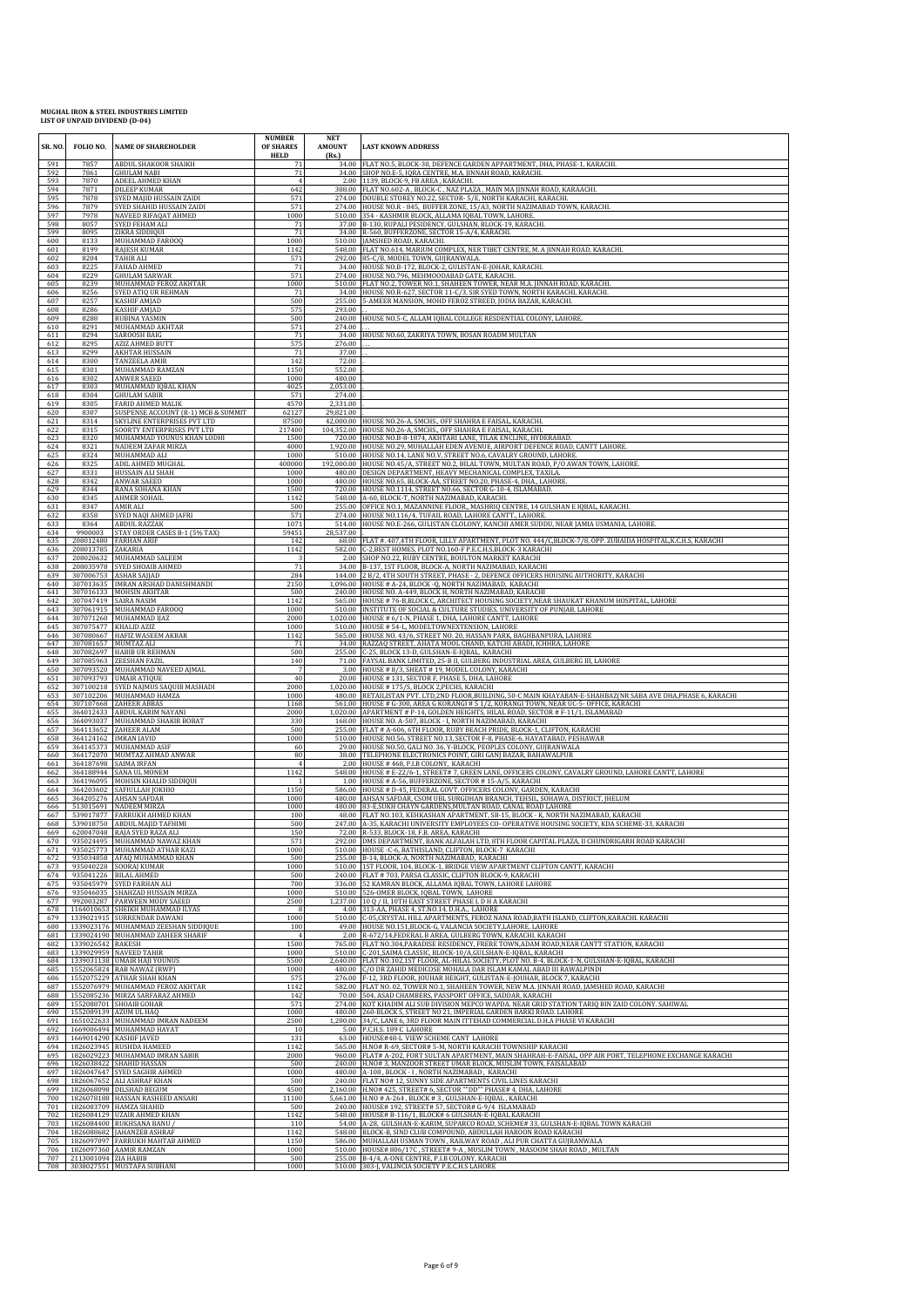| SR. NO.    | FOLIO NO.            | <b>NAME OF SHAREHOLDER</b>                                                | <b>NUMBER</b><br>OF SHARES<br><b>HELD</b> | NET<br><b>AMOUNT</b><br>(Rs.) | <b>LAST KNOWN ADDRESS</b>                                                                                                                                                      |
|------------|----------------------|---------------------------------------------------------------------------|-------------------------------------------|-------------------------------|--------------------------------------------------------------------------------------------------------------------------------------------------------------------------------|
| 591<br>592 | 7857<br>7861         | ABDUL SHAKOOR SHAIKH<br><b>GHULAM NABI</b>                                | 71<br>71                                  |                               | 34.00 FLAT NO.5, BLOCK-30, DEFENCE GARDEN APPARTMENT, DHA, PHASE-1, KARACHI.<br>34.00 SHOP NO.E-5, IQRA CENTRE, M.A. JINNAH ROAD, KARACHI                                      |
| 593<br>594 | 7870<br>7871         | ADEEL AHMED KHAN<br><b>DILEEP KUMAR</b>                                   | $\overline{4}$<br>642                     |                               | 2.00 1139, BLOCK-9, FB AREA, KARACHI.<br>308.00 FLAT NO.602-A , BLOCK-C , NAZ PLAZA , MAIN MA JINNAH ROAD, KARAACHI.                                                           |
| 595<br>596 | 7878<br>7879         | SYED MAJID HUSSAIN ZAIDI<br>SYED SHAHID HUSSAIN ZAIDI                     | 571<br>571                                |                               | 274.00 DOUBLE STOREY NO.22, SECTOR- 5/E, NORTH KARACHI, KARACHI.<br>274.00 HOUSE NO.R - 845, BUFFER ZONE, 15/A3, NORTH NAZIMABAD TOWN, KARACHI.                                |
| 597<br>598 | 7978<br>8057         | NAVEED RIFAQAT AHMED<br>SYED FEHAM ALI                                    | 1000<br>71                                |                               | 510.00 354 - KASHMIR BLOCK, ALLAMA IQBAL TOWN, LAHORE<br>37.00 B-130, RUPALI PESIDENCY, GULSHAN, BLOCK-19, KARACHI.                                                            |
| 599<br>600 | 8095<br>8133         | ZIKRA SIDDIQUI<br>MUHAMMAD FAROOQ                                         | 71<br>1000                                |                               | 34.00 R-560, BUFFERZONE, SECTOR 15-A/4, KARACHI.<br>510.00 JAMSHED ROAD, KARACHI,                                                                                              |
| 601<br>602 | 8199<br>8204         | <b>RAJESH KUMAR</b><br>TAHIR ALI                                          | 1142<br>571                               |                               | 548.00 FLAT NO.614, MARIUM COMPLEX, NER TIBET CENTRE, M. A JINNAH ROAD, KARACHI.<br>292.00 85-C/B, MODEL TOWN, GUJRANWALA.                                                     |
| 603<br>604 | 8225<br>8229         | FAHAD AHMED<br>GHULAM SARWAR                                              | 71<br>571                                 |                               | 34.00 HOUSE NO.B-172, BLOCK-2, GULISTAN-E-JOHAR, KARACHI.<br>274.00 HOUSE NO.796, MEHMOODABAD GATE, KARACHI.                                                                   |
| 605<br>606 | 8239<br>8256         | MUHAMMAD FEROZ AKHTAR<br>SYED ATIO UR REHMAN                              | 1000<br>71                                |                               | 510.00 FLAT NO.2, TOWER NO.1, SHAHEEN TOWER, NEAR M.A. JINNAH ROAD, KARACHI.<br>34.00 HOUSE NO.R-627, SECTOR 11-C/3, SIR SYED TOWN, NORTH KARACHI, KARACHI,                    |
| 607<br>608 | 8257<br>8286         | <b>KASHIF AMJAD</b><br><b>KASHIF AMJAD</b>                                | 500<br>575                                | 293.00                        | 255.00 5-AMEER MANSION, MOHD FEROZ STREED, JODIA BAZAR, KARACHI.                                                                                                               |
| 609<br>610 | 8288<br>8291         | RUBINA YASMIN<br>MUHAMMAD AKHTAR                                          | 500<br>571                                | 274.00                        | 240.00 HOUSE NO.5-C, ALLAM IQBAL COLLEGE RESDENTIAL COLONY, LAHORE.                                                                                                            |
| 611<br>612 | 8294<br>8295         | SAROOSH BAIG<br><b>AZIZ AHMED BUTT</b>                                    | 71<br>575                                 | 276.00                        | 34.00 HOUSE NO.60, ZAKRIYA TOWN, BOSAN ROADM MULTAN                                                                                                                            |
| 613<br>614 | 8299<br>8300         | <b>AKHTAR HUSSAIN</b><br>TANZEELA AMIR                                    | 71<br>142                                 | 37.00<br>72.00                |                                                                                                                                                                                |
| 615<br>616 | 8301<br>8302         | MUHAMMAD RAMZAN<br>ANWER SAEED                                            | 1150<br>1000                              | 552.00<br>480.00              |                                                                                                                                                                                |
| 617<br>618 | 8303<br>8304         | MUHAMMAD IQBAL KHAN<br><b>GHULAM SABIR</b>                                | 4025<br>571                               | 2,053.00<br>274.00            |                                                                                                                                                                                |
| 619<br>620 | 8305<br>8307         | <b>FARID AHMED MALIK</b><br>SUSPENSE ACCOUNT (R-1) MCB & SUMMIT           | 4570<br>62127                             | 2,331.00<br>29,821.00         |                                                                                                                                                                                |
| 621<br>622 | 8314<br>8315         | SKYLINE ENTERPRISES PVT LTD<br>SOORTY ENTERPRISES PVT LTD                 | 87500<br>217400                           |                               | 42,000.00 HOUSE NO.26-A, SMCHS., OFF SHAHRA E FAISAL, KARACHI.<br>104,352.00 HOUSE NO.26-A, SMCHS., OFF SHAHRA E FAISAL, KARACHI.                                              |
| 623<br>624 | 8320<br>8321         | MUHAMMAD YOUNUS KHAN LODHI<br>NADEEM ZAFAR MIRZA                          | 1500<br>4000                              |                               | 720.00 HOUSE NO.B-8-1874, AKHTARI LANE, TILAK ENCLINE, HYDERABAD<br>1,920.00 HOUSE NO.29, MUHALLAH EDEN AVENUE, AIRPORT DEFENCE ROAD, CANTT LAHORE                             |
| 625<br>626 | 8324<br>8325         | MUHAMMAD ALI<br>ADIL AHMED MUGHAL                                         | 1000<br>400000                            |                               | 510.00 HOUSE NO.14, LANE NO.V, STREET NO.6, CAVALRY GROUND, LAHORE<br>192,000.00 HOUSE NO.45/A, STREET NO.2, BILAL TOWN, MULTAN ROAD, P/O AWAN TOWN, LAHORE.                   |
| 627<br>628 | 8331<br>8342         | HUSSAIN ALI SHAH<br>ANWAR SAEED                                           | 1000<br>1000                              |                               | 480.00 DESIGN DEPARTMENT, HEAVY MECHANICAL COMPLEX, TAXILA.<br>480.00 HOUSE NO.65, BLOCK-AA, STREET NO.20, PHASE-4, DHA., LAHORE.                                              |
| 629        | 8344                 | RANA SOHANA KHAN                                                          | 1500                                      |                               | 720.00 HOUSE NO.1114, STREET NO.66, SECTOR G-10-4, ISLAMABAD.                                                                                                                  |
| 630<br>631 | 8345<br>8347         | <b>AHMER SOHAIL</b><br>AMIR ALI                                           | 1142<br>500                               |                               | 548.00 A-60, BLOCK-T, NORTH NAZIMABAD, KARACHI.<br>255.00 OFFICE NO.1, MAZANNINE FLOOR,, MASHRIQ CENTRE, 14 GULSHAN E IQBAL, KARACHI.                                          |
| 632<br>633 | 8358<br>8364         | SYED NAQI AHMED JAFRI<br><b>ABDUL RAZZAK</b>                              | 571<br>1071                               |                               | 274.00 HOUSE NO.116/4, TUFAIL ROAD, LAHORE CANTT., LAHORE.<br>514.00 HOUSE NO.E-266, GULISTAN CLOLONY, KANCHI AMER SUDDU, NEAR JAMIA USMANIA, LAHORE.                          |
| 634<br>635 | 9900003              | STAY ORDER CASES B-1 (5% TAX)<br>208012480 FARHAN ARIF                    | 59451<br>142                              | 28,537.00                     | 68.00 FLAT #. 407,4TH FLOOR, LILLY APARTMENT, PLOT NO. 444/C, BLOCK-7/8, OPP. ZUBAIDA HOSPITAL, K.C.H.S, KARACHI                                                               |
| 636<br>637 | 208013785 ZAKARIA    | 208020632 MUHAMMAD SALEEM                                                 | 1142<br>3                                 |                               | 582.00 C-2, BEST HOMES, PLOT NO.160-F P.E.C.H.S, BLOCK-3 KARACHI<br>2.00 SHOP NO.22, RUBY CENTRE, BOULTON MARKET KARACHI                                                       |
| 638<br>639 |                      | 208035978 SYED SHOAIB AHMED<br>307006753 ASHAR SAJJAD                     | 71<br>284                                 |                               | 34.00 B-137, 1ST FLOOR, BLOCK-A, NORTH NAZIMABAD, KARACHI<br>144.00 2 B/2, 4TH SOUTH STREET, PHASE - 2, DEFENCE OFFICERS HOUSING AUTHORITY, KARACHI                            |
| 640<br>641 |                      | 307013635 IMRAN ARSHAD DANISHMANDI<br>307016133 MOHSIN AKHTAR             | 2150<br>500                               |                               | 1,096.00 HOUSE # A-24, BLOCK -Q, NORTH NAZIMABAD, KARACHI<br>240.00 HOUSE NO. A-449, BLOCK H, NORTH NAZIMABAD, KARACHI                                                         |
| 642<br>643 |                      | 307047419 SAIRA NASIM<br>307061915 MUHAMMAD FAROOQ                        | 1142<br>1000                              |                               | 565.00 HOUSE # 76-B, BLOCK C, ARCHITECT HOUSING SOCIETY, NEAR SHAUKAT KHANUM HOSPITAL, LAHORE<br>510.00 INSTITUTE OF SOCIAL & CULTURE STUDIES, UNIVERSITY OF PUNJAB, LAHORE    |
| 644<br>645 |                      | 307071260 MUHAMMAD IJAZ<br>307075477 KHALID AZIZ                          | 2000<br>1000                              |                               | 1,020.00 HOUSE # 6/1-N, PHASE 1, DHA, LAHORE CANTT, LAHORE<br>510.00 HOUSE # 54-L, MODELTOWNEXTENSION, LAHORE                                                                  |
| 646<br>647 |                      | 307080667 HAFIZ WASEEM AKBAR<br>307081657 MUMTAZ ALI                      | 1142<br>71                                |                               | 565.00 HOUSE NO. 43/6, STREET NO. 20, HASSAN PARK, BAGHBANPURA, LAHORE<br>34.00 RAZZAQ STREET, AHATA MOOL CHAND, KATCHI ABADI, ICHHRA, LAHORE                                  |
| 648<br>649 |                      | 307082697 HABIB UR REHMAN<br>307085963 ZEESHAN FAZIL                      | 500<br>140                                |                               | 255.00   C-25, BLOCK 13-D, GULSHAN-E-IQBAL, KARACHI<br>71.00   FAYSAL BANK LIMITED, 25-B II, GULBERG INDUSTRIAL AREA, GULBERG III, LAHORE                                      |
| 650<br>651 |                      | 307093520 MUHAMMAD NAVEED AJMAL<br>307093793 UMAIR ATIQUE                 | 40                                        |                               | 3.00 HOUSE # 8/3, SHEAT # 19, MODEL COLONY, KARACHI<br>20.00 HOUSE #131, SECTOR F, PHASE 5, DHA, LAHORE                                                                        |
| 652<br>653 |                      | 307100218 SYED NAJMUS SAQUIB MASHADI<br>307102206 MUHAMMAD HAMZA          | 2000<br>1000                              |                               | 1,020.00 HOUSE #175/S, BLOCK 2, PECHS, KARACHI<br>480.00 RETAILISTAN PVT. LTD,2ND FLOOR,BUILDING, 50-C MAIN KHAYABAN-E-SHAHBAZ(NR SABA AVE DHA,PHASE 6, KARACHI                |
| 654<br>655 |                      | 307107668 ZAHEER ABBAS<br>364012433 ABDUL KARIM NAYANI                    | 1168<br>2000                              |                               | 561.00 HOUSE # G-300, AREA G KORANGI # 5 1/2, KORANGI TOWN, NEAR UC-5- OFFICE, KARACHI<br>1,020.00 APARTMENT # P-14, GOLDEN HEIGHTS, HILAL ROAD, SECTOR # F-11/1, ISLAMABAD    |
| 656<br>657 |                      | 364093037 MUHAMMAD SHAKIR BOBAT<br>364113652 ZAHEER ALAM                  | 330<br>500                                |                               | 168.00 HOUSE NO. A-507, BLOCK - I, NORTH NAZIMABAD, KARACHI<br>255.00 FLAT # A-606, 6TH FLOOR, RUBY BEACH PRIDE, BLOCK-1, CLIFTON, KARACHI                                     |
| 658<br>659 |                      | 364124162 IMRAN JAVID<br>364145373 MUHAMMAD ASIF                          | 1000<br>60                                |                               | 510.00 HOUSE NO.56, STREET NO.13, SECTOR F-8, PHASE-6, HAYATABAD, PESHAWAR<br>29.00 HOUSE NO.50, GALI NO. 36, Y-BLOCK, PEOPLES COLONY, GUJRANWALA                              |
| 660<br>661 |                      | 364172070 MUMTAZ AHMAD ANWAR<br>364187698 SAIMA IRFAN                     | 80<br>$\overline{4}$                      |                               | 38.00 TELEPHONE ELECTRONICS POINT, GIRI GANJ BAZAR, BAHAWALPUR<br>2.00 HOUSE #468, P.I.B COLONY, KARACHI                                                                       |
| 662<br>663 |                      | 364188944 SANA UL MONEM<br>364196095 MOHSIN KHALID SIDDIQUI               | 1142                                      |                               | 548.00 HOUSE # E-22/6-1, STREET# 7, GREEN LANE, OFFICERS COLONY, CAVALRY GROUND, LAHORE CANTT, LAHORE<br>1.00 HOUSE # A-56, BUFFERZONE, SECTOR #15-A/5, KARACHI                |
| 664<br>665 |                      | 364203602 SAFIULLAH JOKHIO<br>364205276 AHSAN SAFDAR                      | 1150<br>1000                              |                               | 586.00 HOUSE # D-45, FEDERAL GOVT. OFFICERS COLONY, GARDEN, KARACHI<br>480.00 AHSAN SAFDAR, CSOM UBL SURGDHAN BRANCH, TEHSIL, SOHAWA, DISTRICT, JHELUM                         |
| 666<br>667 |                      | 513015691 NADEEM MIRZA<br>539017877 FARRUKH AHMED KHAN                    | 1000<br>100                               |                               | 480.00 83-E, SUKH CHAYN GARDENS, MULTAN ROAD, CANAL ROAD LAHORE<br>48.00 FLAT NO.103, KEHKASHAN APARTMENT, SB-15, BLOCK - K, NORTH NAZIMABAD, KARACHI                          |
| 668<br>669 |                      | 539018750 ARDUI MAUD TAEHIMI<br>620047048 RAJA SYED RAZA ALI              | 500<br>150                                |                               | 247.00 LA-35, KARACHLUNIVERSITY EMPLOYEES CO- OPERATIVE HOUSING SOCIETY, KDA SCHEME-33, KARACH<br>72.00 R-533, BLOCK-18, F.B. AREA, KARACHI                                    |
| 670<br>671 |                      | 935024495 MUHAMMAD NAWAZ KHAN<br>935025773 MUHAMMAD ATHAR KAZI            | 571<br>1000                               |                               | 292.00 DMS DEPARTMENT, BANK ALFALAH LTD, 8TH FLOOR CAPITAL PLAZA, II CHUNDRIGARH ROAD KARACHI<br>510.00 HOUSE - C-6, BATHISLAND, CLIFTON, BLOCK-7 KARACHI                      |
| 672<br>673 | 935040228            | 935034858 AFAQ MUHAMMAD KHAN<br><b>SOORAJ KUMAR</b>                       | 500<br>1000                               |                               | 255.00 B-14, BLOCK-A, NORTH NAZIMABAD, KARACHI<br>510.00 1ST FLOOR, 104, BLOCK-1, BRIDGE VIEW APARTMENT CLIFTON CANTT, KARACHI                                                 |
| 674<br>675 |                      | 935041226 BILAL AHMED<br>935045979 SYED FARHAN ALI                        | 500<br>700                                |                               | 240.00 FLAT # 703, PARSA CLASSIC, CLIFTON BLOCK-9, KARACHI<br>336.00 52 KAMRAN BLOCK, ALLAMA IQBAL TOWN, LAHORE LAHORE                                                         |
| 676<br>677 |                      | 935046035 SHAHZAD HUSSAIN MIRZA<br>992003287 PARWEEN MODY SAEED           | 1000<br>2500                              |                               | 510.00 526-OMER BLOCK, IQBAL TOWN, LAHORE<br>1,237.00 10 Q / II, 10TH EAST STREET PHASE I, D H A KARACHI                                                                       |
| 678<br>679 | 1339021915           | 1164010653 SHEIKH MUHAMMAD ILYAS<br>SURRENDAR DAWANI                      | -8<br>1000                                |                               | 4.00 313-AA, PHASE 4, ST.NO.14, D.H.A., LAHORE<br>510.00 C-05, CRYSTAL HILL APARTMENTS, FEROZ NANA ROAD, BATH ISLAND, CLIFTON, KARACHI. KARACHI                                |
| 680<br>681 |                      | 1339023176 MUHAMMAD ZEESHAN SIDDIQUE<br>1339024190 MUHAMMAD ZAHEER SHARIF | 100<br>$\overline{4}$                     |                               | 49.00 HOUSE NO.151, BLOCK-G, VALANCIA SOCIETY, LAHORE. LAHORE<br>2.00 R-672/14, FEDERAL B AREA, GULBERG TOWN, KARACHI. KARACHI                                                 |
| 682<br>683 | 1339026542 RAKESH    | 1339029959 NAVEED TAHIR                                                   | 1500<br>1000                              |                               | 765.00 FLAT NO.304,PARADISE RESIDENCY, FRERE TOWN,ADAM ROAD,NEAR CANTT STATION, KARACHI<br>510.00 C-201, SAIMA CLASSIC, BLOCK-10/A, GULSHAN-E-IQBAL, KARACHI                   |
| 684<br>685 |                      | 1339031138 UMAIR HAII YOUNUS<br>1552065824 RAB NAWAZ (RWP)                | 5500<br>1000                              |                               | 2,640.00 FLAT NO.102,1ST FLOOR, AL-HILAL SOCIETY, PLOT NO. B-4, BLOCK-1-N, GULSHAN-E-IQBAL, KARACHI<br>480.00 C/O DR ZAHID MEDICOSE MOHALA DAR ISLAM KAMAL ABAD III RAWALPINDI |
| 686<br>687 |                      | 1552075229 ATHAR SHAH KHAN<br>1552076979 MUHAMMAD FEROZ AKHTAR            | 575<br>1142                               |                               | 276.00 F-12, 3RD FLOOR, JOUHAR HEIGHT, GULISTAN-E-JOUHAR, BLOCK 7, KARACHI<br>582.00 FLAT NO. 02, TOWER NO.1, SHAHEEN TOWER, NEW M.A. JINNAH ROAD, JAMSHED ROAD, KARACHI       |
| 688<br>689 |                      | 1552085236 MIRZA SARFARAZ AHMED<br>1552088701 SHOAIB GOHAR                | 142<br>571                                |                               | 70.00 504, ASAD CHAMBERS, PASSPORT OFFICE, SADDAR, KARACHI<br>274.00 KOT KHADIM ALI SUB DIVISION MEPCO WAPDA. NEAR GRID STATION TARIQ BIN ZAID COLONY. SAHIWAL                 |
| 690<br>691 |                      | 1552089139 AZUM UL HAQ<br>1651022633 MUHAMMAD IMRAN NADEEM                | 1000<br>2500                              |                               | 480.00 260-BLOCK S, STREET NO 21, IMPERIAL GARDEN BARKI ROAD. LAHORE<br>1,200.00 34/C, LANE 6, 3RD FLOOR MAIN ITTEHAD COMMERCIAL D.H.A PHASE VI KARACHI                        |
| 692<br>693 |                      | 1669006494 MUHAMMAD HAYAT<br>1669014290 KASHIF JAVED                      | 10<br>131                                 |                               | 5.00 P.C.H.S. 189 C LAHORE<br>63.00 HOUSE#48-L VIEW SCHEME CANT LAHORE                                                                                                         |
| 694<br>695 |                      | 1826023945 RUSHDA HAMEED<br>1826029223 MUHAMMAD IMRAN SABIR               | 1142<br>2000                              |                               | 565.00 H.NO# R-69, SECTOR# 5-M, NORTH KARACHI TOWNSHIP KARACHI<br>960.00 FLAT# A-202, FORT SULTAN APARTMENT, MAIN SHAHRAH-E-FAISAL, OPP AIR PORT, TELEPHONE EXCHANGE KARACHI   |
| 696<br>697 |                      | 1826038422 SHAHID HASSAN<br>1826047647 SYED SAGHIR AHMED                  | 500<br>1000                               |                               | 240.00 H.NO# 3, MANZOOR STREET UMAR BLOCK, MUSLIM TOWN, FAISALABAD<br>480.00 A-108, BLOCK - I, NORTH NAZIMABAD, KARACHI                                                        |
| 698<br>699 |                      | 1826067652 ALI ASHRAF KHAN<br>1826068098 DILSHAD BEGUM                    | 500<br>4500                               |                               | 240.00 FLAT NO# 12, SUNNY SIDE APARTMENTS CIVIL LINES KARACHI<br>2,160.00 H.NO# 425, STREET# 6, SECTOR ""DD"" PHASE# 4, DHA, LAHORE                                            |
| 700<br>701 |                      | 1826078188 HASSAN RASHEED ANSARI<br>1826083709 HAMZA SHAHID               | 11100<br>500                              |                               | 5,661.00 H.NO # A-264, BLOCK #3, GULSHAN-E-IQBAL, KARACHI<br>240.00 HOUSE# 192, STREET# 57, SECTOR# G-9/4 ISLAMABAD                                                            |
| 702<br>703 |                      | 1826084129 UZAIR AHMED KHAN<br>1826084400 RUKHSANA BANU /                 | 1142<br>110                               |                               | 548.00 HOUSE# B-116/1, BLOCK# 6 GULSHAN-E-IQBAL KARACHI<br>54.00 A-28, GULSHAN-E-KARIM, SUPARCO ROAD, SCHEME# 33, GULSHAN-E-IQBAL TOWN KARACHI                                 |
| 704<br>705 | 1826088682           | <b>JAHANZEB ASHRAF</b><br>1826097097 FARRUKH MAHTAB AHMED                 | 1142<br>1150                              |                               | 548.00 BLOCK-B, SIND CLUB COMPOUND, ABDULLAH HAROON ROAD KARACHI<br>586.00 MUHALLAH USMAN TOWN, RAILWAY ROAD, ALI PUR CHATTA GUJRANWALA                                        |
| 706<br>707 | 2113001094 ZIA HABIB | 1826097360 AAMIR RAMZAN                                                   | 1000<br>500                               |                               | 510.00 HOUSE# 806/17C, STREET# 9-A, MUSLIM TOWN, MASOOM SHAH ROAD, MULTAN<br>255.00 B-4/4, A-ONE CENTRE, P.I.B COLONY, KARACHI                                                 |
| 708        |                      | 3038027551 MUSTAFA SUBHANI                                                | 1000                                      |                               | 510.00 303-J, VALINCIA SOCIETY P.E.C.H.S LAHORE                                                                                                                                |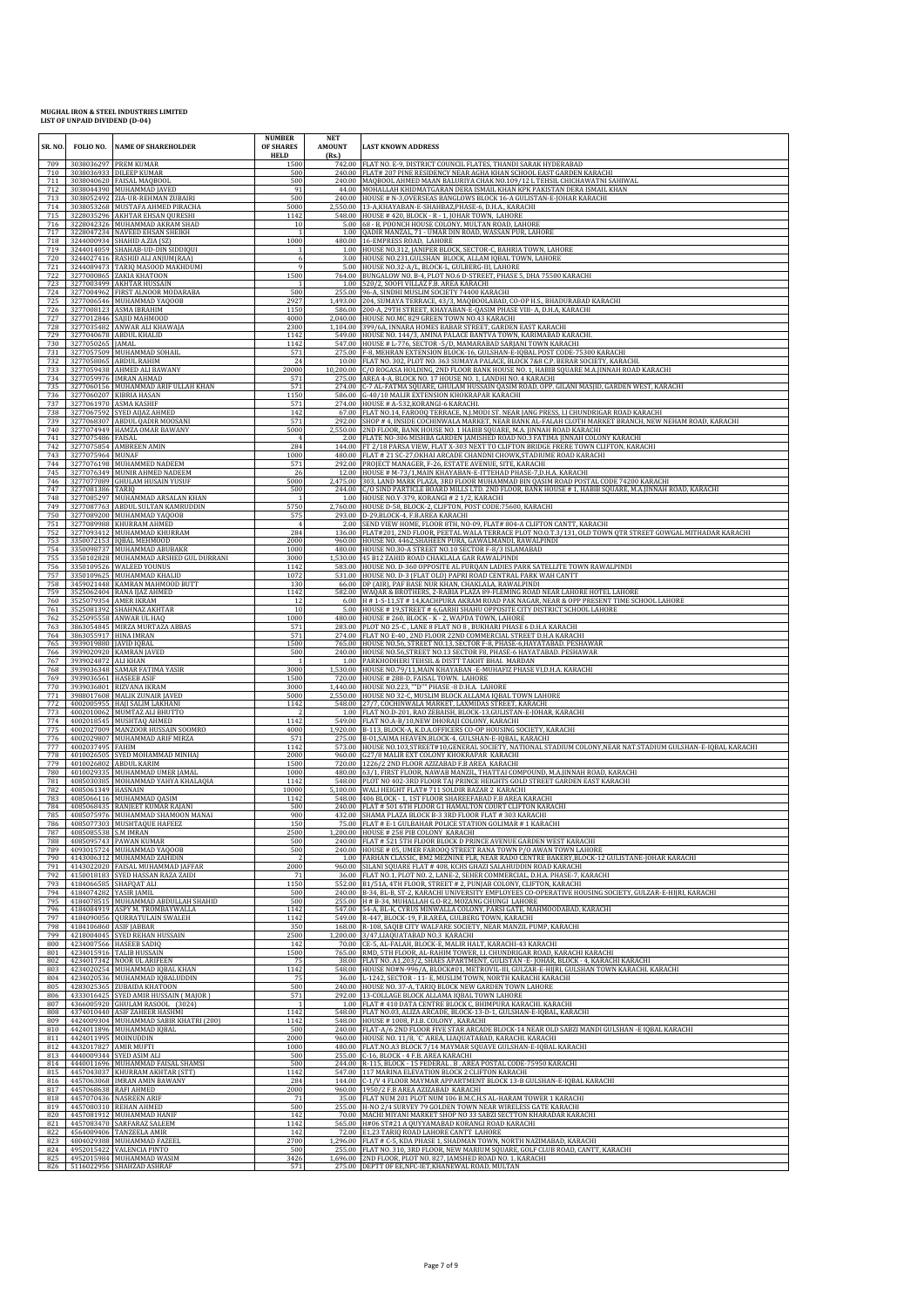| SR. NO.    | FOLIO NO.                      | <b>NAME OF SHAREHOLDER</b>                                              | <b>NUMBER</b><br>OF SHARES<br><b>HELD</b> | <b>NET</b><br><b>AMOUNT</b><br>(Rs.) | <b>LAST KNOWN ADDRESS</b>                                                                                                                                                                                    |
|------------|--------------------------------|-------------------------------------------------------------------------|-------------------------------------------|--------------------------------------|--------------------------------------------------------------------------------------------------------------------------------------------------------------------------------------------------------------|
| 709<br>710 |                                | 3038036297 PREM KUMAR<br>3038036933 DILEEP KUMAR                        | 1500<br>500                               |                                      | 742.00 FLAT NO. E-9, DISTRICT COUNCIL FLATES, THANDI SARAK HYDERABAD<br>240.00 FLAT# 207 PINE RESIDENCY NEAR AGHA KHAN SCHOOL EAST GARDEN KARACHI                                                            |
| 711<br>712 |                                | 3038040620 FAISAL MAQBOOL<br>3038044390 MUHAMMAD JAVED                  | 500<br>91                                 |                                      | 240.00 MAQBOOL AHMED MAAN BALURIYA CHAK NO.109/12 L TEHSIL CHICHAWATNI SAHIWAL<br>44.00 MOHALLAH KHIDMATGARAN DERA ISMAIL KHAN KPK PAKISTAN DERA ISMAIL KHAN                                                 |
| 713<br>714 |                                | 3038052492 ZIA-UR-REHMAN ZUBAIRI<br>3038053268 MUSTAFA AHMED PIRACHA    | 500<br>5000                               |                                      | 240.00 HOUSE # N-3, OVERSEAS BANGLOWS BLOCK 16-A GULISTAN-E-JOHAR KARACHI<br>2,550.00 13-A, KHAYABAN-E-SHAHBAZ, PHASE-6, D.H.A., KARACHI                                                                     |
| 715<br>716 |                                | 3228035296 AKHTAR EHSAN QURESHI<br>3228042326 MUHAMMAD AKRAM SHAD       | 1142<br>10                                |                                      | 548.00 HOUSE #420, BLOCK - R - 1, JOHAR TOWN, LAHORE<br>5.00 68 - B, POONCH HOUSE COLONY, MULTAN ROAD, LAHORE                                                                                                |
| 717<br>718 |                                | 3228047234 NAVEED EHSAN SHEIKH<br>3244000934 SHAHID A.ZIA (SZ)          | 1000                                      |                                      | 1.00 QADIR MANZAL, 71 - UMAR DIN ROAD, WASSAN PUR, LAHORE<br>480.00 16-EMPRESS ROAD, LAHORE                                                                                                                  |
| 719<br>720 |                                | 3244014059 SHAHAB-UD-DIN SIDDIQUI<br>3244027416 RASHID ALI ANJUM(RAA)   |                                           |                                      | 1.00 HOUSE NO.312, JANIPER BLOCK, SECTOR-C, BAHRIA TOWN, LAHORE<br>3.00 HOUSE NO.231, GULSHAN BLOCK, ALLAM IQBAL TOWN, LAHORE                                                                                |
| 721<br>722 |                                | 3244089473 TARIQ MASOOD MAKHDUMI<br>3277000865 ZAKIA KHATOON            | $\mathbf{Q}$<br>1500                      |                                      | 5.00 HOUSE NO.32-A/L, BLOCK-L, GULBERG-III, LAHORE<br>764.00 BUNGALOW NO. B-4, PLOT NO.6 D-STREET, PHASE 5, DHA 75500 KARACHI                                                                                |
| 723<br>724 |                                | 3277003499 AKHTAR HUSSAIN<br>3277004962 FIRST ALNOOR MODARABA           | 500                                       |                                      | 1.00 520/2, SOOFI VILLAZ F.B. AREA KARACHI<br>255.00 96-A, SINDHI MUSLIM SOCIETY 74400 KARACHI                                                                                                               |
| 725<br>726 |                                | 3277006546 MUHAMMAD YAQOOB<br>3277008123 ASMA IBRAHIM                   | 2927<br>1150                              |                                      | 1,493.00 204, SUMAYA TERRACE, 43/3, MAQBOOLABAD, CO-OP H.S., BHADURABAD KARACHI<br>586.00 200-A, 29TH STREET, KHAYABAN-E-QASIM PHASE VIII- A, D.H.A, KARACHI                                                 |
| 727<br>728 |                                | 3277012846 SAJID MAHMOOD<br>3277035482 ANWAR ALI KHAWAJA                | 4000<br>2300                              | 1.104.00                             | 2,040.00 HOUSE NO.MC 829 GREEN TOWN NO.43 KARACHI<br>399/6A, INNARA HOMES BABAR STREET, GARDEN EAST KARACHI                                                                                                  |
| 729<br>730 | 3277050265 JAMAL               | 3277040678 ABDUL KHALID                                                 | 1142<br>1142                              |                                      | 549.00 HOUSE NO. 144/3, AMINA PALACE BANTVA TOWN, KARIMABAD KARACHI<br>547.00 HOUSE # L-776, SECTOR -5/D, MAMARABAD SARJANI TOWN KARACHI                                                                     |
| 731<br>732 |                                | 3277057509 MUHAMMAD SOHAIL<br>3277058065 ABDUL RAHIM                    | 571<br>24                                 |                                      | 275.00 F-8, MEHRAN EXTENSION BLOCK-16, GULSHAN-E-IQBAL POST CODE-75300 KARACHI<br>10.00 FLAT NO. 302, PLOT NO. 363 SUMAYA PALACE, BLOCK 7&8 C.P. BERAR SOCIETY, KARACHI.                                     |
| 733<br>734 | 3277059438                     | AHMED ALI BAWANY                                                        | 20000<br>571                              |                                      | 10,200.00 C/O ROGASA HOLDING, 2ND FLOOR BANK HOUSE NO. 1, HABIB SQUARE M.A.JINNAH ROAD KARACHI<br>275.00 AREA 4-A, BLOCK NO. 17 HOUSE NO. 1, LANDHI NO. 4 KARACHI                                            |
| 735        |                                | 3277059976 IMRAN AHMAD<br>3277060156 MUHAMMAD ARIF ULLAH KHAN           | 571                                       |                                      | 274.00 C-7 AL-FATMA SQUARE, GHULAM HUSSAIN QASIM ROAD, OPP. GILANI MASJID, GARDEN WEST, KARACHI                                                                                                              |
| 736<br>737 |                                | 3277060207 KIBRIA HASAN<br>3277061970 ASMA KASHIF                       | 1150<br>571                               |                                      | 586.00 G-40/10 MALIR EXTENSION KHOKRAPAR KARACHI<br>274.00 HOUSE # A-532, KORANGI-6 KARACHI.                                                                                                                 |
| 738<br>739 |                                | 3277067592 SYED AIJAZ AHMED<br>3277068307 ABDUL QADIR MOOSANI           | 142<br>571                                |                                      | 67.00 FLAT NO.14, FAROOQ TERRACE, N.J.MODI ST. NEAR JANG PRESS, I.I CHUNDRIGAR ROAD KARACHI<br>292.00 SHOP # 4, INSIDE COCHINWALA MARKET, NEAR BANK AL-FALAH CLOTH MARKET BRANCH, NEW NEHAM ROAD, KARACHI    |
| 740<br>741 | 3277075486 FAISAL              | 3277074949 HAMZA OMAR BAWANY                                            | 5000                                      |                                      | 2,550.00 2ND FLOOR, BANK HOUSE NO. 1 HABIB SQUARE, M.A. JINNAH ROAD KARACHI<br>2.00 FLATE NO-306 MISHBA GARDEN JAMISHED ROAD NO.3 FATIMA JINNAH COLONY KARACHI                                               |
| 742<br>743 | 3277075964 MUNAF               | 3277075854 AMBREEN AMIN                                                 | 284<br>1000                               |                                      | 144.00 FT 2/18 PARSA VIEW, FLAT X-303 NEXT TO CLIFTON BRIDGE FRERE TOWN CLIFTON, KARACHI<br>480.00 FLAT # 21 SC-27, OKHAI ARCADE CHANDNI CHOWK, STADIUME ROAD KARACHI                                        |
| 744<br>745 | 3277076349                     | 3277076198 MUHAMMED NADEEM<br>MUNIR AHMED NADEEM                        | 571<br>26                                 |                                      | 292.00 PROJECT MANAGER, F-26, ESTATE AVENUE, SITE, KARACHI<br>12.00 HOUSE # M-73/1, MAIN KHAYABAN-E-ITTEHAD PHASE-7, D.H.A. KARACHI                                                                          |
| 746<br>747 | 3277077089<br>3277081386 TARIQ | <b>GHULAM HUSAIN YUSUF</b>                                              | 5000<br>500                               | 244.00                               | 2,475.00 303, LAND MARK PLAZA, 3RD FLOOR MUHAMMAD BIN QASIM ROAD POSTAL CODE 74200 KARACHI<br>C/O SIND PARTICLE BOARD MILLS LTD. 2ND FLOOR, BANK HOUSE # 1, HABIB SQUARE, M.A.JINNAH ROAD, KARACHI           |
| 748<br>749 |                                | 3277085297 MUHAMMAD ARSALAN KHAN<br>3277087763 ABDUL SULTAN KAMRUDDIN   | 5750                                      |                                      | 1.00 HOUSE NO.Y-379, KORANGI # 21/2, KARACHI<br>2,760.00 HOUSE D-58, BLOCK-2, CLIFTON, POST CODE:75600, KARACHI                                                                                              |
| 750<br>751 |                                | 3277089200 MUHAMMAD YAQOOB<br>3277089988 KHURRAM AHMED                  | 575                                       |                                      | 293.00 D-29, BLOCK-4, F.B.AREA KARACHI<br>2.00 SEND VIEW HOME, FLOOR 8TH, NO-09, FLAT# 804-A CLIFTON CANTT, KARACHI                                                                                          |
| 752<br>753 |                                | 3277093412 MUHAMMAD KHURRAM<br>3350072153 IQBAL MEHMOOD                 | 284<br>2000                               |                                      | 136.00 FLAT#201, 2ND FLOOR, PEETAL WALA TERRACE PLOT NO.O.T.3/131, OLD TOWN OTR STREET GOWGAL MITHADAR KARACHI<br>960.00 HOUSE NO. 4462, SHAHEEN PURA, GAWALMANDI, RAWALPINDI                                |
| 754<br>755 |                                | 3350098737 MUHAMMAD ABUBAKR<br>3350102828 MUHAMMAD ARSHED GUL DURRANI   | 1000<br>3000                              |                                      | 480.00 HOUSE NO.30-A STREET NO.10 SECTOR F-8/3 ISLAMABAD<br>1,530.00 45 B12 ZAHID ROAD CHAKLALA GAR RAWALPINDI                                                                                               |
| 756<br>757 |                                | 3350109526 WALEED YOUNUS<br>3350109625 MUHAMMAD KHALID                  | 1142<br>1072                              |                                      | 583.00 HOUSE NO. D-360 OPPOSITE AL FURQAN LADIES PARK SATELLITE TOWN RAWALPINDI<br>531.00 HOUSE NO. D-3 (FLAT OLD) PAPRI ROAD CENTRAL PARK WAH CANTT                                                         |
| 758<br>759 |                                | 3459021448 KAMRAN MAHMOOD BUTT                                          | 130                                       |                                      | 66.00 DP (AIR), PAF BASE NUR KHAN, CHAKLALA, RAWALPINDI                                                                                                                                                      |
| 760        |                                | 3525062404 RANA IJAZ AHMED<br>3525079354 AMER IKRAM                     | 1142<br>12                                |                                      | 582.00 WAQAR & BROTHERS, 2-RABIA PLAZA 89-FLEMING ROAD NEAR LAHORE HOTEL LAHORE<br>6.00 H # 1-S-11, ST # 14, KACHPURA AKRAM ROAD PAK NAGAR, NEAR & OPP PRESENT TIME SCHOOL LAHORE                            |
| 761<br>762 |                                | 3525081392 SHAHNAZ AKHTAR<br>3525095558 ANWAR UL HAQ                    | 10<br>1000                                |                                      | 5.00 HOUSE # 19, STREET # 6, GARHI SHAHU OPPOSITE CITY DISTRICT SCHOOL LAHORE<br>480.00 HOUSE # 260, BLOCK - K - 2, WAPDA TOWN, LAHORE                                                                       |
| 763<br>764 | 3863055917 HINA IMRAN          | 3863054845 MIRZA MURTAZA ABBAS                                          | 571<br>571                                |                                      | 283.00 PLOT NO 25-C, LANE 8 FLAT NO 8, BUKHARI PHASE 6 D.H.A KARACHI<br>274.00 FLAT NO E-40, 2ND FLOOR 22ND COMMERCIAL STREET D.H.A KARACHI                                                                  |
| 765<br>766 | 3939019880 JAVID IQBAL         | 3939020920 KAMRAN JAVED                                                 | 1500<br>500                               |                                      | 765.00 HOUSE NO.56, STREET NO.13, SECTOR F-8, PHASE-6, HAYATABAD. PESHAWAR<br>240.00 HOUSE NO.56, STREET NO.13 SECTOR F8, PHASE-6 HAYATABAD. PESHAWAR                                                        |
| 767<br>768 | 3939024872 ALI KHAN            | 3939036348 SAMAR FATIMA YASIR                                           | 3000                                      |                                      | 1.00 PARKHODHERI TEHSIL & DISTT TAKHT BHAI. MARDAN<br>1,530.00 HOUSE NO.79/11, MAIN KHAYABAN - E-MUHAFIZ PHASE VI, D.H.A. KARACHI                                                                            |
| 769<br>770 |                                | 3939036561 HASEEB ASIF<br>3939036801 RIZVANA IKRAM                      | 1500<br>3000                              |                                      | 720.00 HOUSE #288-D, FAISAL TOWN. LAHORE<br>1,440.00 HOUSE NO.223, ""D"" PHASE -8 D.H.A. LAHORE                                                                                                              |
| 771<br>772 |                                | 3988017608 MALIK ZUNAIR JAVED<br>4002005955 HAJI SALIM LAKHANI          | 5000<br>1142                              |                                      | 2,550.00 HOUSE NO 32-C, MUSLIM BLOCK ALLAMA IQBAL TOWN LAHORE<br>548.00 27/7, COCHINWALA MARKET, LAXMIDAS STREET, KARACHI                                                                                    |
| 773<br>774 |                                | 4002010062 MUMTAZ ALI BHUTTO<br>4002018545 MUSHTAQ AHMED                | 1142                                      |                                      | 1.00 FLAT NO.D-201, RAO ZEBAISH, BLOCK-13, GULISTAN-E-JOHAR, KARACHI<br>549.00 FLAT NO.A-B/10,NEW DHORAJI COLONY, KARACHI                                                                                    |
| 775<br>776 |                                | 4002027009 MANZOOR HUSSAIN SOOMRO<br>4002029807 MUHAMMAD ARIF MIRZA     | 4000<br>571                               |                                      | 1,920.00 B-113, BLOCK-A, K.D.A.OFFICERS CO-OP HOUSING SOCIETY, KARACHI<br>275.00 B-01, SAIMA HEAVEN, BLOCK-4, GULSHAN-E-IQBAL, KARACHI                                                                       |
| 777<br>778 | 4002037495 FAHIM               | 4010026505 SYED MOHAMMAD MINHAJ                                         | 1142<br>2000                              |                                      | 573.00 HOUSE NO.103,STREET#10,GENERAL SOCIETY, NATIONAL STADIUM COLONY,NEAR NAT.STADIUM GULSHAN-E-IQBAL KARACHI<br>960.00 G27/8 MALIR EXT COLONY KHOKRAPAR KARACHI                                           |
| 779<br>780 |                                | 4010026802 ABDUL KARIM<br>4010029335 MUHAMMAD UMER JAMAL                | 1500<br>1000                              |                                      | 720.00 1226/2 2ND FLOOR AZIZABAD F.B AREA KARACHI<br>480.00 63/1, FIRST FLOOR, NAWAB MANZIL, THATTAI COMPOUND, M.A.JINNAH ROAD, KARACHI                                                                      |
| 781<br>782 | 4085061349 HASNAIN             | 4085030385 MOHAMMAD YAHYA KHALAQIA                                      | 1142<br>10000                             |                                      | 548.00 PLOT NO 402-3RD FLOOR TAJ PRINCE HEIGHTS GOLD STREET GARDEN EAST KARACHI<br>5,100.00 WALI HEIGHT FLAT# 711 SOLDIR BAZAR 2 KARACHI                                                                     |
| 783<br>784 | 4085066116                     | MUHAMMAD QASIM<br>4085068435 RANJEET KUMAR RAJANI                       | 1142<br>500                               |                                      | 548.00 406 BLOCK - 1, 1ST FLOOR SHAREEFABAD F.B AREA KARACHI<br>240.00 FLAT # 501 6TH FLOOR G1 HAMALTON COURT CLIFTON KARACHI                                                                                |
| 785<br>786 |                                | 4085075976 MUHAMMAD SHAMOON MANAI<br>4085077303 MUSHTAQUE HAFEEZ        | 900<br>150                                |                                      | 432.00 SHAMA PLAZA BLOCK B-3 3RD FLOOR FLAT # 303 KARACHI<br>75.00 FLAT # E-1 GULBAHAR POLICE STATION GOLIMAR # 1 KARACHI                                                                                    |
| 787<br>788 | 4085085538 S.M IMRAN           | 4085095743 PAWAN KUMAR                                                  | 2500<br>500                               |                                      | 1,200.00 HOUSE # 258 PIB COLONY KARACHI<br>240.00 FLAT # 521 5TH FLOOR BLOCK D PRINCE AVENUE GARDEN WEST KARACHI                                                                                             |
| 789<br>790 |                                | 4093015724 MUHAMMAD YAQOOB<br>4143006312 MUHAMMAD ZAHIDIN               | 500                                       |                                      | 240.00 HOUSE # 05, UMER FAROOQ STREET RANA TOWN P/O AWAN TOWN LAHORE<br>1.00 FARHAN CLASSIC, BM2 MEZNINE FLR, NEAR RADO CENTRE BAKERY, BLOCK-12 GULISTANE-JOHAR KARACHI                                      |
| 791<br>792 |                                | 4143022020 FAISAL MUHAMMAD JAFFAR<br>4150018183 SYED HASSAN RAZA ZAIDI  | 2000<br>71                                |                                      | 960.00 SILANI SQUARE FLAT #408, KCHS GHAZI SALAHUDDIN ROAD KARACHI<br>36.00 FLAT NO.1, PLOT NO.2, LANE-2, SEHER COMMERCIAL, D.H.A. PHASE-7, KARACHI                                                          |
| 793<br>794 | 4184074282 YASIR JAMIL         | 4184066585 SHAFQAT ALI                                                  | 1150<br>500                               |                                      | 552.00 B1/51A, 4TH FLOOR, STREET # 2, PUNJAB COLONY, CLIFTON, KARACHI<br>240.00 B-34, BL-B, ST-2, KARACHI UNIVERSITY EMPLOYEES CO-OPERATIVE HOUSING SOCIETY, GULZAR-E-HIJRI, KARACHI                         |
| 795<br>796 |                                | 4184078515 MUHAMMAD ABDULLAH SHAHID                                     | 500<br>1142                               |                                      | 255.00 H # B-34, MUHALLAH G.O-R2, MOZANG CHUNGI LAHORE                                                                                                                                                       |
| 797<br>798 | 4184106860 ASIF JABBAR         | 4184084919 ASPY M. TROMBAYWALLA<br>4184090056 QURRATULAIN SWALEH        | 1142                                      |                                      | 547.00 54-A, BL-K, CYRUS MINWALLA COLONY, PARSI GATE, MAHMOODABAD, KARACHI<br>549.00 R-447, BLOCK-19, F.B.AREA, GULBERG TOWN, KARACHI<br>168.00 R-108, SAOIB CITY WALFARE SOCIETY, NEAR MANZIL PUMP, KARACHI |
| 799<br>800 |                                | 4218004045 SYED REHAN HUSSAIN                                           | 350<br>2500                               |                                      | 1,200.00 3/47, LIAQUATABAD NO.3 KARACHI<br>70.00 CE-5, AL-FALAH, BLOCK-E, MALIR HALT, KARACHI-43 KARACHI                                                                                                     |
| 801        |                                | 4234007566 HASEEB SADIQ<br>4234015916 TALIB HUSSAIN                     | 142<br>1500                               |                                      | 765.00 RMD, 5TH FLOOR, AL-RAHIM TOWER, I.I. CHUNDRIGAR ROAD, KARACHI KARACHI                                                                                                                                 |
| 802<br>803 |                                | 4234017342 NOOR UL ARIFEEN<br>4234020254 MUHAMMAD IQBAL KHAN            | 75<br>1142                                |                                      | 38.00 FLAT NO. A1,203/2, SHAES APARTMENT, GULISTAN -E-JOHAR, BLOCK - 4, KARACHI KARACHI<br>548.00 HOUSE NO#N-996/A, BLOCK#01, METROVIL-III, GULZAR-E-HIJRI, GULSHAN TOWN KARACHI. KARACHI                    |
| 804<br>805 |                                | 4234020536 MUHAMMAD IQBALUDDIN<br>4283025365 ZUBAIDA KHATOON            | 75<br>500                                 |                                      | 36.00 L-1242, SECTOR - 11- E, MUSLIM TOWN, NORTH KARACHI KARACHI<br>240.00 HOUSE NO. 37-A, TARIQ BLOCK NEW GARDEN TOWN LAHORE                                                                                |
| 806<br>807 |                                | 4333016425 SYED AMIR HUSSAIN (MAJOR)<br>4366005920 GHULAM RASOOL (3024) | 571                                       |                                      | 292.00 13-COLLAGE BLOCK ALLAMA IQBAL TOWN LAHORE<br>1.00 FLAT #410 DATA CENTRE BLOCK C, BHIMPURA KARACHI. KARACHI                                                                                            |
| 808<br>809 |                                | 4374010440 ASIF ZAHEER HASHMI<br>4424009304 MUHAMMAD SABIR KHATRI (200) | 1142<br>1142                              |                                      | 548.00 FLAT NO.03, ALIZA ARCADE, BLOCK-13-D-1, GULSHAN-E-IQBAL, KARACHI<br>548.00 HOUSE #1008, P.I.B. COLONY, KARACHI                                                                                        |
| 810<br>811 | 4424011995 MOINUDDIN           | 4424011896 MUHAMMAD IQBAL                                               | 500<br>2000                               |                                      | 240.00 FLAT-A/6 2ND FLOOR FIVE STAR ARCADE BLOCK-14 NEAR OLD SABZI MANDI GULSHAN -E IQBAL KARACHI<br>960.00 HOUSE NO. 11/8, `C` AREA, LIAQUATABAD, KARACHI. KARACHI                                          |
| 812<br>813 | 4432017827 AMIR MUFTI          | 4440009344 SYED ASIM ALI                                                | 1000<br>500                               |                                      | 480.00 FLAT.NO.A3 BLOCK 7/14 MAYMAR SQUAVE GULSHAN-E-IQBAL KARACHI<br>255.00 C-16, BLOCK - 4 F.B. AREA KARACHI                                                                                               |
| 814<br>815 |                                | 4440011696 MUHAMMAD FAISAL SHAMSI<br>4457043037 KHURRAM AKHTAR (STT)    | 500<br>1142                               |                                      | 244.00 R-115, BLOCK - 15 FEDERAL. B. AREA POSTAL CODE-75950 KARACHI<br>547.00 117 MARINA ELEVATION BLOCK 2 CLIFTON KARACHI                                                                                   |
| 816<br>817 |                                | 4457063068 IMRAN AMIN BAWANY<br>4457068638 RAFI AHMED                   | 284<br>2000                               |                                      | 144.00 C-1/V 4 FLOOR MAYMAR APPARTMENT BLOCK 13-B GULSHAN-E-IQBAL KARACHI<br>960.00 1950/2 F.B AREA AZIZABAD KARACHI                                                                                         |
| 818<br>819 |                                | 4457070436 NASREEN ARIF<br>4457080310 REHAN AHMED                       | 71<br>500                                 |                                      | 35.00 FLAT NUM 201 PLOT NUM 106 B.M.C.H.S AL-HARAM TOWER 1 KARACHI<br>255.00 H-NO 2/4 SURVEY 79 GOLDEN TOWN NEAR WIRELESS GATE KARACHI                                                                       |
| 820<br>821 | 4457083470                     | 4457081912 MUHAMMAD HANIF<br>SARFARAZ SALEEM                            | 142<br>1142                               |                                      | 70.00 MACHI MIYANI MARKET SHOP NO 33 SABZI SECTTON KHARADAR KARACHI<br>565.00 H#06 ST#21 A QUYYAMABAD KORANGI ROAD KARACHI                                                                                   |
| 822<br>823 |                                | 4564009406 TANZEELA AMIR<br>4804029388 MUHAMMAD FAZEEL                  | 142<br>2700                               |                                      | 72.00 E1,23 TARIQ ROAD LAHORE CANTT LAHORE<br>1,296.00 FLAT # C-5, KDA PHASE 1, SHADMAN TOWN, NORTH NAZIMABAD, KARACHI                                                                                       |
| 824        |                                | 4952015422 VALENCIA PINTO                                               | 500                                       |                                      | 255.00 FLAT NO. 310, 3RD FLOOR, NEW MARIUM SQUARE, GOLF CLUB ROAD, CANTT, KARACHI                                                                                                                            |
| 825<br>826 |                                | 4952015984 MUHAMMAD WASIM<br>5116022956 SHAHZAD ASHRAF                  | 3426<br>571                               |                                      | 1,696.00 2ND FLOOR, PLOT NO. 827, JAMSHED ROAD NO. 1, KARACHI<br>275.00 DEPTT OF EE, NFC-IET, KHANEWAL ROAD, MULTAN                                                                                          |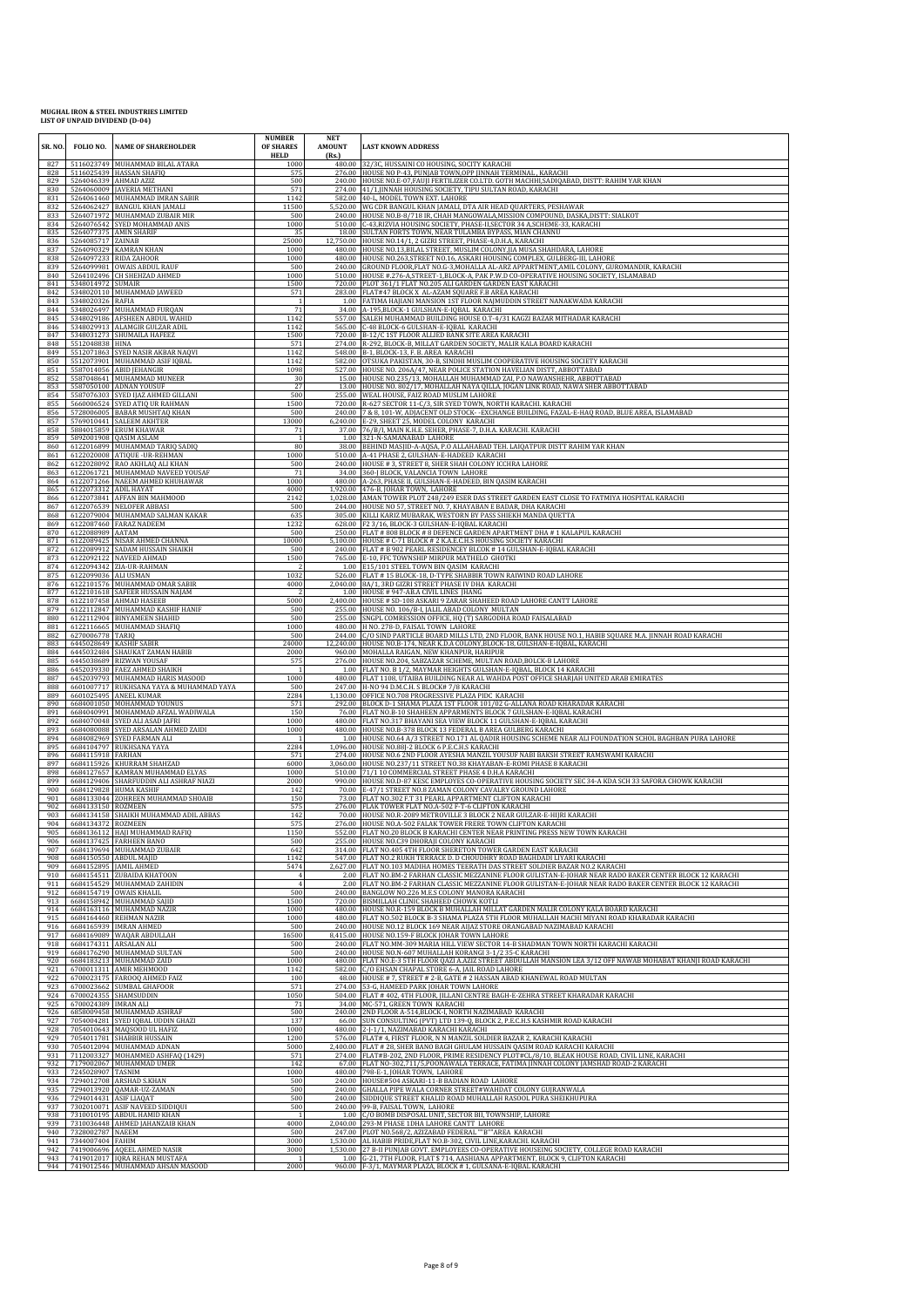| SR. NO     |                       | FOLIO NO. NAME OF SHAREHOLDER                                        | <b>NUMBER</b><br>OF SHARES<br><b>HELD</b> | <b>NET</b><br><b>AMOUNT</b><br>(Rs.) | <b>LAST KNOWN ADDRESS</b>                                                                                                                                                                                              |
|------------|-----------------------|----------------------------------------------------------------------|-------------------------------------------|--------------------------------------|------------------------------------------------------------------------------------------------------------------------------------------------------------------------------------------------------------------------|
| 827<br>828 |                       | 5116023749 MUHAMMAD BILAL ATARA<br>5116025439 HASSAN SHAFIQ          | 1000<br>575                               |                                      | 480.00 32/3C, HUSSAINI CO HOUSING, SOCITY KARACHI<br>276.00 HOUSE NO P-43, PUNJAB TOWN, OPP JINNAH TERMINAL, KARACHI                                                                                                   |
| 829<br>830 |                       | 5264046339 AHMAD AZIZ<br>5264060009 JAVERIA METHANI                  | 500<br>571                                |                                      | 240.00 HOUSE NO.E-07, FAUJI FERTILIZER CO.LTD. GOTH MACHHI, SADIOABAD, DISTT: RAHIM YAR KHAN<br>274.00 41/1, JINNAH HOUSING SOCIETY, TIPU SULTAN ROAD, KARACHI                                                         |
| 831<br>832 |                       | 5264061460 MUHAMMAD IMRAN SABIR<br>5264062427 BANGUL KHAN JAMALI     | 1142<br>11500                             |                                      | 582.00 40-L, MODEL TOWN EXT. LAHORE<br>5,520.00 WG CDR BANGUL KHAN JAMALI, DTA AIR HEAD QUARTERS, PESHAWAR                                                                                                             |
| 833<br>834 |                       | 5264071972 MUHAMMAD ZUBAIR MIR<br>5264076542 SYED MOHAMMAD ANIS      | 500<br>1000                               |                                      | 240.00 HOUSE NO.B-8/718 IR, CHAH MANGOWALA, MISSION COMPOUND, DASKA, DISTT: SIALKOT<br>510.00 C-43, RIZVIA HOUSING SOCIETY, PHASE-II, SECTOR 34 A, SCHEME-33, KARACHI                                                  |
| 835<br>836 | 5264085717 ZAINAB     | 5264077375 AMIN SHARIF                                               | 35<br>25000                               |                                      | 18.00 SULTAN FORTS TOWN, NEAR TULAMBA BYPASS, MIAN CHANNU<br>12,750.00 HOUSE NO.14/1, 2 GIZRI STREET, PHASE-4, D.H.A, KARACHI                                                                                          |
| 837<br>838 |                       | 5264090329 KAMRAN KHAN<br>5264097233 RIDA ZAHOOR                     | 1000<br>1000                              | 480.00<br>480.00                     | HOUSE NO.13, BILAL STREET, MUSLIM COLONY, JIA MUSA SHAHDARA, LAHORE<br>HOUSE NO.263,STREET NO.16, ASKARI HOUSING COMPLEX, GULBERG-III, LAHORE                                                                          |
| 839<br>840 |                       | 5264099981 OWAIS ABDUL RAUF<br>5264102496 CH SHEHZAD AHMED           | 500<br>1000                               |                                      | 240.00 GROUND FLOOR, FLAT NO.G-3, MOHALLA AL-ARZ APPARTMENT, AMIL COLONY, GUROMANDIR, KARACHI                                                                                                                          |
| 841        | 5348014972 SUMAIR     |                                                                      | 1500                                      |                                      | 510.00 HOUSE #.276-A,STREET-1,BLOCK-A, PAK P.W.D CO-OPERATIVE HOUSING SOCIETY, ISLAMABAD<br>720.00 PLOT 361/1 FLAT NO.205 ALI GARDEN GARDEN EAST KARACHI                                                               |
| 842<br>843 | 5348020326 RAFIA      | 5348020110 MUHAMMAD JAWEED                                           | 571<br>-1                                 |                                      | 283.00 FLAT#47 BLOCK X AL-AZAM SQUARE F.B AREA KARACHI<br>1.00 FATIMA HAJIANI MANSION 1ST FLOOR NAJMUDDIN STREET NANAKWADA KARACHI                                                                                     |
| 844<br>845 |                       | 5348026497 MUHAMMAD FURQAN<br>5348029186 AFSHEEN ABDUL WAHID         | 71<br>1142                                | 557.00                               | 34.00 A-195, BLOCK-1 GULSHAN-E-IQBAL KARACHI<br>SALEH MUHAMMAD BUILDING HOUSE O.T-4/31 KAGZI BAZAR MITHADAR KARACHI                                                                                                    |
| 846<br>847 |                       | 5348029913 ALAMGIR GULZAR ADIL<br>5348031273 SHUMAILA HAFEEZ         | 1142<br>1500                              |                                      | 565.00 C-48 BLOCK-6 GULSHAN-E-IQBAL KARACHI<br>720.00 B-12/C 1ST FLOOR ALLIED BANK SITE AREA KARACHI                                                                                                                   |
| 848<br>849 | 5512048838 HINA       | 5512071863 SYED NASIR AKBAR NAQVI                                    | 571<br>1142                               |                                      | 274.00 R-292, BLOCK-B, MILLAT GARDEN SOCIETY, MALIR KALA BOARD KARACHI<br>548.00 B-1, BLOCK-13, F. B. AREA KARACHI                                                                                                     |
| 850<br>851 |                       | 5512073901 MUHAMMAD ASIF IQBAL<br>5587014056 ABID JEHANGIR           | 1142<br>1098                              | 527.00                               | 582.00 OTSUKA PAKISTAN, 30-B, SINDHI MUSLIM COOPERATIVE HOUSING SOCIETY KARACHI<br>HOUSE NO. 206A/47, NEAR POLICE STATION HAVELIAN DISTT, ABBOTTABAD                                                                   |
| 852<br>853 |                       | 5587048641 MUHAMMAD MUNEER<br>5587050100 ADNAN YOUSUF                | 30<br>27                                  |                                      | 15.00 HOUSE NO.235/13, MOHALLAH MUHAMMAD ZAI, P.O NAWANSHEHR, ABBOTTABAD<br>13.00 HOUSE NO. 802/17, MOHALLAH NAYA QILLA, JOGAN LINK ROAD, NAWA SHER ABBOTTABAD                                                         |
| 854        |                       | 5587076303 SYED IJAZ AHMED GILLANI                                   | 500                                       |                                      | 255.00 WEAL HOUSE, FAIZ ROAD MUSLIM LAHORE                                                                                                                                                                             |
| 855<br>856 |                       | 5660006524 SYED ATIQ UR RAHMAN<br>5728006005 BABAR MUSHTAQ KHAN      | 1500<br>500                               |                                      | 720.00 R-627 SECTOR 11-C/3, SIR SYED TOWN, NORTH KARACHI. KARACHI<br>240.00 7 & 8, 101-W, ADJACENT OLD STOCK--EXCHANGE BUILDING, FAZAL-E-HAQ ROAD, BLUE AREA, ISLAMABAD                                                |
| 857<br>858 |                       | 5769010441 SALEEM AKHTER<br>5884015859 ERUM KHAWAR                   | 13000<br>71                               | 37.00                                | 6,240.00 E-29, SHEET 25, MODEL COLONY KARACHI<br>76/B/I, MAIN K.H.E. SEHER, PHASE-7, D.H.A. KARACHI. KARACHI                                                                                                           |
| 859<br>860 |                       | 5892001908 QASIM ASLAM<br>6122016899 MUHAMMAD TARIQ SADIQ            | 80                                        |                                      | 1.00 321-N-SAMANABAD LAHORE<br>38.00 BEHIND MASJID-A-AQSA, P.O ALLAHABAD TEH. LAIQATPUR DISTT RAHIM YAR KHAN                                                                                                           |
| 861<br>862 |                       | 6122020008 ATIQUE-UR-REHMAN<br>6122028092 RAO AKHLAQ ALI KHAN        | 1000<br>500                               |                                      | 510.00 A-41 PHASE 2, GULSHAN-E-HADEED KARACHI<br>240.00 HOUSE #3, STREET 8, SHER SHAH COLONY ICCHRA LAHORE                                                                                                             |
| 863<br>864 |                       | 6122061721 MUHAMMAD NAVEED YOUSAF<br>6122071266 NAEEM AHMED KHUHAWAR | 71<br>1000                                | 34.00                                | 360-J BLOCK, VALANCIA TOWN LAHORE<br>480.00 A-263, PHASE II, GULSHAN-E-HADEED, BIN QASIM KARACHI                                                                                                                       |
| 865<br>866 | 6122073312 ADIL HAYAT | 6122073841 AFFAN BIN MAHMOOD                                         | 4000<br>2142                              |                                      | 1,920.00 476-B, JOHAR TOWN, LAHORE<br>1,028.00 AMAN TOWER PLOT 248/249 ESER DAS STREET GARDEN EAST CLOSE TO FATMIYA HOSPITAL KARACHI                                                                                   |
| 867<br>868 |                       | 6122076539 NELOFER ABBASI<br>6122079004 MUHAMMAD SALMAN KAKAR        | 500<br>635                                |                                      | 244.00 HOUSE NO 57, STREET NO. 7, KHAYABAN E BADAR, DHA KARACHI<br>305.00 KILLI KARIZ MUBARAK, WESTORN BY PASS SHIEKH MANDA QUETTA                                                                                     |
| 869<br>870 | 6122088989 AATAM      | 6122087460 FARAZ NADEEM                                              | 1232<br>500                               |                                      | 628.00 F2 3/16, BLOCK-3 GULSHAN-E-IQBAL KARACHI<br>250.00 FLAT # 808 BLOCK # 8 DEFENCE GARDEN APARTMENT DHA # 1 KALAPUL KARACHI                                                                                        |
| 871<br>872 |                       | 6122089425 NISAR AHMED CHANNA<br>6122089912 SADAM HUSSAIN SHAIKH     | 10000<br>500                              |                                      | 5,100.00 HOUSE # C-71 BLOCK # 2 K.A.E.C.H.S HOUSING SOCIETY KARACHI<br>240.00 FLAT # B 902 PEARL RESIDENCEY BLCOK # 14 GULSHAN-E-IQBAL KARACHI                                                                         |
| 873        |                       | 6122092122 NAVEED AHMAD                                              | 1500                                      |                                      | 765.00 E-10, FFC TOWNSHIP MIRPUR MATHELO GHOTKI                                                                                                                                                                        |
| 874<br>875 | 6122099036 ALI USMAN  | 6122094342 ZIA-UR-RAHMAN                                             | - 2<br>1032                               |                                      | 1.00 E15/101 STEEL TOWN BIN QASIM KARACHI<br>526.00 FLAT #15 BLOCK-18, D-TYPE SHABBIR TOWN RAIWIND ROAD LAHORE                                                                                                         |
| 876<br>877 |                       | 6122101576 MUHAMMAD OMAR SABIR<br>6122101618 SAFEER HUSSAIN NAJAM    | 4000                                      | 2,040.00                             | 8A/1, 3RD GIZRI STREET PHASE IV DHA KARACHI<br>1.00 HOUSE #947-AB.A CIVIL LINES JHANG                                                                                                                                  |
| 878<br>879 |                       | 6122107458 AHMAD HASEEB<br>6122112847 MUHAMMAD KASHIF HANIF          | 5000<br>500                               |                                      | 2,400.00 HOUSE # SD-108 ASKARI 9 ZARAR SHAHEED ROAD LAHORE CANTT LAHORE<br>255.00 HOUSE NO. 106/B-I, JALIL ABAD COLONY MULTAN                                                                                          |
| 880<br>881 |                       | 6122112904 BINYAMEEN SHAHID<br>6122116665 MUHAMMAD SHAFIQ            | 500<br>1000                               |                                      | 255.00 SNGPL COMRESSION OFFICE, HQ (T) SARGODHA ROAD FAISALABAD<br>480.00 H NO. 278-D, FAISAL TOWN LAHORE                                                                                                              |
| 882<br>883 | 6270006778 TARIQ      | 6445028649 KASHIF SABIR                                              | 500<br>24000                              | 244.00                               | C/O SIND PARTICLE BOARD MILLS LTD, 2ND FLOOR, BANK HOUSE NO.1, HABIB SQUARE M.A. JINNAH ROAD KARACHI<br>12,240.00 HOUSE NO.B-174, NEAR K.D.A COLONY,BLOCK-18, GULSHAN-E-IQBAL, KARACHI                                 |
| 884<br>885 |                       | 6445032484 SHAUKAT ZAMAN HABIB<br>6445038689 RIZWAN YOUSAF           | 2000<br>575                               |                                      | 960.00 MOHALLA RAIGAN, NEW KHANPUR, HARIPUR<br>276.00 HOUSE NO.204, SABZAZAR SCHEME, MULTAN ROAD, BOLCK-B LAHORE                                                                                                       |
| 886<br>887 |                       | 6452039330 FAEZ AHMED SHAIKH<br>6452039793 MUHAMMAD HARIS MASOOD     | $\mathbf{1}$<br>1000                      |                                      | 1.00 FLAT NO. B 1/2, MAYMAR HEIGHTS GULSHAN-E-IQBAL, BLOCK 14 KARACHI<br>480.00 FLAT 1108, UTAIBA BUILDING NEAR AL WAHDA POST OFFICE SHARJAH UNITED ARAB EMIRATES                                                      |
| 888        |                       | 6601007717 RUKHSANA YAYA & MUHAMMAD YAYA                             | 500<br>2284                               | 247.00                               | H-NO 94 D.M.C.H. S BLOCK# 7/8 KARACHI                                                                                                                                                                                  |
| 889<br>890 |                       | 6601025495 ANEEL KUMAR<br>6684001050 MOHAMMAD YOUNUS                 | 571                                       |                                      | 1,130.00 OFFICE NO.708 PROGRESSIVE PLAZA PIDC KARACHI<br>292.00 BLOCK D-1 SHAMA PLAZA 1ST FLOOR 101/02 G-ALLANA ROAD KHARADAR KARACHI                                                                                  |
| 891<br>892 |                       | 6684040991 MOHAMMAD AFZAL WADIWALA<br>6684070048 SYED ALI ASAD JAFRI | 150<br>1000                               |                                      | 76.00 FLAT NO.B-10 SHAHEEN APPARMENTS BLOCK 7 GULSHAN-E-IQBAL KARACHI<br>480.00 FLAT NO.317 BHAYANI SEA VIEW BLOCK 11 GULSHAN-E-IQBAL KARACHI                                                                          |
| 893<br>894 |                       | 6684080088 SYED ARSALAN AHMED ZAIDI<br>6684082969 SYED FARMAN ALI    | 1000                                      | 1.00                                 | 480.00 HOUSE NO.B-378 BLOCK 13 FEDERAL B AREA GULBERG KARACHI<br>HOUSE NO.64 A/3 STREET NO.171 AL QADIR HOUSING SCHEME NEAR ALI FOUNDATION SCHOL BAGHBAN PURA LAHORE                                                   |
| 895<br>896 | 6684115918 FARHAN     | 6684104797 RUKHSANA YAYA                                             | 2284<br>571                               | 1,096.00                             | ,096.00   HOUSE NO.88J-2 BLOCK 6 P.E.C.H.S KARACHI<br>274.00   HOUSE NO.6 2ND FLOOR AYESHA MANZIL YOUSUF NABI BAKSH STREET RAMSWAMI KARACHI                                                                            |
| 897<br>898 |                       | 6684115926 KHURRAM SHAHZAD<br>6684127657 KAMRAN MUHAMMAD ELYAS       | 6000<br>1000                              |                                      | 3,060.00 HOUSE NO.237/11 STREET NO.38 KHAYABAN-E-ROMI PHASE 8 KARACHI<br>510.00 71/1 10 COMMERCIAL STREET PHASE 4 D.H.A KARACHI                                                                                        |
| 899<br>900 |                       | 6684129406 SHARFUDDIN ALI ASHRAF NIAZI<br>6684129828 HUMA KASHIF     | 2000<br>142                               | 70.00                                | 990.00 HOUSE NO.D-87 KESC EMPLOYES CO-OPERATIVE HOUSING SOCIETY SEC 34-A KDA SCH 33 SAFORA CHOWK KARACHI<br>E-47/1 STREET NO.8 ZAMAN COLONY CAVALRY GROUND LAHORE                                                      |
| 901<br>902 | 6684133150 ROZMEEN    | 6684133044 ZOHREEN MUHAMMAD SHOAIB                                   | 150<br>575                                | 73.00                                | FLAT NO.302 F.T 31 PEARL APPARTMENT CLIFTON KARACHI<br>276.00 FLAK TOWER FLAT NO.A-502 F-T-6 CLIFTON KARACHI                                                                                                           |
| 903<br>904 | 6684134372 ROZMEEN    | 6684134158 SHAIKH MUHAMMAD ADIL ABBAS                                | 142<br>575                                |                                      | 70.00 HOUSE NO.R-2089 METROVILLE 3 BLOCK 2 NEAR GULZAR-E-HIJRI KARACHI<br>276.00 HOUSE NO.A-502 FALAK TOWER FRERE TOWN CLIFTON KARACHI                                                                                 |
| 905<br>906 |                       | 6684136112 HAJI MUHAMMAD RAFIQ                                       | 1150                                      |                                      | 552.00 FLAT NO.20 BLOCK B KARACHI CENTER NEAR PRINTING PRESS NEW TOWN KARACHI                                                                                                                                          |
| 907        |                       | 6684137425 FARHEEN BANO<br>6684139694 MUHAMMAD ZUBAIR                | 500<br>642                                |                                      | 255.00 HOUSE NO.C39 DHORAJI COLONY KARACHI<br>314.00 FLAT NO.405 4TH FLOOR SHERETON TOWER GARDEN EAST KARACHI                                                                                                          |
| 908<br>909 |                       | 6684150550 ABDUL MAJID<br>6684152895 JAMIL AHMED                     | 1142<br>5474                              |                                      | 547.00 FLAT NO.2 RUKH TERRACE D. D CHOUDHRY ROAD BAGHDADI LIYARI KARACHI<br>2,627.00 FLAT NO.103 MADIHA HOMES TEERATH DAS STREET SOLDIER BAZAR NO.2 KARACHI                                                            |
| 910<br>911 |                       | 6684154511 ZUBAIDA KHATOON<br>6684154529 MUHAMMAD ZAHIDIN            | $\Delta$                                  |                                      | 2.00 FLAT NO.BM-2 FARHAN CLASSIC MEZZANINE FLOOR GULISTAN-E-JOHAR NEAR RADO BAKER CENTER BLOCK 12 KARACHI<br>2.00 FLAT NO.BM-2 FARHAN CLASSIC MEZZANINE FLOOR GULISTAN-E-JOHAR NEAR RADO BAKER CENTER BLOCK 12 KARACHI |
| 912<br>913 |                       | 6684154719 OWAIS KHALIL<br>6684158942 MUHAMMAD SAJID                 | 500<br>1500                               | 720.00                               | 240.00 BANGLOW NO.226 M.E.S COLONY MANORA KARACHI<br>BISMILLAH CLINIC SHAHEED CHOWK KOTLI                                                                                                                              |
| 914<br>915 |                       | 6684163116 MUHAMMAD NAZIR<br>6684164460 REHMAN NAZIR                 | 1000<br>1000                              | 480.00                               | HOUSE NO.R-159 BLOCK B MUHALLAH MILLAT GARDEN MALIR COLONY KALA BOARD KARACHI<br>480.00   FLAT NO.502 BLOCK B-3 SHAMA PLAZA 5TH FLOOR MUHALLAH MACHI MIYANI ROAD KHARADAR KARACHI                                      |
| 916<br>917 |                       | 6684165939 IMRAN AHMED<br>6684169089 WAQAR ABDULLAH                  | 500<br>16500                              |                                      | 240.00 HOUSE NO.12 BLOCK 169 NEAR AIJAZ STORE ORANGABAD NAZIMABAD KARACHI<br>8,415.00 HOUSE NO.159-F BLOCK JOHAR TOWN LAHORE                                                                                           |
| 918<br>919 |                       | 6684174311 ARSALAN ALI<br>6684176290 MUHAMMAD SULTAN                 | 500<br>500                                |                                      | 240.00 FLAT NO.MM-309 MARIA HILL VIEW SECTOR 14-B SHADMAN TOWN NORTH KARACHI KARACHI<br>240.00 HOUSE NO.N-607 MUHALLAH KORANGI 3-1/2 35-C KARACHI                                                                      |
| 920<br>921 |                       | 6684183213 MUHAMMAD ZAID<br>6700011311 AMIR MEHMOOD                  | 1000<br>1142                              | 582.00                               | 480.00 FLAT NO.E-3 5TH FLOOR QAZI A.AZIZ STREET ABDULLAH MANSION LEA 3/12 OFF NAWAB MOHABAT KHANJI ROAD KARACHI<br>C/O EHSAN CHAPAL STORE 6-A, JAIL ROAD LAHORE                                                        |
| 922<br>923 |                       | 6700023175 FAROOO AHMED FAIZ<br>6700023662 SUMBAL GHAFOOR            | 100<br>571                                |                                      | 48.00 HOUSE # 7, STREET # 2-B, GATE # 2 HASSAN ABAD KHANEWAL ROAD MULTAN<br>274.00 53-G, HAMEED PARK JOHAR TOWN LAHORE                                                                                                 |
| 924<br>925 | 6700024389 IMRAN ALI  | 6700024355 SHAMSUDDIN                                                | 1050<br>71                                |                                      | 504.00 FLAT # 402, 4TH FLOOR, JILLANI CENTRE BAGH-E-ZEHRA STREET KHARADAR KARACHI<br>34.00 MC-571, GREEN TOWN KARACHI                                                                                                  |
| 926<br>927 |                       | 6858009458 MUHAMMAD ASHRAF                                           | 500                                       | 240.00<br>66.00                      | 2ND FLOOR A-514, BLOCK-I, NORTH NAZIMABAD KARACHI                                                                                                                                                                      |
| 928        |                       | 7054004281 SYED IQBAL UDDIN GHAZI<br>7054010643 MAQSOOD UL HAFIZ     | 137<br>1000                               |                                      | SUN CONSULTING (PVT) LTD 139-Q, BLOCK 2, P.E.C.H.S KASHMIR ROAD KARACHI<br>480.00 2-J-1/1, NAZIMABAD KARACHI KARACHI                                                                                                   |
| 929<br>930 |                       | 7054011781 SHABBIR HUSSAIN<br>7054012094 MUHAMMAD ADNAN              | 1200<br>5000                              |                                      | 576.00 FLAT# 4, FIRST FLOOR, N N MANZIL SOLDIER BAZAR 2, KARACHI KARACHI<br>2,400.00 FLAT # 28, SHER BANO BAGH GHULAM HUSSAIN QASIM ROAD KARACHI KARACHI                                                               |
| 931<br>932 |                       | 7112003327 MOHAMMED ASHFAQ (1429)<br>7179002067 MUHAMMAD UMER        | 571<br>142                                |                                      | 274.00 FLAT#B-202, 2ND FLOOR, PRIME RESIDENCY PLOT#CL/8/10, BLEAK HOUSE ROAD, CIVIL LINE, KARACHI<br>67.00 FLAT NO-302,711/5,POONAWALA TERRACE, FATIMA JINNAH COLONY JAMSHAD ROAD-2 KARACHI                            |
| 933<br>934 | 7245028907 TASNIM     | 7294012708 ARSHAD S.KHAN                                             | 1000<br>500                               |                                      | 480.00 798-E-1, JOHAR TOWN, LAHORE<br>240.00 HOUSE#504 ASKARI-11-B BADIAN ROAD LAHORE                                                                                                                                  |
| 935<br>936 |                       | 7294013920 QAMAR-UZ-ZAMAN<br>7294014431 ASIF LIAQAT                  | 500<br>500                                |                                      | 240.00 GHALLA PIPE WALA CORNER STREET#WAHDAT COLONY GUJRANWALA<br>240.00 SIDDIQUE STREET KHALID ROAD MUHALLAH RASOOL PURA SHEIKHUPURA                                                                                  |
| 937<br>938 |                       | 7302010071 ASIF NAVEED SIDDIQUI<br>7310010195 ABDUL HAMID KHAN       | 500                                       | 240.00<br>1.00                       | 99-B, FAISAL TOWN, LAHORE<br>C/O BOMB DISPOSAL UNIT, SECTOR BII, TOWNSHIP, LAHORE                                                                                                                                      |
| 939<br>940 | 7328002787 NAEEM      | 7310036448 AHMED JAHANZAIB KHAN                                      | 4000<br>500                               | 2.040.00                             | 293-M PHASE 1DHA LAHORE CANTT LAHORE<br>247.00 PLOT NO.568/2, AZIZABAD FEDERAL ""B""AREA KARACHI                                                                                                                       |
| 941<br>942 | 7344007404 FAHIM      | 7419006696 AQEEL AHMED NASIR                                         | 3000<br>3000                              |                                      | 1,530.00 AL HABIB PRIDE, FLAT NO.B-302, CIVIL LINE, KARACHI. KARACHI<br>1,530.00 27 B-II PUNJAB GOVT. EMPLOYEES CO-OPERATIVE HOUSEING SOCIETY, COLLEGE ROAD KARACHI                                                    |
| 943<br>944 |                       | 7419012017 IQRA REHAN MUSTAFA<br>7419012546 MUHAMMAD AHSAN MASOOD    | $\overline{1}$<br>2000                    |                                      | 1.00 G-21, 7TH FLOOR, FLAT \$714, AASHIANA APPARTMENT, BLOCK 9, CLIFTON KARACHI<br>960.00 F-3/1, MAYMAR PLAZA, BLOCK #1, GULSANA-E-IQBAL KARACHI                                                                       |